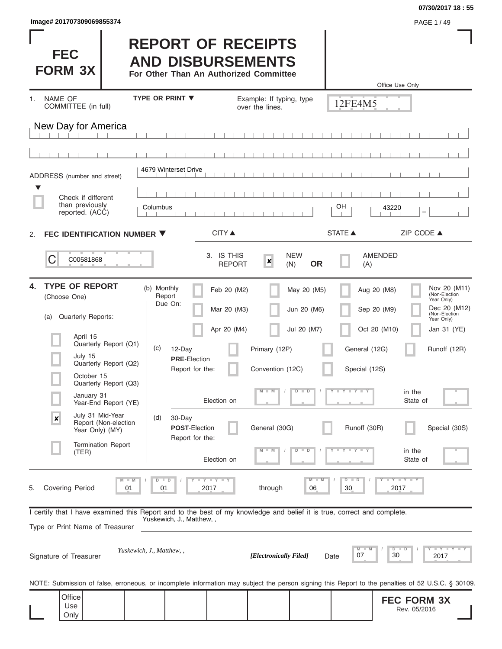| Image# 201707309069855374 | PAGE 1 / 49 |
|---------------------------|-------------|
|---------------------------|-------------|

#### **07/30/2017 18 : 55**

| <b>FEC</b><br><b>FORM 3X</b>                                                                                                                               |                                  | <b>REPORT OF RECEIPTS</b><br><b>AND DISBURSEMENTS</b><br>For Other Than An Authorized Committee |                                             |                            |                                | Office Use Only                                                                                                                                   |
|------------------------------------------------------------------------------------------------------------------------------------------------------------|----------------------------------|-------------------------------------------------------------------------------------------------|---------------------------------------------|----------------------------|--------------------------------|---------------------------------------------------------------------------------------------------------------------------------------------------|
| <b>NAME OF</b><br>$1_{-}$<br>COMMITTEE (in full)                                                                                                           | <b>TYPE OR PRINT ▼</b>           |                                                                                                 | Example: If typing, type<br>over the lines. |                            | 12FE4M5                        |                                                                                                                                                   |
| New Day for America                                                                                                                                        |                                  |                                                                                                 |                                             |                            |                                |                                                                                                                                                   |
|                                                                                                                                                            |                                  |                                                                                                 |                                             |                            |                                |                                                                                                                                                   |
| ADDRESS (number and street)                                                                                                                                | 4679 Winterset Drive             |                                                                                                 |                                             |                            |                                |                                                                                                                                                   |
| $\blacktriangledown$<br>Check if different                                                                                                                 |                                  |                                                                                                 |                                             |                            |                                |                                                                                                                                                   |
| than previously<br>reported. (ACC)                                                                                                                         | Columbus                         |                                                                                                 |                                             |                            | OН                             | 43220                                                                                                                                             |
| FEC IDENTIFICATION NUMBER ▼<br>2.                                                                                                                          |                                  | <b>CITY</b> ▲                                                                                   |                                             |                            | <b>STATE ▲</b>                 | ZIP CODE ▲                                                                                                                                        |
| C<br>C00581868                                                                                                                                             |                                  | 3. IS THIS<br><b>REPORT</b>                                                                     | $\boldsymbol{x}$<br>(N)                     | <b>NEW</b><br><b>OR</b>    | (A)                            | <b>AMENDED</b>                                                                                                                                    |
| <b>TYPE OF REPORT</b><br>4.<br>(Choose One)<br><b>Quarterly Reports:</b><br>(a)                                                                            | (b) Monthly<br>Report<br>Due On: | Feb 20 (M2)<br>Mar 20 (M3)                                                                      |                                             | May 20 (M5)<br>Jun 20 (M6) |                                | Nov 20 (M11)<br>(Non-Election<br>Aug 20 (M8)<br>Year Only)<br>Dec 20 (M12)<br>Sep 20 (M9)<br>(Non-Election<br>Year Only)                          |
| April 15                                                                                                                                                   |                                  | Apr 20 (M4)                                                                                     |                                             | Jul 20 (M7)                |                                | Oct 20 (M10)<br>Jan 31 (YE)                                                                                                                       |
| Quarterly Report (Q1)<br>July 15<br>Quarterly Report (Q2)                                                                                                  | (c)                              | 12-Day<br><b>PRE</b> Election<br>Report for the:                                                | Primary (12P)<br>Convention (12C)           |                            | General (12G)<br>Special (12S) | Runoff (12R)                                                                                                                                      |
| October 15<br>Quarterly Report (Q3)<br>January 31<br>Year-End Report (YE)                                                                                  |                                  | Election on                                                                                     | $M - M$                                     | $D$ $D$                    | Y L Y L Y                      | in the<br>State of                                                                                                                                |
| July 31 Mid-Year<br>$\pmb{\times}$<br>Report (Non-election<br>Year Only) (MY)                                                                              | (d)                              | 30-Day<br><b>POST-Election</b><br>Report for the:                                               | General (30G)                               |                            | Runoff (30R)                   | Special (30S)                                                                                                                                     |
| <b>Termination Report</b><br>(TER)                                                                                                                         |                                  | Election on                                                                                     |                                             | т                          |                                | in the<br>State of                                                                                                                                |
| Covering Period<br>5.                                                                                                                                      | $-M$<br>$D$ $D$<br>01<br>01      | Y I Y I Y<br>2017                                                                               | through                                     | M<br>06                    | $D$ $D$<br>30                  | $T - Y$<br>2017                                                                                                                                   |
| I certify that I have examined this Report and to the best of my knowledge and belief it is true, correct and complete.<br>Type or Print Name of Treasurer |                                  | Yuskewich, J., Matthew,,                                                                        |                                             |                            |                                |                                                                                                                                                   |
| Signature of Treasurer                                                                                                                                     | Yuskewich, J., Matthew, ,        |                                                                                                 | [Electronically Filed]                      | Date                       | M<br>07                        | <b>LY LY L</b><br>$D$ $D$<br>30<br>2017                                                                                                           |
|                                                                                                                                                            |                                  |                                                                                                 |                                             |                            |                                | NOTE: Submission of false, erroneous, or incomplete information may subject the person signing this Report to the penalties of 52 U.S.C. § 30109. |
| Office<br>Use<br>Only                                                                                                                                      |                                  |                                                                                                 |                                             |                            |                                | <b>FEC FORM 3X</b><br>Rev. 05/2016                                                                                                                |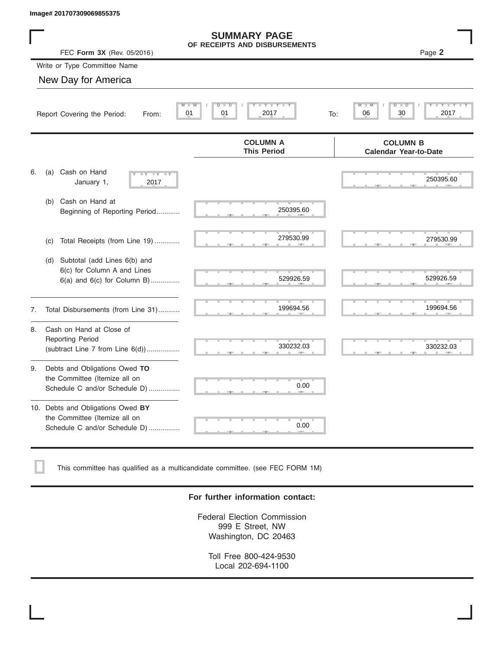|    | Image# 201707309069855375                                                                             |                                                                                     |                                                 |
|----|-------------------------------------------------------------------------------------------------------|-------------------------------------------------------------------------------------|-------------------------------------------------|
|    | FEC Form 3X (Rev. 05/2016)                                                                            | <b>SUMMARY PAGE</b><br>OF RECEIPTS AND DISBURSEMENTS                                | Page 2                                          |
|    | Write or Type Committee Name                                                                          |                                                                                     |                                                 |
|    | New Day for America                                                                                   |                                                                                     |                                                 |
|    | 01<br>Report Covering the Period:<br>From:                                                            | $\blacksquare$ $\vdash$ $\vdash$ $\vdash$ $\vdash$ $\vdash$<br>D<br>D<br>01<br>2017 | 2017<br>06<br>30<br>To:                         |
|    |                                                                                                       | <b>COLUMN A</b><br><b>This Period</b>                                               | <b>COLUMN B</b><br><b>Calendar Year-to-Date</b> |
| 6. | Cash on Hand<br>(a)<br>$- Y - Y - Y$<br>January 1,<br>2017                                            |                                                                                     | 250395.60                                       |
|    | Cash on Hand at<br>(b)<br>Beginning of Reporting Period                                               | 250395.60                                                                           |                                                 |
|    | Total Receipts (from Line 19)<br>(c)                                                                  | 279530.99                                                                           | 279530.99                                       |
|    | Subtotal (add Lines 6(b) and<br>(d)<br>6(c) for Column A and Lines<br>$6(a)$ and $6(c)$ for Column B) | 529926.59                                                                           | 529926.59                                       |
| 7. | Total Disbursements (from Line 31)                                                                    | 199694.56                                                                           | 199694.56                                       |
| 8. | Cash on Hand at Close of<br><b>Reporting Period</b><br>(subtract Line $7$ from Line $6(d)$ )          | 330232.03                                                                           | 330232.03                                       |
| 9. | Debts and Obligations Owed TO<br>the Committee (Itemize all on<br>Schedule C and/or Schedule D)       | 0.00                                                                                |                                                 |
|    | 10. Debts and Obligations Owed BY<br>the Committee (Itemize all on<br>Schedule C and/or Schedule D)   | 0.00                                                                                |                                                 |

This committee has qualified as a multicandidate committee. (see FEC FORM 1M)

### **For further information contact:**

Federal Election Commission 999 E Street, NW Washington, DC 20463

Toll Free 800-424-9530 Local 202-694-1100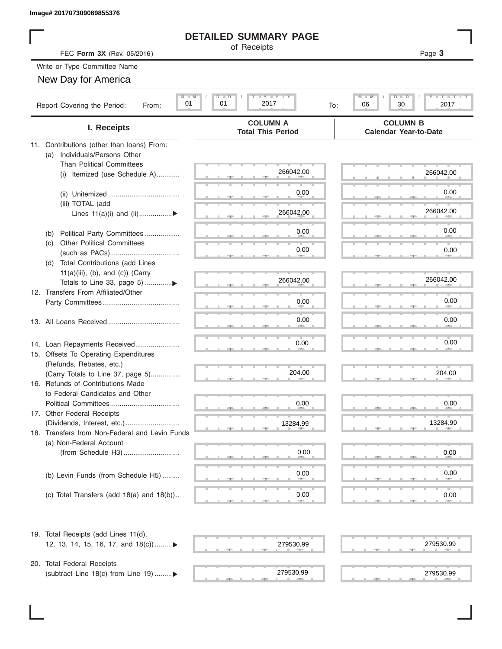# **DETAILED SUMMARY PAGE**

|                                                       | <b>DETAILED SUMMARY PAGE</b>                          |                                                             |
|-------------------------------------------------------|-------------------------------------------------------|-------------------------------------------------------------|
| FEC Form 3X (Rev. 05/2016)                            | of Receipts                                           | Page 3                                                      |
| Write or Type Committee Name                          |                                                       |                                                             |
| New Day for America                                   |                                                       |                                                             |
|                                                       |                                                       |                                                             |
| $M$ $M$<br>01<br>Report Covering the Period:<br>From: | <b>LYLYLY</b><br>$D$ $\Box$<br>ъ<br>01<br>2017<br>To: | M<br>$T - Y$ $T - Y$ $T - Y$<br>$D$ $D$<br>30<br>2017<br>06 |
| I. Receipts                                           | <b>COLUMN A</b><br><b>Total This Period</b>           | <b>COLUMN B</b><br><b>Calendar Year-to-Date</b>             |
| 11. Contributions (other than loans) From:            |                                                       |                                                             |
| Individuals/Persons Other<br>(a)                      |                                                       |                                                             |
| <b>Than Political Committees</b>                      |                                                       |                                                             |
| Itemized (use Schedule A)<br>(i)                      | 266042.00                                             | 266042.00                                                   |
|                                                       | 0.00                                                  | 0.00                                                        |
|                                                       |                                                       |                                                             |
| (iii) TOTAL (add<br>Lines $11(a)(i)$ and $(ii)$       | 266042.00                                             | 266042.00                                                   |
|                                                       |                                                       |                                                             |
| Political Party Committees<br>(b)                     | 0.00                                                  | 0.00                                                        |
| <b>Other Political Committees</b><br>(C)              |                                                       |                                                             |
|                                                       | 0.00                                                  | 0.00                                                        |
| Total Contributions (add Lines<br>(d)                 |                                                       |                                                             |
| $11(a)(iii)$ , (b), and (c)) (Carry                   |                                                       | 266042.00                                                   |
| Totals to Line 33, page 5) ▶                          | 266042.00                                             |                                                             |
| 12. Transfers From Affiliated/Other                   | 0.00                                                  | 0.00                                                        |
|                                                       |                                                       |                                                             |
|                                                       | 0.00                                                  | 0.00                                                        |
|                                                       |                                                       |                                                             |
| 14. Loan Repayments Received                          | 0.00                                                  | 0.00                                                        |
| 15. Offsets To Operating Expenditures                 |                                                       |                                                             |
| (Refunds, Rebates, etc.)                              |                                                       |                                                             |
| (Carry Totals to Line 37, page 5)                     | 204.00                                                | 204.00                                                      |
| 16. Refunds of Contributions Made                     |                                                       |                                                             |
| to Federal Candidates and Other                       |                                                       |                                                             |
| Political Committees                                  | 0.00                                                  | 0.00                                                        |
| 17. Other Federal Receipts                            |                                                       | 13284.99                                                    |
| 18. Transfers from Non-Federal and Levin Funds        | 13284.99                                              |                                                             |
| (a) Non-Federal Account                               |                                                       |                                                             |
|                                                       | 0.00                                                  | 0.00                                                        |
|                                                       |                                                       |                                                             |
| (b) Levin Funds (from Schedule H5)                    | 0.00                                                  | 0.00                                                        |
|                                                       |                                                       |                                                             |
| (c) Total Transfers (add $18(a)$ and $18(b)$ )        | 0.00                                                  | 0.00                                                        |
|                                                       |                                                       |                                                             |
| 19. Total Receipts (add Lines 11(d),                  |                                                       |                                                             |
| 12, 13, 14, 15, 16, 17, and 18(c))▶                   | 279530.99                                             | 279530.99                                                   |
|                                                       |                                                       |                                                             |
| 20. Total Federal Receipts                            |                                                       |                                                             |
| (subtract Line 18(c) from Line 19) ▶                  | 279530.99                                             | 279530.99                                                   |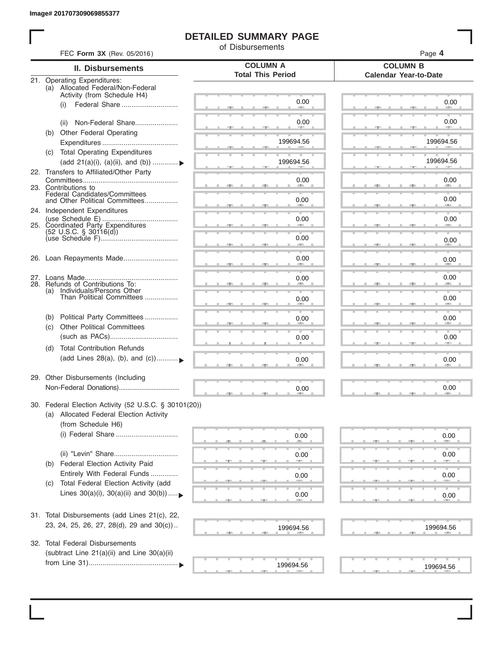# **DETAILED SUMMARY PAGE**

of Disbursements

| FEC Form 3X (Rev. 05/2016)                                      |                                                                                                                                                                                                                                                                                                                                                                                                                                                                                                                                                                                                                                                       | Page 4                                                                                                       |
|-----------------------------------------------------------------|-------------------------------------------------------------------------------------------------------------------------------------------------------------------------------------------------------------------------------------------------------------------------------------------------------------------------------------------------------------------------------------------------------------------------------------------------------------------------------------------------------------------------------------------------------------------------------------------------------------------------------------------------------|--------------------------------------------------------------------------------------------------------------|
| <b>II. Disbursements</b>                                        |                                                                                                                                                                                                                                                                                                                                                                                                                                                                                                                                                                                                                                                       | <b>COLUMN B</b><br><b>Calendar Year-to-Date</b>                                                              |
| (a) Allocated Federal/Non-Federal                               |                                                                                                                                                                                                                                                                                                                                                                                                                                                                                                                                                                                                                                                       |                                                                                                              |
| Federal Share<br>(i)                                            | 0.00                                                                                                                                                                                                                                                                                                                                                                                                                                                                                                                                                                                                                                                  | 0.00                                                                                                         |
| Non-Federal Share<br>(ii)                                       | 0.00                                                                                                                                                                                                                                                                                                                                                                                                                                                                                                                                                                                                                                                  | 0.00                                                                                                         |
| (b)                                                             | 199694.56                                                                                                                                                                                                                                                                                                                                                                                                                                                                                                                                                                                                                                             | 199694.56                                                                                                    |
| (c) Total Operating Expenditures                                |                                                                                                                                                                                                                                                                                                                                                                                                                                                                                                                                                                                                                                                       |                                                                                                              |
| (add 21(a)(i), (a)(ii), and (b))                                | 199694.56                                                                                                                                                                                                                                                                                                                                                                                                                                                                                                                                                                                                                                             | 199694.56                                                                                                    |
|                                                                 | 0.00                                                                                                                                                                                                                                                                                                                                                                                                                                                                                                                                                                                                                                                  | 0.00                                                                                                         |
| Federal Candidates/Committees<br>and Other Political Committees | 0.00                                                                                                                                                                                                                                                                                                                                                                                                                                                                                                                                                                                                                                                  | 0.00                                                                                                         |
|                                                                 | 0.00                                                                                                                                                                                                                                                                                                                                                                                                                                                                                                                                                                                                                                                  | 0.00                                                                                                         |
| $(52 \text{ U.S.C. }$ § 30116(d))                               |                                                                                                                                                                                                                                                                                                                                                                                                                                                                                                                                                                                                                                                       |                                                                                                              |
|                                                                 | an a                                                                                                                                                                                                                                                                                                                                                                                                                                                                                                                                                                                                                                                  | 0.00                                                                                                         |
|                                                                 | 0.00                                                                                                                                                                                                                                                                                                                                                                                                                                                                                                                                                                                                                                                  | 0.00                                                                                                         |
|                                                                 | 0.00                                                                                                                                                                                                                                                                                                                                                                                                                                                                                                                                                                                                                                                  | 0.00                                                                                                         |
| Than Political Committees                                       | 0.00                                                                                                                                                                                                                                                                                                                                                                                                                                                                                                                                                                                                                                                  | 0.00                                                                                                         |
| Political Party Committees<br>(b)                               | 0.00                                                                                                                                                                                                                                                                                                                                                                                                                                                                                                                                                                                                                                                  | 0.00                                                                                                         |
|                                                                 | 0.00                                                                                                                                                                                                                                                                                                                                                                                                                                                                                                                                                                                                                                                  | 0.00                                                                                                         |
| (d)<br>(add Lines 28(a), (b), and (c))                          | 0.00                                                                                                                                                                                                                                                                                                                                                                                                                                                                                                                                                                                                                                                  | 0.00                                                                                                         |
|                                                                 |                                                                                                                                                                                                                                                                                                                                                                                                                                                                                                                                                                                                                                                       |                                                                                                              |
|                                                                 | 0.00                                                                                                                                                                                                                                                                                                                                                                                                                                                                                                                                                                                                                                                  | 0.00                                                                                                         |
| (a) Allocated Federal Election Activity<br>(from Schedule H6)   |                                                                                                                                                                                                                                                                                                                                                                                                                                                                                                                                                                                                                                                       |                                                                                                              |
| (i) Federal Share                                               | 0.00                                                                                                                                                                                                                                                                                                                                                                                                                                                                                                                                                                                                                                                  | 0.00                                                                                                         |
| (ii) "Levin" Share                                              | 0.00                                                                                                                                                                                                                                                                                                                                                                                                                                                                                                                                                                                                                                                  | 0.00                                                                                                         |
| Entirely With Federal Funds                                     | 0.00                                                                                                                                                                                                                                                                                                                                                                                                                                                                                                                                                                                                                                                  | 0.00                                                                                                         |
| Lines $30(a)(i)$ , $30(a)(ii)$ and $30(b))$                     | 0.00                                                                                                                                                                                                                                                                                                                                                                                                                                                                                                                                                                                                                                                  | 0.00                                                                                                         |
|                                                                 |                                                                                                                                                                                                                                                                                                                                                                                                                                                                                                                                                                                                                                                       |                                                                                                              |
| 23, 24, 25, 26, 27, 28(d), 29 and 30(c))                        | 199694.56                                                                                                                                                                                                                                                                                                                                                                                                                                                                                                                                                                                                                                             | 199694.56                                                                                                    |
| <b>Total Federal Disbursements</b>                              |                                                                                                                                                                                                                                                                                                                                                                                                                                                                                                                                                                                                                                                       |                                                                                                              |
|                                                                 | 199694.56                                                                                                                                                                                                                                                                                                                                                                                                                                                                                                                                                                                                                                             | 199694.56                                                                                                    |
|                                                                 | 21. Operating Expenditures:<br>Activity (from Schedule H4)<br>Other Federal Operating<br>22. Transfers to Affiliated/Other Party<br>23. Contributions to<br>24. Independent Expenditures<br>25. Coordinated Party Expenditures<br>26. Loan Repayments Made<br>28. Refunds of Contributions To:<br>(a) Individuals/Persons Other<br><b>Other Political Committees</b><br>(c)<br><b>Total Contribution Refunds</b><br>29. Other Disbursements (Including<br>Federal Election Activity Paid<br>(b)<br>Total Federal Election Activity (add<br>(C)<br>31. Total Disbursements (add Lines 21(c), 22,<br>32.<br>(subtract Line 21(a)(ii) and Line 30(a)(ii) | <b>COLUMN A</b><br><b>Total This Period</b><br>0.00<br>30. Federal Election Activity (52 U.S.C. § 30101(20)) |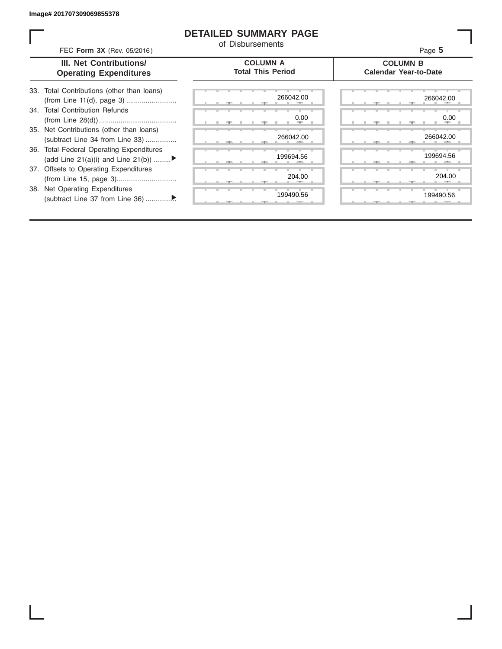## **DETAILED SUMMARY PAGE**

of Disbursements

FEC **Form 3X** (Rev. 05/2016) Page **5**

| III. Net Contributions/       |
|-------------------------------|
| <b>Operating Expenditures</b> |

**COLUMN A Total This Period**

#### **COLUMN B Calendar Year-to-Date**

| 266042.00   | 266042.0 |
|-------------|----------|
| 0.00        | 0.0      |
| <b>AREA</b> |          |
| 266042.00   | 266042.0 |
| 199694.56   | 199694.5 |
|             |          |
| 204.00      | 204.0    |
|             |          |
| 199490.56   | 199490.5 |
| $-7-$       | $-7-$    |

|  | 266042.00                 |  |  |  | 266042.00           |
|--|---------------------------|--|--|--|---------------------|
|  | 0.00<br><b>All Street</b> |  |  |  | 0.00<br><b>COLL</b> |
|  | 266042.00<br>п            |  |  |  | 266042.00           |
|  | 199694.56                 |  |  |  | 199694.56           |
|  | 204.00                    |  |  |  | 204.00              |
|  | 199490.56                 |  |  |  | 199490.56           |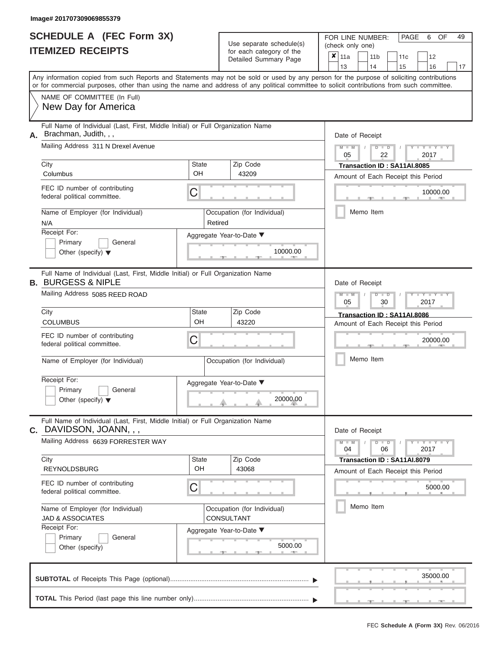ı

|                          | <b>SCHEDULE A (FEC Form 3X)</b> |
|--------------------------|---------------------------------|
| <b>ITEMIZED RECEIPTS</b> |                                 |

Use separate schedule(s) (check only one) for each category of the

FOR LINE NUMBER:<br>(check only one)

PAGE 6 OF 49

| <b>ITEMIZED RECEIPTS</b>                                                                                                                                                                                                                                                                |                                                                                                                  |                                                  | for each category of the<br>Detailed Summary Page | $\pmb{\times}$<br>11a<br>11 <sub>b</sub><br>11c<br>12<br>14<br>13<br>15<br>16<br>17 |                                                                                               |  |  |
|-----------------------------------------------------------------------------------------------------------------------------------------------------------------------------------------------------------------------------------------------------------------------------------------|------------------------------------------------------------------------------------------------------------------|--------------------------------------------------|---------------------------------------------------|-------------------------------------------------------------------------------------|-----------------------------------------------------------------------------------------------|--|--|
| Any information copied from such Reports and Statements may not be sold or used by any person for the purpose of soliciting contributions<br>or for commercial purposes, other than using the name and address of any political committee to solicit contributions from such committee. |                                                                                                                  |                                                  |                                                   |                                                                                     |                                                                                               |  |  |
|                                                                                                                                                                                                                                                                                         | NAME OF COMMITTEE (In Full)<br>New Day for America                                                               |                                                  |                                                   |                                                                                     |                                                                                               |  |  |
| Full Name of Individual (Last, First, Middle Initial) or Full Organization Name<br>Brachman, Judith, , ,<br>А.                                                                                                                                                                          |                                                                                                                  |                                                  |                                                   |                                                                                     | Date of Receipt                                                                               |  |  |
|                                                                                                                                                                                                                                                                                         | Mailing Address 311 N Drexel Avenue<br>City                                                                      | <b>State</b>                                     |                                                   | Zip Code                                                                            | $M - M$<br>$-1 - Y - 1 - Y - 1$<br>$D$ $D$<br>05<br>22<br>2017<br>Transaction ID: SA11AI.8085 |  |  |
|                                                                                                                                                                                                                                                                                         | Columbus                                                                                                         | OH                                               |                                                   | 43209                                                                               | Amount of Each Receipt this Period                                                            |  |  |
|                                                                                                                                                                                                                                                                                         | FEC ID number of contributing<br>federal political committee.                                                    | С                                                |                                                   |                                                                                     | 10000.00                                                                                      |  |  |
|                                                                                                                                                                                                                                                                                         | Name of Employer (for Individual)<br>N/A                                                                         |                                                  | Retired                                           | Occupation (for Individual)                                                         | Memo Item                                                                                     |  |  |
|                                                                                                                                                                                                                                                                                         | Receipt For:                                                                                                     |                                                  |                                                   | Aggregate Year-to-Date ▼                                                            |                                                                                               |  |  |
|                                                                                                                                                                                                                                                                                         | Primary<br>General<br>Other (specify) $\blacktriangledown$                                                       |                                                  |                                                   | 10000.00                                                                            |                                                                                               |  |  |
|                                                                                                                                                                                                                                                                                         | Full Name of Individual (Last, First, Middle Initial) or Full Organization Name<br><b>B. BURGESS &amp; NIPLE</b> |                                                  |                                                   |                                                                                     | Date of Receipt                                                                               |  |  |
|                                                                                                                                                                                                                                                                                         | Mailing Address 5085 REED ROAD                                                                                   |                                                  |                                                   |                                                                                     | Y I Y I<br>$M -$<br>₽<br>$\blacksquare$<br>30<br>2017<br>05                                   |  |  |
|                                                                                                                                                                                                                                                                                         | City<br><b>COLUMBUS</b>                                                                                          | <b>State</b><br>OH                               |                                                   | Zip Code<br>43220                                                                   | Transaction ID: SA11AI.8086<br>Amount of Each Receipt this Period                             |  |  |
|                                                                                                                                                                                                                                                                                         | FEC ID number of contributing<br>С<br>federal political committee.                                               |                                                  |                                                   |                                                                                     | 20000.00                                                                                      |  |  |
| Name of Employer (for Individual)                                                                                                                                                                                                                                                       |                                                                                                                  |                                                  |                                                   | Occupation (for Individual)                                                         | Memo Item                                                                                     |  |  |
|                                                                                                                                                                                                                                                                                         | Receipt For:<br>General<br>Primary                                                                               |                                                  |                                                   | Aggregate Year-to-Date ▼                                                            |                                                                                               |  |  |
|                                                                                                                                                                                                                                                                                         | Other (specify) $\blacktriangledown$                                                                             |                                                  |                                                   | 20000.00                                                                            |                                                                                               |  |  |
|                                                                                                                                                                                                                                                                                         | Full Name of Individual (Last, First, Middle Initial) or Full Organization Name<br>C. DAVIDSON, JOANN, ,         |                                                  |                                                   |                                                                                     | Date of Receipt                                                                               |  |  |
|                                                                                                                                                                                                                                                                                         | Mailing Address 6639 FORRESTER WAY                                                                               |                                                  |                                                   |                                                                                     | $M - M$<br>$D$ $D$<br>$Y - Y - Y$<br>06<br>04<br>2017                                         |  |  |
|                                                                                                                                                                                                                                                                                         | City<br><b>REYNOLDSBURG</b>                                                                                      | State<br>OH                                      |                                                   | Zip Code<br>43068                                                                   | Transaction ID: SA11AI.8079<br>Amount of Each Receipt this Period                             |  |  |
|                                                                                                                                                                                                                                                                                         | FEC ID number of contributing<br>federal political committee.                                                    | С                                                |                                                   |                                                                                     | 5000.00                                                                                       |  |  |
|                                                                                                                                                                                                                                                                                         | Name of Employer (for Individual)<br><b>JAD &amp; ASSOCIATES</b>                                                 | Occupation (for Individual)<br><b>CONSULTANT</b> |                                                   |                                                                                     | Memo Item                                                                                     |  |  |
| Receipt For:<br>Aggregate Year-to-Date ▼                                                                                                                                                                                                                                                |                                                                                                                  |                                                  |                                                   |                                                                                     |                                                                                               |  |  |
|                                                                                                                                                                                                                                                                                         | Primary<br>General<br>Other (specify)                                                                            |                                                  |                                                   | 5000.00<br><b>COLLEGE</b><br>- 1                                                    |                                                                                               |  |  |
|                                                                                                                                                                                                                                                                                         |                                                                                                                  |                                                  |                                                   |                                                                                     | 35000.00                                                                                      |  |  |
|                                                                                                                                                                                                                                                                                         |                                                                                                                  |                                                  |                                                   |                                                                                     | <u>—</u><br>$-1$                                                                              |  |  |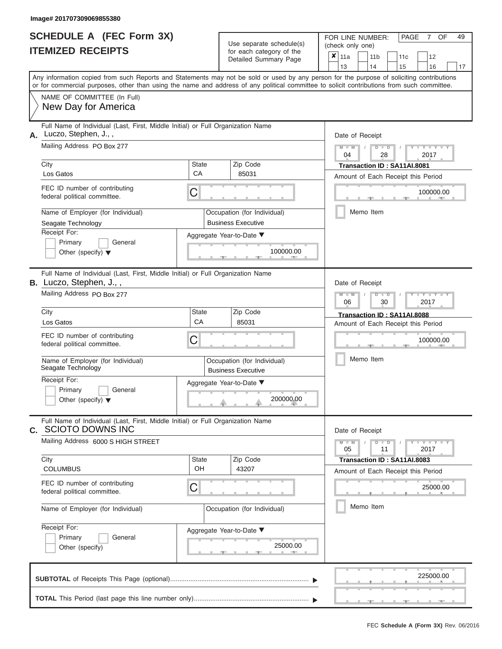|                          | SCHEDULE A (FEC Form 3X) |
|--------------------------|--------------------------|
| <b>ITEMIZED RECEIPTS</b> |                          |

| SCHEDULE A (FEC Form 3X)<br><b>ITEMIZED RECEIPTS</b>                                                                                     | Use separate schedule(s)<br>for each category of the                                                                                                                                                                                                                                    | 49<br>FOR LINE NUMBER:<br>PAGE<br>OF<br>7<br>(check only one)<br>$\boldsymbol{x}$<br>11a<br>11 <sub>b</sub><br>12<br>11c |
|------------------------------------------------------------------------------------------------------------------------------------------|-----------------------------------------------------------------------------------------------------------------------------------------------------------------------------------------------------------------------------------------------------------------------------------------|--------------------------------------------------------------------------------------------------------------------------|
|                                                                                                                                          | Detailed Summary Page                                                                                                                                                                                                                                                                   | 13<br>14<br>15<br>16<br>17                                                                                               |
|                                                                                                                                          | Any information copied from such Reports and Statements may not be sold or used by any person for the purpose of soliciting contributions<br>or for commercial purposes, other than using the name and address of any political committee to solicit contributions from such committee. |                                                                                                                          |
| NAME OF COMMITTEE (In Full)<br>New Day for America                                                                                       |                                                                                                                                                                                                                                                                                         |                                                                                                                          |
| Full Name of Individual (Last, First, Middle Initial) or Full Organization Name<br>Luczo, Stephen, J.,,<br>Α.                            |                                                                                                                                                                                                                                                                                         | Date of Receipt                                                                                                          |
| Mailing Address PO Box 277                                                                                                               |                                                                                                                                                                                                                                                                                         | $M = M$ /<br>$D$ $D$<br>$\cdots$ Y $\cdots$ Y $\cdots$<br>04<br>28<br>2017                                               |
| City<br>Los Gatos                                                                                                                        | <b>State</b><br>Zip Code<br>CA<br>85031                                                                                                                                                                                                                                                 | Transaction ID: SA11AI.8081<br>Amount of Each Receipt this Period                                                        |
| FEC ID number of contributing<br>federal political committee.                                                                            | C                                                                                                                                                                                                                                                                                       | 100000.00                                                                                                                |
| Name of Employer (for Individual)<br>Seagate Technology                                                                                  | Occupation (for Individual)<br><b>Business Executive</b>                                                                                                                                                                                                                                | Memo Item                                                                                                                |
| Receipt For:<br>Primary<br>General<br>Other (specify) $\blacktriangledown$                                                               | Aggregate Year-to-Date ▼<br>100000.00                                                                                                                                                                                                                                                   |                                                                                                                          |
| Full Name of Individual (Last, First, Middle Initial) or Full Organization Name<br>B. Luczo, Stephen, J.,,<br>Mailing Address PO Box 277 |                                                                                                                                                                                                                                                                                         | Date of Receipt<br>$M - M$<br>$D$ $D$<br>$T - Y = T - T$<br>06<br>2017<br>30                                             |
| City                                                                                                                                     | State<br>Zip Code<br>CA                                                                                                                                                                                                                                                                 | Transaction ID: SA11AI.8088                                                                                              |
| Los Gatos<br>FEC ID number of contributing<br>federal political committee.                                                               | 85031<br>C                                                                                                                                                                                                                                                                              | Amount of Each Receipt this Period<br>100000.00                                                                          |
| Name of Employer (for Individual)<br>Seagate Technology                                                                                  | Occupation (for Individual)<br><b>Business Executive</b>                                                                                                                                                                                                                                | Memo Item                                                                                                                |
| Receipt For:<br>Primary<br>General<br>Other (specify) $\blacktriangledown$                                                               | Aggregate Year-to-Date ▼<br>200000.00                                                                                                                                                                                                                                                   |                                                                                                                          |
| Full Name of Individual (Last, First, Middle Initial) or Full Organization Name<br><b>SCIOTO DOWNS INC</b><br>$C_{1}$                    |                                                                                                                                                                                                                                                                                         | Date of Receipt                                                                                                          |
| Mailing Address 6000 S HIGH STREET                                                                                                       |                                                                                                                                                                                                                                                                                         | $M - M$<br>$D$ $D$<br>$\mathbf{I} = \mathbf{Y} + \mathbf{I} - \mathbf{Y} + \mathbf{I}$<br>05<br>11<br>2017               |
| City<br><b>COLUMBUS</b>                                                                                                                  | Zip Code<br>State<br>OH<br>43207                                                                                                                                                                                                                                                        | Transaction ID: SA11AI.8083<br>Amount of Each Receipt this Period                                                        |
| FEC ID number of contributing<br>federal political committee.                                                                            | С                                                                                                                                                                                                                                                                                       | 25000.00                                                                                                                 |
| Name of Employer (for Individual)                                                                                                        | Occupation (for Individual)                                                                                                                                                                                                                                                             | Memo Item                                                                                                                |
| Receipt For:<br>Primary<br>General<br>Other (specify)                                                                                    | Aggregate Year-to-Date ▼<br>25000.00                                                                                                                                                                                                                                                    |                                                                                                                          |
|                                                                                                                                          |                                                                                                                                                                                                                                                                                         | 225000.00                                                                                                                |
|                                                                                                                                          |                                                                                                                                                                                                                                                                                         |                                                                                                                          |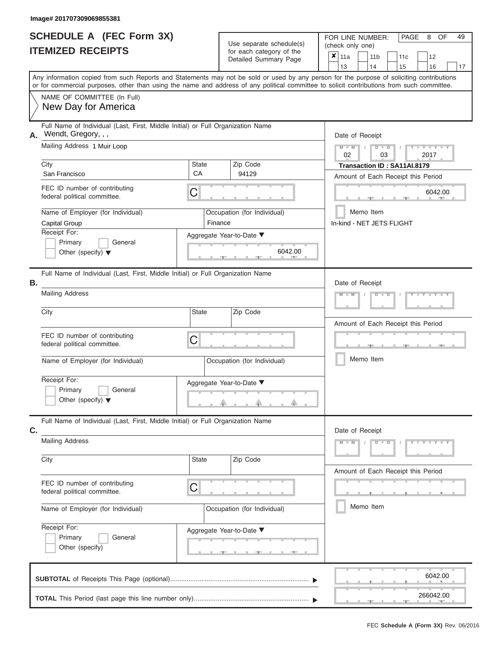| <b>SCHEDULE A (FEC Form 3X)</b> |  |
|---------------------------------|--|
| <b>ITEMIZED RECEIPTS</b>        |  |

|    | SCHEDULE A (FEC Form 3X)<br><b>ITEMIZED RECEIPTS</b>                                                                                                                                                                                                                                    |         | Use separate schedule(s)                            | 49<br>FOR LINE NUMBER:<br>PAGE<br>OF<br>8<br>(check only one)                                         |
|----|-----------------------------------------------------------------------------------------------------------------------------------------------------------------------------------------------------------------------------------------------------------------------------------------|---------|-----------------------------------------------------|-------------------------------------------------------------------------------------------------------|
|    |                                                                                                                                                                                                                                                                                         |         | for each category of the<br>Detailed Summary Page   | $\overline{\mathbf{x}}$ 11a<br>11 <sub>b</sub><br>12<br>11 <sub>c</sub><br>13<br>14<br>16<br>15<br>17 |
|    | Any information copied from such Reports and Statements may not be sold or used by any person for the purpose of soliciting contributions<br>or for commercial purposes, other than using the name and address of any political committee to solicit contributions from such committee. |         |                                                     |                                                                                                       |
|    | NAME OF COMMITTEE (In Full)<br>New Day for America                                                                                                                                                                                                                                      |         |                                                     |                                                                                                       |
| А. | Full Name of Individual (Last, First, Middle Initial) or Full Organization Name<br>Wendt, Gregory, , ,                                                                                                                                                                                  |         |                                                     | Date of Receipt                                                                                       |
|    | Mailing Address 1 Muir Loop<br>City                                                                                                                                                                                                                                                     | State   | Zip Code                                            | $M - M$<br>$D$ $D$<br>$Y - Y - I$<br>$\sqrt{ }$<br>02<br>03<br>2017                                   |
|    | San Francisco                                                                                                                                                                                                                                                                           | CA      | 94129                                               | Transaction ID: SA11AI.8179<br>Amount of Each Receipt this Period                                     |
|    | FEC ID number of contributing<br>federal political committee.                                                                                                                                                                                                                           | С       |                                                     | 6042.00                                                                                               |
|    | Name of Employer (for Individual)<br>Capital Group                                                                                                                                                                                                                                      | Finance | Occupation (for Individual)                         | Memo Item<br>In-kind - NET JETS FLIGHT                                                                |
|    | Receipt For:<br>Primary<br>General                                                                                                                                                                                                                                                      |         | Aggregate Year-to-Date ▼                            |                                                                                                       |
|    | Other (specify) $\blacktriangledown$                                                                                                                                                                                                                                                    |         | 6042.00                                             |                                                                                                       |
| Β. | Full Name of Individual (Last, First, Middle Initial) or Full Organization Name                                                                                                                                                                                                         |         |                                                     | Date of Receipt                                                                                       |
|    | <b>Mailing Address</b>                                                                                                                                                                                                                                                                  |         |                                                     | $M - M$<br>$D - I$                                                                                    |
|    | City                                                                                                                                                                                                                                                                                    | State   | Zip Code                                            | Amount of Each Receipt this Period                                                                    |
|    | FEC ID number of contributing<br>federal political committee.                                                                                                                                                                                                                           | С       |                                                     |                                                                                                       |
|    | Name of Employer (for Individual)                                                                                                                                                                                                                                                       |         | Occupation (for Individual)                         | Memo Item                                                                                             |
|    | Receipt For:                                                                                                                                                                                                                                                                            |         | Aggregate Year-to-Date ▼                            |                                                                                                       |
|    | Primary<br>General<br>Other (specify) $\blacktriangledown$                                                                                                                                                                                                                              |         | a.                                                  |                                                                                                       |
| C. | Full Name of Individual (Last, First, Middle Initial) or Full Organization Name                                                                                                                                                                                                         |         |                                                     | Date of Receipt                                                                                       |
|    | <b>Mailing Address</b>                                                                                                                                                                                                                                                                  |         |                                                     | $D$ $\Box$ $D$<br>$Y - Y - Y - Y - I - Y$<br>$M - M$                                                  |
|    | City                                                                                                                                                                                                                                                                                    | State   | Zip Code                                            | Amount of Each Receipt this Period                                                                    |
|    | FEC ID number of contributing<br>federal political committee.                                                                                                                                                                                                                           | С       |                                                     |                                                                                                       |
|    | Name of Employer (for Individual)                                                                                                                                                                                                                                                       |         | Occupation (for Individual)                         | Memo Item                                                                                             |
|    | Receipt For:<br>Primary<br>General<br>Other (specify)                                                                                                                                                                                                                                   |         | Aggregate Year-to-Date ▼<br><u>_______</u> ________ |                                                                                                       |
|    |                                                                                                                                                                                                                                                                                         |         |                                                     | 6042.00                                                                                               |
|    |                                                                                                                                                                                                                                                                                         |         |                                                     | 266042.00                                                                                             |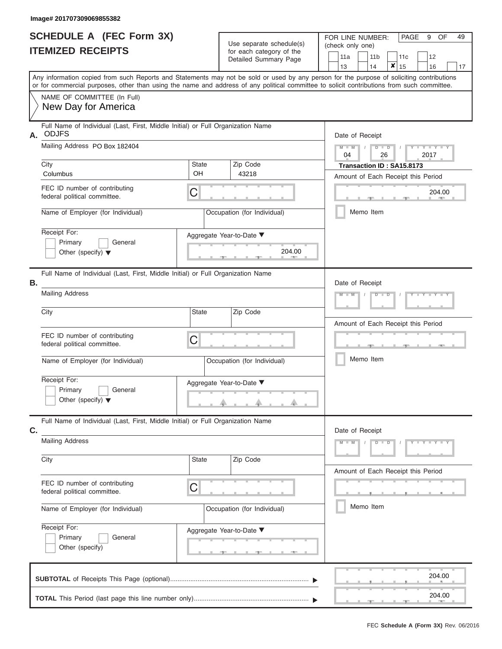| <b>SCHEDULE A (FEC Form 3X)</b> |  |  |
|---------------------------------|--|--|
| <b>ITEMIZED RECEIPTS</b>        |  |  |

Use separate schedule(s) for each category of the

FOR LINE NUMBER:<br>(check only one)

PAGE 9 OF 49

| MILLY INLVLII IV                                                                                                                                                                                                                                                                        |                    | ioi caoil calogory of the<br>Detailed Summary Page | 11a<br>13       | 11 <sub>b</sub><br>14 | 11c<br>X<br>15                                                  | 12<br>16               | 17 |
|-----------------------------------------------------------------------------------------------------------------------------------------------------------------------------------------------------------------------------------------------------------------------------------------|--------------------|----------------------------------------------------|-----------------|-----------------------|-----------------------------------------------------------------|------------------------|----|
| Any information copied from such Reports and Statements may not be sold or used by any person for the purpose of soliciting contributions<br>or for commercial purposes, other than using the name and address of any political committee to solicit contributions from such committee. |                    |                                                    |                 |                       |                                                                 |                        |    |
| NAME OF COMMITTEE (In Full)<br>New Day for America                                                                                                                                                                                                                                      |                    |                                                    |                 |                       |                                                                 |                        |    |
| Full Name of Individual (Last, First, Middle Initial) or Full Organization Name<br><b>ODJFS</b><br>А.                                                                                                                                                                                   |                    |                                                    | Date of Receipt |                       |                                                                 |                        |    |
| Mailing Address PO Box 182404                                                                                                                                                                                                                                                           |                    |                                                    | $M - M$<br>04   | $D$ $D$<br>26         |                                                                 | Y I Y I<br>2017        |    |
| City<br>Columbus                                                                                                                                                                                                                                                                        | <b>State</b><br>OH | Zip Code<br>43218                                  |                 |                       | Transaction ID: SA15.8173<br>Amount of Each Receipt this Period |                        |    |
| FEC ID number of contributing<br>federal political committee.                                                                                                                                                                                                                           | C                  |                                                    |                 |                       |                                                                 | 204.00<br><b>AND A</b> |    |
| Name of Employer (for Individual)                                                                                                                                                                                                                                                       |                    | Occupation (for Individual)                        |                 | Memo Item             |                                                                 |                        |    |
| Receipt For:<br>Primary<br>General<br>Other (specify) $\blacktriangledown$                                                                                                                                                                                                              |                    | Aggregate Year-to-Date ▼<br>204.00                 |                 |                       |                                                                 |                        |    |
| Full Name of Individual (Last, First, Middle Initial) or Full Organization Name<br>Β.                                                                                                                                                                                                   |                    |                                                    | Date of Receipt |                       |                                                                 |                        |    |
| <b>Mailing Address</b>                                                                                                                                                                                                                                                                  |                    |                                                    |                 | ъ                     |                                                                 |                        |    |
| City                                                                                                                                                                                                                                                                                    | <b>State</b>       | Zip Code                                           |                 |                       | Amount of Each Receipt this Period                              |                        |    |
| FEC ID number of contributing<br>federal political committee.                                                                                                                                                                                                                           | C                  |                                                    |                 |                       |                                                                 |                        |    |
| Name of Employer (for Individual)                                                                                                                                                                                                                                                       |                    | Occupation (for Individual)                        |                 | Memo Item             |                                                                 |                        |    |
| Receipt For:<br>Primary<br>General<br>Other (specify) $\blacktriangledown$                                                                                                                                                                                                              |                    | Aggregate Year-to-Date ▼                           |                 |                       |                                                                 |                        |    |
| Full Name of Individual (Last, First, Middle Initial) or Full Organization Name<br>C.                                                                                                                                                                                                   |                    |                                                    | Date of Receipt |                       |                                                                 |                        |    |
| <b>Mailing Address</b>                                                                                                                                                                                                                                                                  |                    |                                                    | $M - M$         | $D$ $D$               |                                                                 | $Y - Y - Y - Y - Y$    |    |
| City                                                                                                                                                                                                                                                                                    | <b>State</b>       | Zip Code                                           |                 |                       | Amount of Each Receipt this Period                              |                        |    |
| FEC ID number of contributing<br>federal political committee.                                                                                                                                                                                                                           | C                  |                                                    |                 |                       |                                                                 |                        |    |
| Name of Employer (for Individual)                                                                                                                                                                                                                                                       |                    | Occupation (for Individual)                        |                 | Memo Item             |                                                                 |                        |    |
| Receipt For:<br>Primary<br>General<br>Other (specify)                                                                                                                                                                                                                                   |                    | Aggregate Year-to-Date ▼<br>____                   |                 |                       |                                                                 |                        |    |
|                                                                                                                                                                                                                                                                                         |                    |                                                    |                 |                       |                                                                 | 204.00                 |    |
|                                                                                                                                                                                                                                                                                         |                    |                                                    |                 |                       | 一                                                               | 204.00<br>$-1$         |    |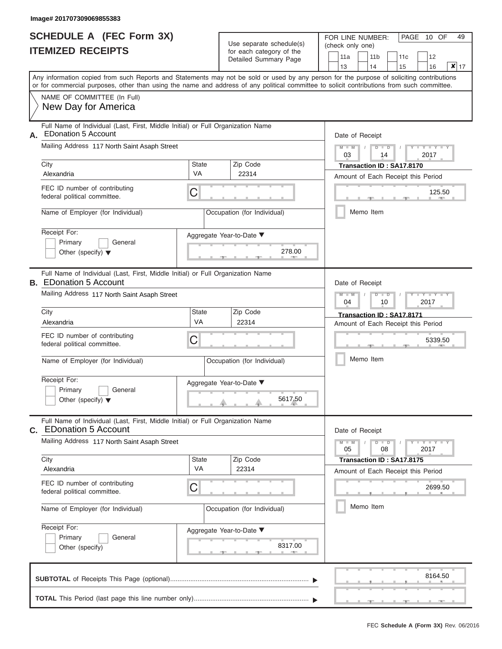|                          | <b>SCHEDULE A (FEC Form 3X)</b> |
|--------------------------|---------------------------------|
| <b>ITEMIZED RECEIPTS</b> |                                 |

|                | SCHEDULE A (FEC Form 3X)<br><b>ITEMIZED RECEIPTS</b>                                                                                                                                                                                                                                    |                           | Use separate schedule(s)<br>for each category of the | 49<br>FOR LINE NUMBER:<br>PAGE 10 OF<br>(check only one)<br>12<br>11a<br>11 <sub>b</sub><br>11 <sub>c</sub> |
|----------------|-----------------------------------------------------------------------------------------------------------------------------------------------------------------------------------------------------------------------------------------------------------------------------------------|---------------------------|------------------------------------------------------|-------------------------------------------------------------------------------------------------------------|
|                |                                                                                                                                                                                                                                                                                         |                           | Detailed Summary Page                                | $x _{17}$<br>14<br>13<br>15<br>16                                                                           |
|                | Any information copied from such Reports and Statements may not be sold or used by any person for the purpose of soliciting contributions<br>or for commercial purposes, other than using the name and address of any political committee to solicit contributions from such committee. |                           |                                                      |                                                                                                             |
|                | NAME OF COMMITTEE (In Full)<br>New Day for America                                                                                                                                                                                                                                      |                           |                                                      |                                                                                                             |
| Α.             | Full Name of Individual (Last, First, Middle Initial) or Full Organization Name<br><b>EDonation 5 Account</b>                                                                                                                                                                           |                           |                                                      | Date of Receipt                                                                                             |
|                | Mailing Address 117 North Saint Asaph Street<br>City                                                                                                                                                                                                                                    | <b>State</b>              | Zip Code                                             | $M - M$<br>$Y = Y + Y$<br>$D$ $D$<br>03<br>2017<br>14                                                       |
|                | Alexandria                                                                                                                                                                                                                                                                              | VA                        | 22314                                                | Transaction ID: SA17.8170<br>Amount of Each Receipt this Period                                             |
|                | FEC ID number of contributing<br>federal political committee.                                                                                                                                                                                                                           | C                         |                                                      | 125.50<br><b>AND IN</b>                                                                                     |
|                | Name of Employer (for Individual)                                                                                                                                                                                                                                                       |                           | Occupation (for Individual)                          | Memo Item                                                                                                   |
|                | Receipt For:<br>Primary<br>General<br>Other (specify) $\blacktriangledown$                                                                                                                                                                                                              |                           | Aggregate Year-to-Date ▼<br>278.00                   |                                                                                                             |
|                | Full Name of Individual (Last, First, Middle Initial) or Full Organization Name<br><b>B.</b> EDonation 5 Account                                                                                                                                                                        |                           |                                                      | Date of Receipt                                                                                             |
|                | Mailing Address 117 North Saint Asaph Street                                                                                                                                                                                                                                            |                           |                                                      | $M - M$<br>$D$ $\Box$ $D$<br>$Y$ $Y$ $Y$<br>04<br>2017<br>10                                                |
|                | City<br>Alexandria                                                                                                                                                                                                                                                                      | <b>State</b><br>VA        | Zip Code<br>22314                                    | Transaction ID: SA17.8171                                                                                   |
|                | FEC ID number of contributing<br>federal political committee.                                                                                                                                                                                                                           | С                         |                                                      | Amount of Each Receipt this Period<br>5339.50                                                               |
|                | Name of Employer (for Individual)                                                                                                                                                                                                                                                       |                           | Occupation (for Individual)                          | Memo Item                                                                                                   |
|                | Receipt For:<br>Primary<br>General<br>Other (specify) $\blacktriangledown$                                                                                                                                                                                                              |                           | Aggregate Year-to-Date ▼<br>5617.50                  |                                                                                                             |
| $\mathbf{C}$ . | Full Name of Individual (Last, First, Middle Initial) or Full Organization Name<br><b>EDonation 5 Account</b>                                                                                                                                                                           |                           |                                                      | Date of Receipt                                                                                             |
|                | Mailing Address 117 North Saint Asaph Street                                                                                                                                                                                                                                            |                           |                                                      | $M - M$<br>$D$ $D$<br>$+Y + Y + Y$<br>05<br>08<br>2017                                                      |
|                | City<br>Alexandria                                                                                                                                                                                                                                                                      | <b>State</b><br><b>VA</b> | Zip Code<br>22314                                    | Transaction ID: SA17.8175<br>Amount of Each Receipt this Period                                             |
|                | FEC ID number of contributing<br>federal political committee.                                                                                                                                                                                                                           | С                         |                                                      | 2699.50                                                                                                     |
|                | Name of Employer (for Individual)                                                                                                                                                                                                                                                       |                           | Occupation (for Individual)                          | Memo Item                                                                                                   |
|                | Receipt For:<br>Primary<br>General<br>Other (specify)                                                                                                                                                                                                                                   |                           | Aggregate Year-to-Date ▼<br>8317.00                  |                                                                                                             |
|                |                                                                                                                                                                                                                                                                                         |                           |                                                      | 8164.50                                                                                                     |
|                |                                                                                                                                                                                                                                                                                         |                           |                                                      |                                                                                                             |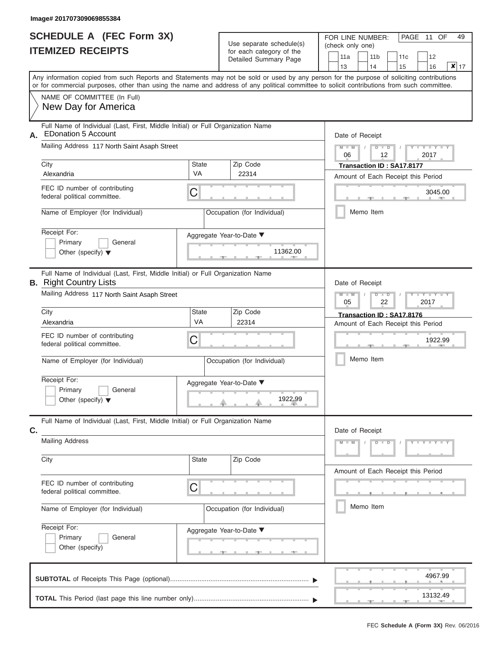|                          | <b>SCHEDULE A (FEC Form 3X)</b> |
|--------------------------|---------------------------------|
| <b>ITEMIZED RECEIPTS</b> |                                 |

|    | SCHEDULE A (FEC Form 3X)                                                                                                                                                                                                                                                                |                           | Use separate schedule(s)                       |                         | FOR LINE NUMBER:<br>PAGE<br>11 OF |                                    |               |  |  |  |  |  |
|----|-----------------------------------------------------------------------------------------------------------------------------------------------------------------------------------------------------------------------------------------------------------------------------------------|---------------------------|------------------------------------------------|-------------------------|-----------------------------------|------------------------------------|---------------|--|--|--|--|--|
|    | <b>ITEMIZED RECEIPTS</b>                                                                                                                                                                                                                                                                |                           | for each category of the                       | (check only one)<br>11a | 11 <sub>b</sub>                   | 12<br>11c                          |               |  |  |  |  |  |
|    |                                                                                                                                                                                                                                                                                         |                           | Detailed Summary Page                          | 13                      | 14                                | 15<br>16                           | $x _{17}$     |  |  |  |  |  |
|    | Any information copied from such Reports and Statements may not be sold or used by any person for the purpose of soliciting contributions<br>or for commercial purposes, other than using the name and address of any political committee to solicit contributions from such committee. |                           |                                                |                         |                                   |                                    |               |  |  |  |  |  |
|    | NAME OF COMMITTEE (In Full)<br>New Day for America                                                                                                                                                                                                                                      |                           |                                                |                         |                                   |                                    |               |  |  |  |  |  |
| А. | Full Name of Individual (Last, First, Middle Initial) or Full Organization Name<br><b>EDonation 5 Account</b>                                                                                                                                                                           |                           |                                                |                         | Date of Receipt                   |                                    |               |  |  |  |  |  |
|    | Mailing Address 117 North Saint Asaph Street                                                                                                                                                                                                                                            |                           |                                                | $M - M$ /<br>06         | $D$ $D$<br>12                     | Y TY T<br>2017                     |               |  |  |  |  |  |
|    | City<br>Alexandria                                                                                                                                                                                                                                                                      | <b>State</b><br><b>VA</b> | Zip Code<br>22314                              |                         | Transaction ID: SA17.8177         | Amount of Each Receipt this Period |               |  |  |  |  |  |
|    | FEC ID number of contributing<br>federal political committee.                                                                                                                                                                                                                           | С                         |                                                |                         |                                   | 3045.00                            | <b>AND IN</b> |  |  |  |  |  |
|    | Name of Employer (for Individual)                                                                                                                                                                                                                                                       |                           | Occupation (for Individual)                    |                         | Memo Item                         |                                    |               |  |  |  |  |  |
|    | Receipt For:<br>Primary<br>General<br>Other (specify) $\blacktriangledown$                                                                                                                                                                                                              |                           | Aggregate Year-to-Date ▼<br>11362.00           |                         |                                   |                                    |               |  |  |  |  |  |
|    | Full Name of Individual (Last, First, Middle Initial) or Full Organization Name<br><b>B.</b> Right Country Lists                                                                                                                                                                        |                           |                                                |                         | Date of Receipt                   |                                    |               |  |  |  |  |  |
|    | Mailing Address 117 North Saint Asaph Street                                                                                                                                                                                                                                            |                           |                                                | $M - M$<br>05           | $D$ $D$<br>22                     | $Y - Y - I$<br>2017                |               |  |  |  |  |  |
|    | City<br>Alexandria                                                                                                                                                                                                                                                                      | <b>State</b><br><b>VA</b> | Zip Code<br>22314                              |                         | Transaction ID: SA17.8176         | Amount of Each Receipt this Period |               |  |  |  |  |  |
|    | FEC ID number of contributing<br>federal political committee.                                                                                                                                                                                                                           | С                         |                                                |                         |                                   | 1922.99                            |               |  |  |  |  |  |
|    | Name of Employer (for Individual)                                                                                                                                                                                                                                                       |                           | Occupation (for Individual)                    |                         | Memo Item                         |                                    |               |  |  |  |  |  |
|    | Receipt For:                                                                                                                                                                                                                                                                            |                           | Aggregate Year-to-Date ▼                       |                         |                                   |                                    |               |  |  |  |  |  |
|    | Primary<br>General<br>Other (specify) $\blacktriangledown$                                                                                                                                                                                                                              |                           | 1922.99                                        |                         |                                   |                                    |               |  |  |  |  |  |
| C. | Full Name of Individual (Last, First, Middle Initial) or Full Organization Name                                                                                                                                                                                                         |                           |                                                |                         | Date of Receipt                   |                                    |               |  |  |  |  |  |
|    | <b>Mailing Address</b>                                                                                                                                                                                                                                                                  |                           |                                                | $M - M$                 | $D$ $\Box$ $D$                    | $Y = Y = Y + Y$                    |               |  |  |  |  |  |
|    | City                                                                                                                                                                                                                                                                                    | State                     | Zip Code                                       |                         |                                   | Amount of Each Receipt this Period |               |  |  |  |  |  |
|    | FEC ID number of contributing<br>federal political committee.                                                                                                                                                                                                                           | С                         |                                                |                         |                                   |                                    |               |  |  |  |  |  |
|    | Name of Employer (for Individual)                                                                                                                                                                                                                                                       |                           | Occupation (for Individual)                    |                         | Memo Item                         |                                    |               |  |  |  |  |  |
|    | Receipt For:<br>Primary<br>General<br>Other (specify)                                                                                                                                                                                                                                   |                           | Aggregate Year-to-Date ▼<br>__________________ |                         |                                   |                                    |               |  |  |  |  |  |
|    |                                                                                                                                                                                                                                                                                         |                           |                                                |                         |                                   | 4967.99                            |               |  |  |  |  |  |
|    |                                                                                                                                                                                                                                                                                         |                           |                                                |                         |                                   | 13132.49                           |               |  |  |  |  |  |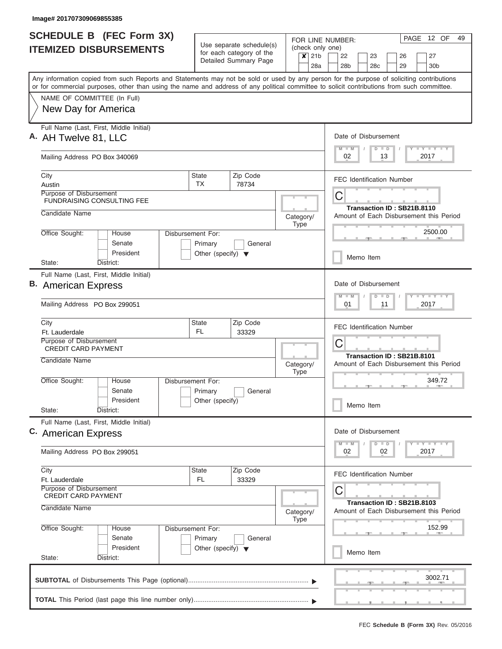| <b>SCHEDULE B (FEC Form 3X)</b>                                                                                                                                                                                                                                                         |                                                                      |                                                                               | FOR LINE NUMBER:                                               | PAGE 12 OF<br>49                                                             |  |  |  |  |  |  |
|-----------------------------------------------------------------------------------------------------------------------------------------------------------------------------------------------------------------------------------------------------------------------------------------|----------------------------------------------------------------------|-------------------------------------------------------------------------------|----------------------------------------------------------------|------------------------------------------------------------------------------|--|--|--|--|--|--|
| <b>ITEMIZED DISBURSEMENTS</b>                                                                                                                                                                                                                                                           |                                                                      | Use separate schedule(s)<br>for each category of the<br>Detailed Summary Page | (check only one)<br>21 <sub>b</sub><br>$\boldsymbol{x}$<br>28a | 22<br>23<br>26<br>27<br>28 <sub>b</sub><br>28c<br>29<br>30 <sub>b</sub>      |  |  |  |  |  |  |
| Any information copied from such Reports and Statements may not be sold or used by any person for the purpose of soliciting contributions<br>or for commercial purposes, other than using the name and address of any political committee to solicit contributions from such committee. |                                                                      |                                                                               |                                                                |                                                                              |  |  |  |  |  |  |
| NAME OF COMMITTEE (In Full)                                                                                                                                                                                                                                                             |                                                                      |                                                                               |                                                                |                                                                              |  |  |  |  |  |  |
| New Day for America                                                                                                                                                                                                                                                                     |                                                                      |                                                                               |                                                                |                                                                              |  |  |  |  |  |  |
| Full Name (Last, First, Middle Initial)<br>A. AH Twelve 81, LLC                                                                                                                                                                                                                         |                                                                      |                                                                               |                                                                |                                                                              |  |  |  |  |  |  |
| Mailing Address PO Box 340069                                                                                                                                                                                                                                                           |                                                                      |                                                                               |                                                                | Y L Y L Y L Y<br>$M$ $M$<br>$D$ $D$<br>02<br>13<br>2017                      |  |  |  |  |  |  |
| City<br>Austin                                                                                                                                                                                                                                                                          | State<br>TX                                                          | Zip Code<br>78734                                                             |                                                                | <b>FEC Identification Number</b>                                             |  |  |  |  |  |  |
| Purpose of Disbursement<br><b>FUNDRAISING CONSULTING FEE</b>                                                                                                                                                                                                                            |                                                                      |                                                                               |                                                                | C                                                                            |  |  |  |  |  |  |
| Candidate Name                                                                                                                                                                                                                                                                          |                                                                      |                                                                               | Category/<br><b>Type</b>                                       | Transaction ID: SB21B.8110<br>Amount of Each Disbursement this Period        |  |  |  |  |  |  |
| Office Sought:<br>House<br>Senate<br>President                                                                                                                                                                                                                                          | Disbursement For:<br>Primary<br>Other (specify) $\blacktriangledown$ | General                                                                       |                                                                | 2500.00                                                                      |  |  |  |  |  |  |
| State:<br>District:                                                                                                                                                                                                                                                                     |                                                                      |                                                                               |                                                                | Memo Item                                                                    |  |  |  |  |  |  |
| Full Name (Last, First, Middle Initial)<br><b>B.</b> American Express<br>Mailing Address PO Box 299051                                                                                                                                                                                  |                                                                      |                                                                               |                                                                | Date of Disbursement<br>Y FY FY FY<br>$M - M$<br>$D$ $D$<br>01<br>11<br>2017 |  |  |  |  |  |  |
| City<br>Ft. Lauderdale                                                                                                                                                                                                                                                                  | <b>State</b><br>FL.                                                  | Zip Code<br>33329                                                             |                                                                | <b>FEC Identification Number</b>                                             |  |  |  |  |  |  |
| Purpose of Disbursement<br><b>CREDIT CARD PAYMENT</b>                                                                                                                                                                                                                                   |                                                                      |                                                                               |                                                                | С                                                                            |  |  |  |  |  |  |
| Candidate Name                                                                                                                                                                                                                                                                          |                                                                      |                                                                               | Category/<br><b>Type</b>                                       | Transaction ID: SB21B.8101<br>Amount of Each Disbursement this Period        |  |  |  |  |  |  |
| Office Sought:<br>House<br>Senate                                                                                                                                                                                                                                                       | Disbursement For:<br>Primary                                         | General                                                                       |                                                                | 349.72                                                                       |  |  |  |  |  |  |
| President<br>State:<br>District:                                                                                                                                                                                                                                                        | Other (specify)                                                      |                                                                               |                                                                | Memo Item                                                                    |  |  |  |  |  |  |
| Full Name (Last, First, Middle Initial)<br>C. American Express                                                                                                                                                                                                                          |                                                                      |                                                                               |                                                                | Date of Disbursement                                                         |  |  |  |  |  |  |
| Mailing Address PO Box 299051                                                                                                                                                                                                                                                           |                                                                      |                                                                               |                                                                | $Y$ $Y$ $Y$ $Y$ $Y$<br>$D$ $D$<br>$M$ $M$<br>02<br>2017<br>02                |  |  |  |  |  |  |
| City<br>Ft. Lauderdale                                                                                                                                                                                                                                                                  | State<br>FL.                                                         | Zip Code<br>33329                                                             |                                                                | <b>FEC Identification Number</b>                                             |  |  |  |  |  |  |
| Purpose of Disbursement<br><b>CREDIT CARD PAYMENT</b><br>Candidate Name                                                                                                                                                                                                                 |                                                                      |                                                                               | Category/<br><b>Type</b>                                       | С<br>Transaction ID: SB21B.8103<br>Amount of Each Disbursement this Period   |  |  |  |  |  |  |
| Office Sought:<br>House<br>Senate                                                                                                                                                                                                                                                       | Disbursement For:<br>Primary                                         | General                                                                       |                                                                | 152.99                                                                       |  |  |  |  |  |  |
| President<br>State:<br>District:                                                                                                                                                                                                                                                        | Other (specify) $\blacktriangledown$                                 |                                                                               |                                                                | Memo Item                                                                    |  |  |  |  |  |  |
|                                                                                                                                                                                                                                                                                         |                                                                      |                                                                               |                                                                | 3002.71                                                                      |  |  |  |  |  |  |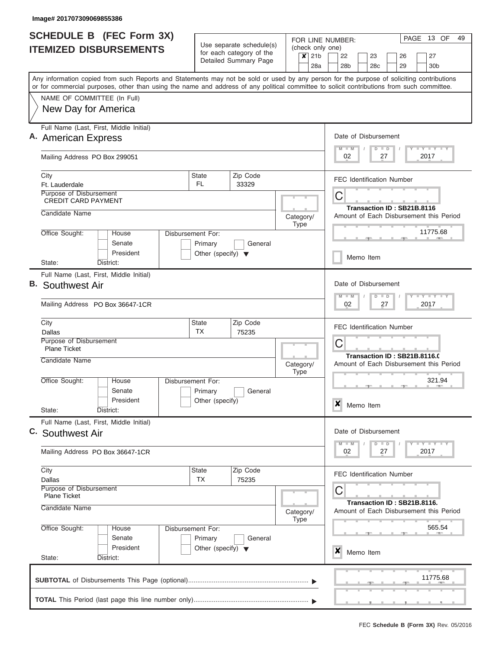|    | <b>SCHEDULE B</b> (FEC Form 3X)                                                                                                            |                                      |                                                      |           |             |                |                  |                                                                                   | FOR LINE NUMBER:      |  |           |               |  |                                  | PAGE 13 OF                              | 49 |
|----|--------------------------------------------------------------------------------------------------------------------------------------------|--------------------------------------|------------------------------------------------------|-----------|-------------|----------------|------------------|-----------------------------------------------------------------------------------|-----------------------|--|-----------|---------------|--|----------------------------------|-----------------------------------------|----|
|    | <b>ITEMIZED DISBURSEMENTS</b>                                                                                                              |                                      | Use separate schedule(s)<br>for each category of the |           |             |                | (check only one) |                                                                                   |                       |  |           |               |  |                                  |                                         |    |
|    |                                                                                                                                            |                                      | Detailed Summary Page                                |           |             | $x$ 21b<br>28a |                  |                                                                                   | 22<br>28 <sub>b</sub> |  | 23<br>28c |               |  | 26<br>29                         | 27<br>30 <sub>b</sub>                   |    |
|    | Any information copied from such Reports and Statements may not be sold or used by any person for the purpose of soliciting contributions  |                                      |                                                      |           |             |                |                  |                                                                                   |                       |  |           |               |  |                                  |                                         |    |
|    | or for commercial purposes, other than using the name and address of any political committee to solicit contributions from such committee. |                                      |                                                      |           |             |                |                  |                                                                                   |                       |  |           |               |  |                                  |                                         |    |
|    | NAME OF COMMITTEE (In Full)                                                                                                                |                                      |                                                      |           |             |                |                  |                                                                                   |                       |  |           |               |  |                                  |                                         |    |
|    | New Day for America                                                                                                                        |                                      |                                                      |           |             |                |                  |                                                                                   |                       |  |           |               |  |                                  |                                         |    |
|    | Full Name (Last, First, Middle Initial)                                                                                                    |                                      |                                                      |           |             |                |                  |                                                                                   |                       |  |           |               |  |                                  |                                         |    |
|    | A. American Express                                                                                                                        |                                      |                                                      |           |             |                |                  |                                                                                   | Date of Disbursement  |  |           |               |  |                                  |                                         |    |
|    | Mailing Address PO Box 299051                                                                                                              |                                      |                                                      |           |             |                |                  |                                                                                   | $M$ $M$<br>02         |  |           | $D$ $D$<br>27 |  |                                  | Y L Y L Y L Y<br>2017                   |    |
|    | City                                                                                                                                       | <b>State</b>                         | Zip Code                                             |           |             |                |                  |                                                                                   |                       |  |           |               |  | <b>FEC Identification Number</b> |                                         |    |
|    | Ft. Lauderdale<br>Purpose of Disbursement                                                                                                  | FL.                                  | 33329                                                |           |             |                |                  |                                                                                   |                       |  |           |               |  |                                  |                                         |    |
|    | <b>CREDIT CARD PAYMENT</b>                                                                                                                 |                                      |                                                      |           |             |                |                  |                                                                                   | С                     |  |           |               |  |                                  |                                         |    |
|    | Candidate Name                                                                                                                             |                                      |                                                      | Category/ |             |                |                  |                                                                                   |                       |  |           |               |  | Transaction ID: SB21B.8116       | Amount of Each Disbursement this Period |    |
|    |                                                                                                                                            |                                      |                                                      |           | Type        |                |                  |                                                                                   |                       |  |           |               |  |                                  |                                         |    |
|    | Office Sought:<br><b>House</b><br>Disbursement For:<br>Senate                                                                              | Primary                              | General                                              |           |             |                |                  |                                                                                   |                       |  |           |               |  |                                  | 11775.68                                |    |
|    | President                                                                                                                                  | Other (specify) $\blacktriangledown$ |                                                      |           |             |                |                  |                                                                                   |                       |  |           |               |  |                                  |                                         |    |
|    | District:<br>State:                                                                                                                        |                                      |                                                      |           |             |                |                  |                                                                                   |                       |  | Memo Item |               |  |                                  |                                         |    |
|    | Full Name (Last, First, Middle Initial)                                                                                                    |                                      |                                                      |           |             |                |                  |                                                                                   |                       |  |           |               |  |                                  |                                         |    |
| В. | Southwest Air                                                                                                                              |                                      |                                                      |           |             |                |                  | Date of Disbursement<br>$T$ $T$ $T$ $T$ $T$ $T$ $T$ $T$ $T$<br>$M - M$<br>$D$ $D$ |                       |  |           |               |  |                                  |                                         |    |
|    | Mailing Address PO Box 36647-1CR                                                                                                           |                                      |                                                      |           |             |                |                  |                                                                                   | 02                    |  |           | 27            |  |                                  | 2017                                    |    |
|    | City                                                                                                                                       | <b>State</b>                         | Zip Code                                             |           |             |                |                  |                                                                                   |                       |  |           |               |  | <b>FEC Identification Number</b> |                                         |    |
|    | Dallas<br>Purpose of Disbursement                                                                                                          | <b>TX</b>                            | 75235                                                |           |             |                |                  |                                                                                   |                       |  |           |               |  |                                  |                                         |    |
|    | <b>Plane Ticket</b>                                                                                                                        |                                      |                                                      |           |             |                |                  |                                                                                   | С                     |  |           |               |  |                                  | Transaction ID: SB21B.8116.0            |    |
|    | Candidate Name                                                                                                                             |                                      |                                                      | Category/ | <b>Type</b> |                |                  |                                                                                   |                       |  |           |               |  |                                  | Amount of Each Disbursement this Period |    |
|    | Office Sought:<br>House<br><b>Disbursement For:</b>                                                                                        |                                      |                                                      |           |             |                |                  |                                                                                   |                       |  |           |               |  | $\rightarrow$                    | 321.94<br>$-1$                          |    |
|    | Senate<br>President                                                                                                                        | Primary<br>Other (specify)           | General                                              |           |             |                |                  |                                                                                   |                       |  |           |               |  |                                  |                                         |    |
|    | State:<br>District:                                                                                                                        |                                      |                                                      |           |             |                |                  | ×                                                                                 |                       |  | Memo Item |               |  |                                  |                                         |    |
|    | Full Name (Last, First, Middle Initial)                                                                                                    |                                      |                                                      |           |             |                |                  |                                                                                   |                       |  |           |               |  |                                  |                                         |    |
|    | C. Southwest Air                                                                                                                           |                                      |                                                      |           |             |                |                  |                                                                                   | Date of Disbursement  |  |           |               |  |                                  |                                         |    |
|    | Mailing Address PO Box 36647-1CR                                                                                                           |                                      |                                                      |           |             |                |                  |                                                                                   | $M - M$<br>02         |  |           | $D$ $D$<br>27 |  |                                  | $T - Y$ $T - Y$ $T - Y$<br>2017         |    |
|    | City                                                                                                                                       | <b>State</b>                         | Zip Code                                             |           |             |                |                  |                                                                                   |                       |  |           |               |  | <b>FEC Identification Number</b> |                                         |    |
|    | Dallas<br>Purpose of Disbursement                                                                                                          | <b>TX</b>                            | 75235                                                |           |             |                |                  |                                                                                   |                       |  |           |               |  |                                  |                                         |    |
|    | <b>Plane Ticket</b>                                                                                                                        |                                      |                                                      |           |             |                |                  |                                                                                   | С                     |  |           |               |  |                                  |                                         |    |
|    | Candidate Name                                                                                                                             |                                      |                                                      | Category/ |             |                |                  |                                                                                   |                       |  |           |               |  | Transaction ID: SB21B.8116.      | Amount of Each Disbursement this Period |    |
|    |                                                                                                                                            |                                      |                                                      |           | Type        |                |                  |                                                                                   |                       |  |           |               |  |                                  |                                         |    |
|    | Office Sought:<br>House<br>Disbursement For:<br>Senate                                                                                     | Primary                              | General                                              |           |             |                |                  |                                                                                   |                       |  |           |               |  |                                  | 565.54                                  |    |
|    | President                                                                                                                                  | Other (specify) $\blacktriangledown$ |                                                      |           |             |                |                  | X                                                                                 |                       |  | Memo Item |               |  |                                  |                                         |    |
|    | State:<br>District:                                                                                                                        |                                      |                                                      |           |             |                |                  |                                                                                   |                       |  |           |               |  |                                  |                                         |    |
|    |                                                                                                                                            |                                      |                                                      |           |             |                |                  |                                                                                   |                       |  |           |               |  |                                  | 11775.68                                |    |
|    |                                                                                                                                            |                                      |                                                      |           |             |                |                  |                                                                                   |                       |  |           |               |  |                                  |                                         |    |
|    |                                                                                                                                            |                                      |                                                      |           |             |                |                  |                                                                                   |                       |  |           |               |  |                                  |                                         |    |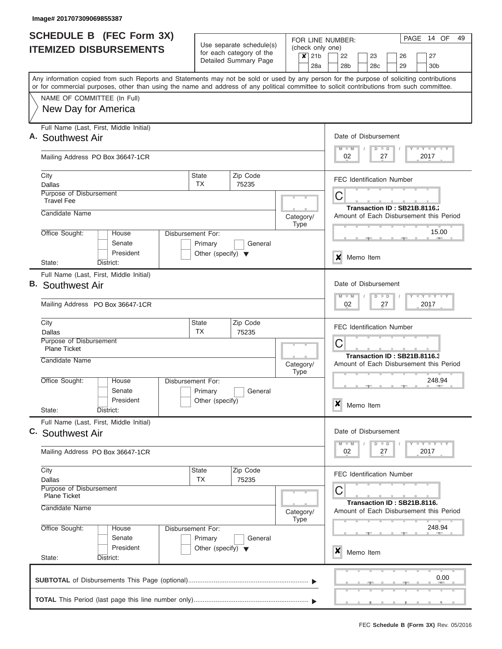|    | <b>SCHEDULE B</b> (FEC Form 3X)                                                                                                            |                                                 | Use separate schedule(s)                          |                          |                  |                                        | FOR LINE NUMBER: |                 |  |                                  |    |  |      |  | PAGE 14 OF                              | 49 |
|----|--------------------------------------------------------------------------------------------------------------------------------------------|-------------------------------------------------|---------------------------------------------------|--------------------------|------------------|----------------------------------------|------------------|-----------------|--|----------------------------------|----|--|------|--|-----------------------------------------|----|
|    | <b>ITEMIZED DISBURSEMENTS</b>                                                                                                              |                                                 | for each category of the<br>Detailed Summary Page |                          | $\boldsymbol{x}$ | 21 <sub>b</sub>                        | (check only one) | 22              |  | 23                               |    |  | 26   |  | 27                                      |    |
|    | Any information copied from such Reports and Statements may not be sold or used by any person for the purpose of soliciting contributions  |                                                 |                                                   |                          |                  | 28a                                    |                  | 28 <sub>b</sub> |  | 28c                              |    |  | 29   |  | 30 <sub>b</sub>                         |    |
|    | or for commercial purposes, other than using the name and address of any political committee to solicit contributions from such committee. |                                                 |                                                   |                          |                  |                                        |                  |                 |  |                                  |    |  |      |  |                                         |    |
|    | NAME OF COMMITTEE (In Full)                                                                                                                |                                                 |                                                   |                          |                  |                                        |                  |                 |  |                                  |    |  |      |  |                                         |    |
|    | New Day for America                                                                                                                        |                                                 |                                                   |                          |                  |                                        |                  |                 |  |                                  |    |  |      |  |                                         |    |
|    | Full Name (Last, First, Middle Initial)<br>A. Southwest Air                                                                                |                                                 |                                                   |                          |                  |                                        |                  |                 |  | Date of Disbursement             |    |  |      |  |                                         |    |
|    |                                                                                                                                            |                                                 |                                                   |                          |                  |                                        |                  | $M$ $M$         |  | $D$ $D$                          |    |  |      |  | Y I Y I Y I Y                           |    |
|    | Mailing Address PO Box 36647-1CR                                                                                                           |                                                 |                                                   |                          |                  |                                        |                  | 02              |  |                                  | 27 |  |      |  | 2017                                    |    |
|    | City<br>Dallas                                                                                                                             | State<br><b>TX</b>                              | Zip Code<br>75235                                 |                          |                  |                                        |                  |                 |  | <b>FEC Identification Number</b> |    |  |      |  |                                         |    |
|    | Purpose of Disbursement<br><b>Travel Fee</b>                                                                                               |                                                 |                                                   |                          |                  |                                        | С                |                 |  |                                  |    |  |      |  |                                         |    |
|    | Candidate Name                                                                                                                             |                                                 |                                                   |                          |                  |                                        |                  |                 |  | Transaction ID: SB21B.8116.      |    |  |      |  |                                         |    |
|    |                                                                                                                                            |                                                 |                                                   | Category/<br><b>Type</b> |                  |                                        |                  |                 |  |                                  |    |  |      |  | Amount of Each Disbursement this Period |    |
|    | Office Sought:<br>House                                                                                                                    | Disbursement For:                               |                                                   |                          |                  |                                        |                  |                 |  |                                  |    |  |      |  | 15.00                                   |    |
|    | Senate<br>President                                                                                                                        | Primary<br>Other (specify) $\blacktriangledown$ | General                                           |                          |                  |                                        |                  |                 |  |                                  |    |  |      |  |                                         |    |
|    | District:<br>State:                                                                                                                        |                                                 |                                                   |                          |                  |                                        | x                |                 |  | Memo Item                        |    |  |      |  |                                         |    |
|    | Full Name (Last, First, Middle Initial)                                                                                                    |                                                 |                                                   |                          |                  |                                        |                  |                 |  |                                  |    |  |      |  |                                         |    |
| В. | <b>Southwest Air</b>                                                                                                                       |                                                 |                                                   |                          |                  |                                        |                  |                 |  | Date of Disbursement             |    |  |      |  |                                         |    |
|    | Mailing Address PO Box 36647-1CR                                                                                                           |                                                 |                                                   |                          |                  | $M - M$<br>$D$ $D$<br>02<br>27<br>2017 |                  |                 |  |                                  |    |  |      |  |                                         |    |
|    | City<br>Dallas                                                                                                                             | State<br><b>TX</b>                              | Zip Code<br>75235                                 |                          |                  |                                        |                  |                 |  | <b>FEC Identification Number</b> |    |  |      |  |                                         |    |
|    | Purpose of Disbursement                                                                                                                    |                                                 |                                                   |                          |                  |                                        | C                |                 |  |                                  |    |  |      |  |                                         |    |
|    | <b>Plane Ticket</b>                                                                                                                        |                                                 |                                                   |                          |                  |                                        |                  |                 |  | Transaction ID: SB21B.8116.3     |    |  |      |  |                                         |    |
|    | Candidate Name                                                                                                                             |                                                 |                                                   | Category/<br><b>Type</b> |                  |                                        |                  |                 |  |                                  |    |  |      |  | Amount of Each Disbursement this Period |    |
|    | Office Sought:<br>House                                                                                                                    | Disbursement For:                               |                                                   |                          |                  |                                        |                  |                 |  |                                  |    |  |      |  | 248.94                                  |    |
|    | Senate<br>President                                                                                                                        | Primary<br>Other (specify)                      | General                                           |                          |                  |                                        |                  |                 |  |                                  |    |  |      |  |                                         |    |
|    | State:<br>District:                                                                                                                        |                                                 |                                                   |                          |                  |                                        | $\boldsymbol{x}$ |                 |  | Memo Item                        |    |  |      |  |                                         |    |
|    | Full Name (Last, First, Middle Initial)                                                                                                    |                                                 |                                                   |                          |                  |                                        |                  |                 |  |                                  |    |  |      |  |                                         |    |
|    | C. Southwest Air                                                                                                                           |                                                 |                                                   |                          |                  |                                        |                  |                 |  | Date of Disbursement             |    |  |      |  |                                         |    |
|    | Mailing Address PO Box 36647-1CR                                                                                                           |                                                 |                                                   |                          |                  |                                        |                  | $M$ $M$<br>02   |  | $D$ $D$                          | 27 |  |      |  | $T$ $Y$ $T$ $Y$ $T$<br>2017             |    |
|    | City<br>Dallas                                                                                                                             | <b>State</b><br>ТX                              | Zip Code<br>75235                                 |                          |                  |                                        |                  |                 |  | <b>FEC Identification Number</b> |    |  |      |  |                                         |    |
|    | Purpose of Disbursement                                                                                                                    |                                                 |                                                   |                          |                  |                                        | C                |                 |  |                                  |    |  |      |  |                                         |    |
|    | <b>Plane Ticket</b><br>Candidate Name                                                                                                      |                                                 |                                                   |                          |                  |                                        |                  |                 |  | Transaction ID: SB21B.8116.      |    |  |      |  |                                         |    |
|    |                                                                                                                                            |                                                 |                                                   | Category/<br><b>Type</b> |                  |                                        |                  |                 |  |                                  |    |  |      |  | Amount of Each Disbursement this Period |    |
|    | Office Sought:<br>House                                                                                                                    | Disbursement For:                               |                                                   |                          |                  |                                        |                  |                 |  |                                  |    |  |      |  | 248.94                                  |    |
|    | Senate<br>President                                                                                                                        | Primary                                         | General                                           |                          |                  |                                        |                  |                 |  |                                  |    |  |      |  |                                         |    |
|    | State:<br>District:                                                                                                                        | Other (specify) $\blacktriangledown$            |                                                   |                          |                  |                                        | ×                |                 |  | Memo Item                        |    |  |      |  |                                         |    |
|    |                                                                                                                                            |                                                 |                                                   |                          |                  |                                        |                  |                 |  |                                  |    |  | $-1$ |  | 0.00                                    |    |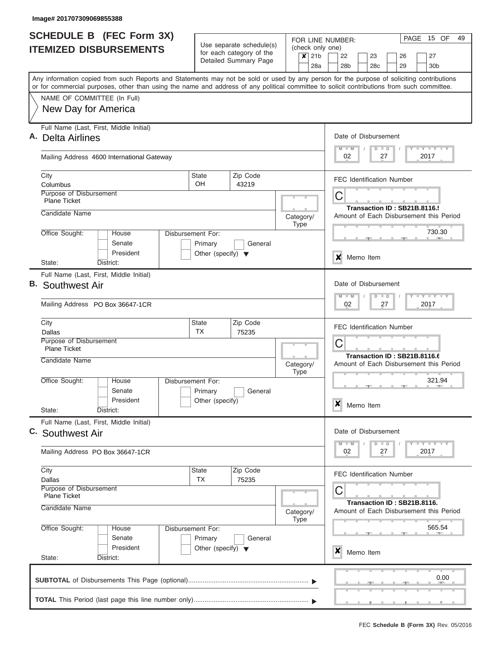| <b>SCHEDULE B</b> (FEC Form 3X)                                                                                                                                           | Use separate schedule(s)                        |                          |                          |         | PAGE 15 OF<br>49<br>FOR LINE NUMBER:                              |                                    |                                         |           |               |                                  |    |                             |                                         |  |  |  |  |  |  |
|---------------------------------------------------------------------------------------------------------------------------------------------------------------------------|-------------------------------------------------|--------------------------|--------------------------|---------|-------------------------------------------------------------------|------------------------------------|-----------------------------------------|-----------|---------------|----------------------------------|----|-----------------------------|-----------------------------------------|--|--|--|--|--|--|
| <b>ITEMIZED DISBURSEMENTS</b>                                                                                                                                             |                                                 | for each category of the |                          | $x$ 21b |                                                                   | (check only one)<br>22<br>23<br>26 |                                         |           |               |                                  |    |                             | 27                                      |  |  |  |  |  |  |
|                                                                                                                                                                           |                                                 | Detailed Summary Page    |                          |         | 28a                                                               | 28b                                |                                         | 28c       |               |                                  | 29 |                             | 30b                                     |  |  |  |  |  |  |
| Any information copied from such Reports and Statements may not be sold or used by any person for the purpose of soliciting contributions                                 |                                                 |                          |                          |         |                                                                   |                                    |                                         |           |               |                                  |    |                             |                                         |  |  |  |  |  |  |
| or for commercial purposes, other than using the name and address of any political committee to solicit contributions from such committee.<br>NAME OF COMMITTEE (In Full) |                                                 |                          |                          |         |                                                                   |                                    |                                         |           |               |                                  |    |                             |                                         |  |  |  |  |  |  |
| New Day for America                                                                                                                                                       |                                                 |                          |                          |         |                                                                   |                                    |                                         |           |               |                                  |    |                             |                                         |  |  |  |  |  |  |
| Full Name (Last, First, Middle Initial)                                                                                                                                   |                                                 |                          |                          |         |                                                                   |                                    |                                         |           |               |                                  |    |                             |                                         |  |  |  |  |  |  |
| Α.<br>Delta Airlines                                                                                                                                                      |                                                 |                          |                          |         |                                                                   |                                    |                                         |           |               | Date of Disbursement             |    |                             |                                         |  |  |  |  |  |  |
| Mailing Address 4600 International Gateway                                                                                                                                |                                                 |                          |                          |         |                                                                   | $M - M$<br>02                      |                                         |           | $D$ $D$<br>27 |                                  |    | 2017                        | Y L Y L Y L Y                           |  |  |  |  |  |  |
|                                                                                                                                                                           |                                                 |                          |                          |         |                                                                   |                                    |                                         |           |               |                                  |    |                             |                                         |  |  |  |  |  |  |
| City<br>Columbus                                                                                                                                                          | <b>State</b><br><b>OH</b>                       | Zip Code<br>43219        |                          |         |                                                                   |                                    |                                         |           |               | <b>FEC Identification Number</b> |    |                             |                                         |  |  |  |  |  |  |
| Purpose of Disbursement                                                                                                                                                   |                                                 |                          |                          |         | С                                                                 |                                    |                                         |           |               |                                  |    |                             |                                         |  |  |  |  |  |  |
| <b>Plane Ticket</b>                                                                                                                                                       |                                                 |                          |                          |         |                                                                   | Transaction ID: SB21B.8116.        |                                         |           |               |                                  |    |                             |                                         |  |  |  |  |  |  |
| Candidate Name                                                                                                                                                            | Category/<br><b>Type</b>                        |                          |                          |         |                                                                   |                                    | Amount of Each Disbursement this Period |           |               |                                  |    |                             |                                         |  |  |  |  |  |  |
| Office Sought:<br>House                                                                                                                                                   | Disbursement For:                               |                          |                          |         | 730.30                                                            |                                    |                                         |           |               |                                  |    |                             |                                         |  |  |  |  |  |  |
| Senate<br>President                                                                                                                                                       | Primary<br>Other (specify) $\blacktriangledown$ | General                  |                          |         |                                                                   |                                    |                                         |           |               |                                  |    |                             |                                         |  |  |  |  |  |  |
| District:<br>State:                                                                                                                                                       |                                                 |                          |                          |         |                                                                   |                                    |                                         | Memo Item |               |                                  |    |                             |                                         |  |  |  |  |  |  |
| Full Name (Last, First, Middle Initial)                                                                                                                                   |                                                 |                          |                          |         |                                                                   |                                    |                                         |           |               |                                  |    |                             |                                         |  |  |  |  |  |  |
| В.<br>Southwest Air                                                                                                                                                       |                                                 |                          |                          |         | Date of Disbursement<br>$T$ $Y$ $T$ $Y$ $T$<br>$M - M$<br>$D$ $D$ |                                    |                                         |           |               |                                  |    |                             |                                         |  |  |  |  |  |  |
| Mailing Address PO Box 36647-1CR                                                                                                                                          |                                                 |                          |                          |         |                                                                   |                                    | 02<br>27<br>2017                        |           |               |                                  |    |                             |                                         |  |  |  |  |  |  |
| City                                                                                                                                                                      | <b>State</b>                                    | Zip Code                 |                          |         |                                                                   |                                    |                                         |           |               | <b>FEC Identification Number</b> |    |                             |                                         |  |  |  |  |  |  |
| Dallas<br>Purpose of Disbursement                                                                                                                                         | <b>TX</b><br>75235                              |                          |                          |         |                                                                   |                                    | С                                       |           |               |                                  |    |                             |                                         |  |  |  |  |  |  |
| <b>Plane Ticket</b><br>Candidate Name                                                                                                                                     |                                                 |                          |                          |         |                                                                   | Transaction ID: SB21B.8116.6       |                                         |           |               |                                  |    |                             |                                         |  |  |  |  |  |  |
|                                                                                                                                                                           |                                                 |                          | Category/<br><b>Type</b> |         |                                                                   |                                    |                                         |           |               |                                  |    |                             | Amount of Each Disbursement this Period |  |  |  |  |  |  |
| Office Sought:<br>House                                                                                                                                                   | Disbursement For:                               |                          |                          |         |                                                                   | 321.94<br>--<br>$-1$<br>л.         |                                         |           |               |                                  |    |                             |                                         |  |  |  |  |  |  |
| Senate<br>President                                                                                                                                                       | Primary<br>Other (specify)                      | General                  |                          |         |                                                                   |                                    |                                         |           |               |                                  |    |                             |                                         |  |  |  |  |  |  |
| State:<br>District:                                                                                                                                                       |                                                 |                          |                          |         |                                                                   | ×                                  |                                         | Memo Item |               |                                  |    |                             |                                         |  |  |  |  |  |  |
| Full Name (Last, First, Middle Initial)                                                                                                                                   |                                                 |                          |                          |         |                                                                   |                                    |                                         |           |               |                                  |    |                             |                                         |  |  |  |  |  |  |
| C. Southwest Air                                                                                                                                                          |                                                 |                          |                          |         |                                                                   | $M$ $M$                            |                                         |           | $D$ $D$       | Date of Disbursement             |    |                             | <b>LY LY LY</b>                         |  |  |  |  |  |  |
| Mailing Address PO Box 36647-1CR                                                                                                                                          |                                                 |                          |                          |         |                                                                   | 02                                 |                                         |           | 27            |                                  |    | 2017                        |                                         |  |  |  |  |  |  |
| City                                                                                                                                                                      | <b>State</b>                                    | Zip Code                 |                          |         |                                                                   |                                    |                                         |           |               | <b>FEC Identification Number</b> |    |                             |                                         |  |  |  |  |  |  |
| Dallas<br>Purpose of Disbursement                                                                                                                                         | <b>TX</b>                                       | 75235                    |                          |         |                                                                   | С                                  |                                         |           |               |                                  |    |                             |                                         |  |  |  |  |  |  |
| <b>Plane Ticket</b>                                                                                                                                                       | Candidate Name<br>Category/                     |                          |                          |         |                                                                   |                                    |                                         |           |               |                                  |    | Transaction ID: SB21B.8116. |                                         |  |  |  |  |  |  |
|                                                                                                                                                                           |                                                 |                          |                          |         |                                                                   |                                    |                                         |           |               |                                  |    |                             | Amount of Each Disbursement this Period |  |  |  |  |  |  |
| Office Sought:<br>House                                                                                                                                                   | Disbursement For:                               |                          | <b>Type</b>              |         |                                                                   | 565.54                             |                                         |           |               |                                  |    |                             |                                         |  |  |  |  |  |  |
| Senate<br>President                                                                                                                                                       | Primary<br>Other (specify) $\blacktriangledown$ | General                  |                          |         |                                                                   |                                    |                                         |           |               |                                  |    |                             |                                         |  |  |  |  |  |  |
| State:<br>District:                                                                                                                                                       |                                                 |                          |                          |         |                                                                   | x                                  |                                         | Memo Item |               |                                  |    |                             |                                         |  |  |  |  |  |  |
|                                                                                                                                                                           |                                                 |                          |                          |         |                                                                   |                                    |                                         |           |               |                                  |    |                             |                                         |  |  |  |  |  |  |
|                                                                                                                                                                           |                                                 |                          |                          |         |                                                                   |                                    |                                         |           |               |                                  |    |                             | 0.00                                    |  |  |  |  |  |  |
|                                                                                                                                                                           |                                                 |                          |                          |         |                                                                   |                                    |                                         |           |               |                                  |    |                             |                                         |  |  |  |  |  |  |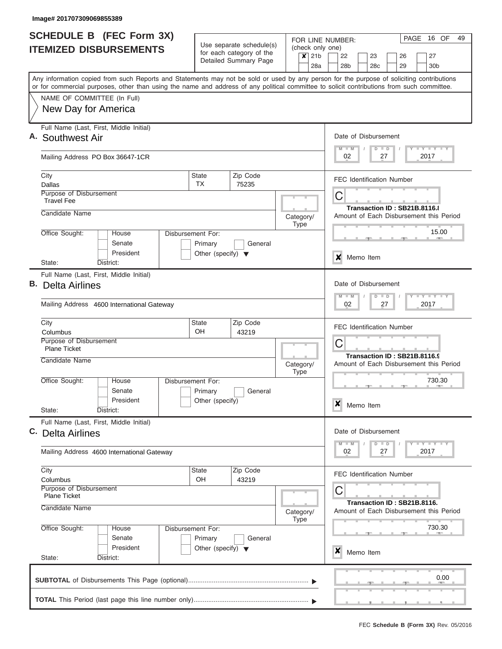|    | <b>SCHEDULE B (FEC Form 3X)</b>                                                                                                                                           |                                      |                                                      | FOR LINE NUMBER:                                        | PAGE 16 OF<br>49                                                        |  |  |  |  |  |  |  |  |  |  |  |
|----|---------------------------------------------------------------------------------------------------------------------------------------------------------------------------|--------------------------------------|------------------------------------------------------|---------------------------------------------------------|-------------------------------------------------------------------------|--|--|--|--|--|--|--|--|--|--|--|
|    | <b>ITEMIZED DISBURSEMENTS</b>                                                                                                                                             |                                      | Use separate schedule(s)<br>for each category of the | (check only one)<br>21 <sub>b</sub><br>$\boldsymbol{x}$ | 23<br>27                                                                |  |  |  |  |  |  |  |  |  |  |  |
|    |                                                                                                                                                                           |                                      | Detailed Summary Page                                | 28a                                                     | 22<br>26<br>28 <sub>b</sub><br>28 <sub>c</sub><br>29<br>30 <sub>b</sub> |  |  |  |  |  |  |  |  |  |  |  |
|    | Any information copied from such Reports and Statements may not be sold or used by any person for the purpose of soliciting contributions                                 |                                      |                                                      |                                                         |                                                                         |  |  |  |  |  |  |  |  |  |  |  |
|    | or for commercial purposes, other than using the name and address of any political committee to solicit contributions from such committee.<br>NAME OF COMMITTEE (In Full) |                                      |                                                      |                                                         |                                                                         |  |  |  |  |  |  |  |  |  |  |  |
|    | New Day for America                                                                                                                                                       |                                      |                                                      |                                                         |                                                                         |  |  |  |  |  |  |  |  |  |  |  |
|    |                                                                                                                                                                           |                                      |                                                      |                                                         |                                                                         |  |  |  |  |  |  |  |  |  |  |  |
|    | Full Name (Last, First, Middle Initial)<br>A. Southwest Air                                                                                                               |                                      |                                                      |                                                         | Date of Disbursement                                                    |  |  |  |  |  |  |  |  |  |  |  |
|    | Mailing Address PO Box 36647-1CR                                                                                                                                          |                                      |                                                      |                                                         | Y LY LY LY<br>$M$ $M$<br>$D$ $D$<br>02<br>2017<br>27                    |  |  |  |  |  |  |  |  |  |  |  |
|    | City<br>Dallas                                                                                                                                                            | <b>State</b><br><b>TX</b>            | Zip Code<br>75235                                    |                                                         | <b>FEC Identification Number</b>                                        |  |  |  |  |  |  |  |  |  |  |  |
|    | Purpose of Disbursement<br><b>Travel Fee</b>                                                                                                                              |                                      |                                                      |                                                         | C<br>Transaction ID: SB21B.8116.8                                       |  |  |  |  |  |  |  |  |  |  |  |
|    | Candidate Name                                                                                                                                                            |                                      |                                                      | Category/<br><b>Type</b>                                | Amount of Each Disbursement this Period                                 |  |  |  |  |  |  |  |  |  |  |  |
|    | Office Sought:<br>House<br>Senate<br>President                                                                                                                            | Disbursement For:<br>Primary         | General                                              |                                                         | 15.00                                                                   |  |  |  |  |  |  |  |  |  |  |  |
|    | District:<br>State:                                                                                                                                                       | Other (specify) $\blacktriangledown$ |                                                      |                                                         | X<br>Memo Item                                                          |  |  |  |  |  |  |  |  |  |  |  |
|    | Full Name (Last, First, Middle Initial)                                                                                                                                   |                                      |                                                      |                                                         |                                                                         |  |  |  |  |  |  |  |  |  |  |  |
| В. | <b>Delta Airlines</b>                                                                                                                                                     |                                      |                                                      |                                                         | Date of Disbursement<br>$-1 - Y - 1 - Y - 1 - Y$<br>$M - M$<br>$D$ $D$  |  |  |  |  |  |  |  |  |  |  |  |
|    | Mailing Address 4600 International Gateway                                                                                                                                |                                      |                                                      |                                                         | 2017<br>02<br>27                                                        |  |  |  |  |  |  |  |  |  |  |  |
|    | City<br>Columbus                                                                                                                                                          | State<br><b>OH</b>                   | Zip Code<br>43219                                    |                                                         | <b>FEC Identification Number</b>                                        |  |  |  |  |  |  |  |  |  |  |  |
|    | Purpose of Disbursement<br><b>Plane Ticket</b>                                                                                                                            |                                      |                                                      |                                                         | C                                                                       |  |  |  |  |  |  |  |  |  |  |  |
|    | Candidate Name                                                                                                                                                            |                                      |                                                      | Category/<br><b>Type</b>                                | Transaction ID: SB21B.8116.9<br>Amount of Each Disbursement this Period |  |  |  |  |  |  |  |  |  |  |  |
|    | Office Sought:<br>House<br>Senate                                                                                                                                         | Disbursement For:<br>Primary         | General                                              |                                                         | 730.30                                                                  |  |  |  |  |  |  |  |  |  |  |  |
|    | President<br>State:<br>District:                                                                                                                                          | Other (specify)                      |                                                      |                                                         | ×<br>Memo Item                                                          |  |  |  |  |  |  |  |  |  |  |  |
|    | Full Name (Last, First, Middle Initial)<br>C. Delta Airlines                                                                                                              |                                      |                                                      |                                                         | Date of Disbursement                                                    |  |  |  |  |  |  |  |  |  |  |  |
|    | Mailing Address 4600 International Gateway                                                                                                                                |                                      |                                                      |                                                         | Y LY LY LY<br>$M - M$<br>$D$ $D$<br>2017<br>02<br>27                    |  |  |  |  |  |  |  |  |  |  |  |
|    | City<br>Columbus                                                                                                                                                          | State<br>OH                          | Zip Code<br>43219                                    |                                                         | <b>FEC Identification Number</b>                                        |  |  |  |  |  |  |  |  |  |  |  |
|    | Purpose of Disbursement<br><b>Plane Ticket</b>                                                                                                                            |                                      |                                                      |                                                         | C<br>Transaction ID: SB21B.8116.                                        |  |  |  |  |  |  |  |  |  |  |  |
|    | Candidate Name                                                                                                                                                            |                                      | Category/<br><b>Type</b>                             | Amount of Each Disbursement this Period                 |                                                                         |  |  |  |  |  |  |  |  |  |  |  |
|    | Office Sought:<br>House<br>Senate                                                                                                                                         | Disbursement For:<br>Primary         | General                                              |                                                         | 730.30                                                                  |  |  |  |  |  |  |  |  |  |  |  |
|    | President<br>State:<br>District:                                                                                                                                          | Other (specify) $\blacktriangledown$ |                                                      |                                                         | ×<br>Memo Item                                                          |  |  |  |  |  |  |  |  |  |  |  |
|    |                                                                                                                                                                           |                                      |                                                      |                                                         |                                                                         |  |  |  |  |  |  |  |  |  |  |  |
|    |                                                                                                                                                                           |                                      |                                                      |                                                         | 0.00                                                                    |  |  |  |  |  |  |  |  |  |  |  |
|    |                                                                                                                                                                           |                                      |                                                      |                                                         |                                                                         |  |  |  |  |  |  |  |  |  |  |  |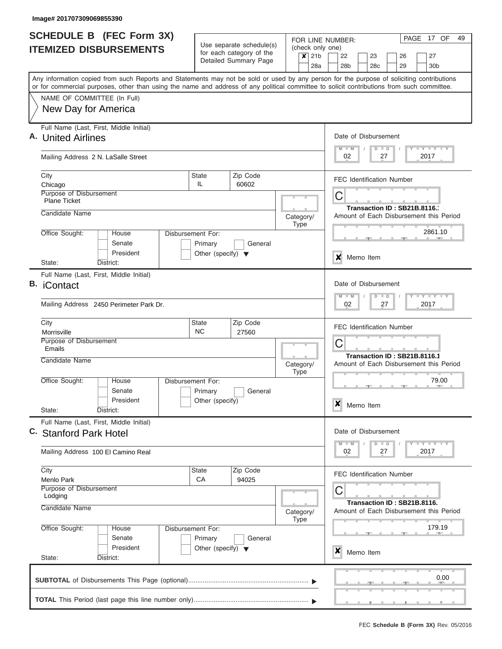| <b>SCHEDULE B</b> (FEC Form 3X)                                                                                                            |                                                 |                                                      |           |             | PAGE 17 OF<br>49<br>FOR LINE NUMBER: |                                                                        |                                  |  |           |    |                                  |  |                                         |  |  |  |  |  |
|--------------------------------------------------------------------------------------------------------------------------------------------|-------------------------------------------------|------------------------------------------------------|-----------|-------------|--------------------------------------|------------------------------------------------------------------------|----------------------------------|--|-----------|----|----------------------------------|--|-----------------------------------------|--|--|--|--|--|
| <b>ITEMIZED DISBURSEMENTS</b>                                                                                                              |                                                 | Use separate schedule(s)<br>for each category of the |           |             | (check only one)<br>$x$ 21b          |                                                                        | 22                               |  | 23        |    | 26                               |  | 27                                      |  |  |  |  |  |
|                                                                                                                                            |                                                 | Detailed Summary Page                                |           |             | 28a                                  |                                                                        | 28b                              |  | 28c       |    | 29                               |  | 30b                                     |  |  |  |  |  |
| Any information copied from such Reports and Statements may not be sold or used by any person for the purpose of soliciting contributions  |                                                 |                                                      |           |             |                                      |                                                                        |                                  |  |           |    |                                  |  |                                         |  |  |  |  |  |
| or for commercial purposes, other than using the name and address of any political committee to solicit contributions from such committee. |                                                 |                                                      |           |             |                                      |                                                                        |                                  |  |           |    |                                  |  |                                         |  |  |  |  |  |
| NAME OF COMMITTEE (In Full)                                                                                                                |                                                 |                                                      |           |             |                                      |                                                                        |                                  |  |           |    |                                  |  |                                         |  |  |  |  |  |
| New Day for America                                                                                                                        |                                                 |                                                      |           |             |                                      |                                                                        |                                  |  |           |    |                                  |  |                                         |  |  |  |  |  |
| Full Name (Last, First, Middle Initial)                                                                                                    |                                                 |                                                      |           |             |                                      |                                                                        |                                  |  |           |    |                                  |  |                                         |  |  |  |  |  |
| A. United Airlines                                                                                                                         |                                                 |                                                      |           |             |                                      |                                                                        | Date of Disbursement<br>$M - M$  |  | $D$ $D$   |    |                                  |  | Y L Y L Y L Y                           |  |  |  |  |  |
| Mailing Address 2 N. LaSalle Street                                                                                                        |                                                 |                                                      |           |             |                                      |                                                                        | 02                               |  |           | 27 |                                  |  | 2017                                    |  |  |  |  |  |
| City                                                                                                                                       | <b>State</b>                                    | Zip Code                                             |           |             |                                      |                                                                        |                                  |  |           |    | <b>FEC Identification Number</b> |  |                                         |  |  |  |  |  |
| Chicago<br>Purpose of Disbursement                                                                                                         | IL.                                             | 60602                                                |           |             | С                                    |                                                                        |                                  |  |           |    |                                  |  |                                         |  |  |  |  |  |
| <b>Plane Ticket</b>                                                                                                                        |                                                 |                                                      |           |             |                                      |                                                                        |                                  |  |           |    |                                  |  |                                         |  |  |  |  |  |
| Candidate Name                                                                                                                             |                                                 |                                                      | Category/ |             |                                      |                                                                        |                                  |  |           |    | Transaction ID: SB21B.8116.1     |  | Amount of Each Disbursement this Period |  |  |  |  |  |
|                                                                                                                                            |                                                 |                                                      |           | <b>Type</b> |                                      |                                                                        |                                  |  |           |    |                                  |  |                                         |  |  |  |  |  |
| Office Sought:<br>House<br>Senate                                                                                                          | Disbursement For:                               |                                                      |           |             |                                      |                                                                        |                                  |  |           |    |                                  |  | 2861.10                                 |  |  |  |  |  |
| President                                                                                                                                  | Primary<br>Other (specify) $\blacktriangledown$ | General                                              |           |             |                                      |                                                                        |                                  |  |           |    |                                  |  |                                         |  |  |  |  |  |
| District:<br>State:                                                                                                                        |                                                 |                                                      |           |             | X<br>Memo Item                       |                                                                        |                                  |  |           |    |                                  |  |                                         |  |  |  |  |  |
| Full Name (Last, First, Middle Initial)                                                                                                    |                                                 |                                                      |           |             |                                      |                                                                        |                                  |  |           |    |                                  |  |                                         |  |  |  |  |  |
| В.<br><b>iContact</b>                                                                                                                      |                                                 |                                                      |           |             |                                      |                                                                        | Date of Disbursement             |  |           |    |                                  |  |                                         |  |  |  |  |  |
| Mailing Address 2450 Perimeter Park Dr.                                                                                                    |                                                 |                                                      |           |             |                                      | $T$ $Y$ $T$ $Y$ $T$<br>$M - M$<br>$D$ $D$<br>02<br>27<br>2017          |                                  |  |           |    |                                  |  |                                         |  |  |  |  |  |
| City<br>Morrisville                                                                                                                        | Zip Code<br><b>State</b><br><b>NC</b><br>27560  |                                                      |           |             |                                      |                                                                        | <b>FEC Identification Number</b> |  |           |    |                                  |  |                                         |  |  |  |  |  |
| Purpose of Disbursement<br>Emails                                                                                                          |                                                 |                                                      |           |             |                                      | С                                                                      |                                  |  |           |    |                                  |  |                                         |  |  |  |  |  |
| Candidate Name                                                                                                                             |                                                 |                                                      |           |             |                                      |                                                                        |                                  |  |           |    | Transaction ID: SB21B.8116.1     |  |                                         |  |  |  |  |  |
|                                                                                                                                            |                                                 |                                                      | Category/ | <b>Type</b> |                                      |                                                                        |                                  |  |           |    |                                  |  | Amount of Each Disbursement this Period |  |  |  |  |  |
| Office Sought:<br>House                                                                                                                    | Disbursement For:                               |                                                      |           |             |                                      |                                                                        |                                  |  |           |    | $-1$                             |  | 79.00<br><b>COLLECTIVE</b>              |  |  |  |  |  |
| Senate                                                                                                                                     | Primary                                         | General                                              |           |             |                                      |                                                                        |                                  |  |           |    |                                  |  |                                         |  |  |  |  |  |
| President<br>State:<br>District:                                                                                                           | Other (specify)                                 |                                                      |           |             |                                      |                                                                        | ×                                |  | Memo Item |    |                                  |  |                                         |  |  |  |  |  |
| Full Name (Last, First, Middle Initial)                                                                                                    |                                                 |                                                      |           |             |                                      |                                                                        |                                  |  |           |    |                                  |  |                                         |  |  |  |  |  |
| C. Stanford Park Hotel                                                                                                                     |                                                 |                                                      |           |             |                                      |                                                                        | Date of Disbursement             |  |           |    |                                  |  |                                         |  |  |  |  |  |
|                                                                                                                                            |                                                 |                                                      |           |             |                                      |                                                                        | $M - M$<br>02                    |  | $D$ $D$   | 27 |                                  |  | <b>LY LY LY</b><br>2017                 |  |  |  |  |  |
| Mailing Address 100 El Camino Real                                                                                                         |                                                 |                                                      |           |             |                                      |                                                                        |                                  |  |           |    |                                  |  |                                         |  |  |  |  |  |
| City                                                                                                                                       | <b>State</b>                                    | Zip Code                                             |           |             |                                      |                                                                        |                                  |  |           |    | <b>FEC Identification Number</b> |  |                                         |  |  |  |  |  |
| Menlo Park<br>Purpose of Disbursement                                                                                                      | CA                                              | 94025                                                |           |             |                                      |                                                                        | С                                |  |           |    |                                  |  |                                         |  |  |  |  |  |
| Lodging                                                                                                                                    |                                                 |                                                      |           |             |                                      |                                                                        |                                  |  |           |    |                                  |  |                                         |  |  |  |  |  |
| Candidate Name                                                                                                                             |                                                 |                                                      | Category/ |             |                                      | Transaction ID: SB21B.8116.<br>Amount of Each Disbursement this Period |                                  |  |           |    |                                  |  |                                         |  |  |  |  |  |
| Office Sought:<br>House                                                                                                                    | Disbursement For:                               |                                                      |           | <b>Type</b> |                                      |                                                                        |                                  |  |           |    |                                  |  | 179.19                                  |  |  |  |  |  |
| Senate                                                                                                                                     | Primary                                         | General                                              |           |             |                                      |                                                                        |                                  |  |           |    |                                  |  |                                         |  |  |  |  |  |
| President                                                                                                                                  | Other (specify) $\blacktriangledown$            |                                                      |           |             |                                      |                                                                        | x                                |  | Memo Item |    |                                  |  |                                         |  |  |  |  |  |
| State:<br>District:                                                                                                                        |                                                 |                                                      |           |             |                                      |                                                                        |                                  |  |           |    |                                  |  |                                         |  |  |  |  |  |
|                                                                                                                                            |                                                 |                                                      |           |             |                                      |                                                                        |                                  |  |           |    |                                  |  | 0.00                                    |  |  |  |  |  |
|                                                                                                                                            |                                                 |                                                      |           |             |                                      |                                                                        |                                  |  |           |    |                                  |  |                                         |  |  |  |  |  |
|                                                                                                                                            |                                                 |                                                      |           |             |                                      |                                                                        |                                  |  |           |    |                                  |  |                                         |  |  |  |  |  |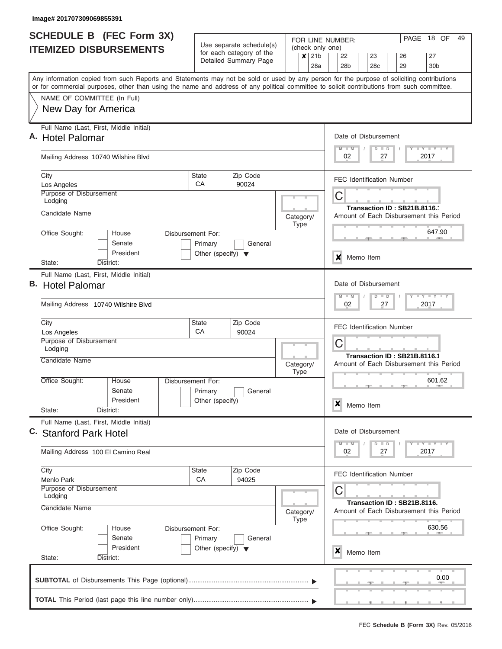|    | <b>SCHEDULE B</b> (FEC Form 3X)                                                                                                            |                                                 |                                                      | FOR LINE NUMBER:                           | 18 OF<br>49<br>PAGE                                                                      |  |  |  |  |  |  |  |  |  |  |  |  |  |
|----|--------------------------------------------------------------------------------------------------------------------------------------------|-------------------------------------------------|------------------------------------------------------|--------------------------------------------|------------------------------------------------------------------------------------------|--|--|--|--|--|--|--|--|--|--|--|--|--|
|    | <b>ITEMIZED DISBURSEMENTS</b>                                                                                                              |                                                 | Use separate schedule(s)<br>for each category of the | (check only one)                           |                                                                                          |  |  |  |  |  |  |  |  |  |  |  |  |  |
|    |                                                                                                                                            |                                                 | Detailed Summary Page                                | 21 <sub>b</sub><br>$\boldsymbol{x}$<br>28a | 22<br>27<br>23<br>26<br>29<br>28 <sub>b</sub><br>28c<br>30 <sub>b</sub>                  |  |  |  |  |  |  |  |  |  |  |  |  |  |
|    | Any information copied from such Reports and Statements may not be sold or used by any person for the purpose of soliciting contributions  |                                                 |                                                      |                                            |                                                                                          |  |  |  |  |  |  |  |  |  |  |  |  |  |
|    | or for commercial purposes, other than using the name and address of any political committee to solicit contributions from such committee. |                                                 |                                                      |                                            |                                                                                          |  |  |  |  |  |  |  |  |  |  |  |  |  |
|    | NAME OF COMMITTEE (In Full)                                                                                                                |                                                 |                                                      |                                            |                                                                                          |  |  |  |  |  |  |  |  |  |  |  |  |  |
|    | New Day for America                                                                                                                        |                                                 |                                                      |                                            |                                                                                          |  |  |  |  |  |  |  |  |  |  |  |  |  |
|    | Full Name (Last, First, Middle Initial)                                                                                                    |                                                 |                                                      |                                            |                                                                                          |  |  |  |  |  |  |  |  |  |  |  |  |  |
|    | A. Hotel Palomar                                                                                                                           |                                                 |                                                      |                                            | Date of Disbursement                                                                     |  |  |  |  |  |  |  |  |  |  |  |  |  |
|    | Mailing Address 10740 Wilshire Blvd                                                                                                        |                                                 |                                                      |                                            | Y LY LY LY<br>$M$ $M$<br>$D$ $D$<br>02<br>2017<br>27                                     |  |  |  |  |  |  |  |  |  |  |  |  |  |
|    | City<br>Los Angeles                                                                                                                        | <b>State</b><br>CA                              | Zip Code<br>90024                                    |                                            | <b>FEC Identification Number</b>                                                         |  |  |  |  |  |  |  |  |  |  |  |  |  |
|    | Purpose of Disbursement<br>Lodging                                                                                                         |                                                 |                                                      |                                            | С                                                                                        |  |  |  |  |  |  |  |  |  |  |  |  |  |
|    | Candidate Name                                                                                                                             |                                                 |                                                      |                                            | Transaction ID: SB21B.8116.                                                              |  |  |  |  |  |  |  |  |  |  |  |  |  |
|    |                                                                                                                                            |                                                 |                                                      | Category/<br><b>Type</b>                   | Amount of Each Disbursement this Period                                                  |  |  |  |  |  |  |  |  |  |  |  |  |  |
|    | Office Sought:<br>House                                                                                                                    | Disbursement For:                               |                                                      |                                            | 647.90                                                                                   |  |  |  |  |  |  |  |  |  |  |  |  |  |
|    | Senate<br>President                                                                                                                        | Primary<br>Other (specify) $\blacktriangledown$ | General                                              |                                            |                                                                                          |  |  |  |  |  |  |  |  |  |  |  |  |  |
|    | State:<br>District:                                                                                                                        |                                                 |                                                      |                                            | $\boldsymbol{x}$<br>Memo Item                                                            |  |  |  |  |  |  |  |  |  |  |  |  |  |
|    | Full Name (Last, First, Middle Initial)                                                                                                    |                                                 |                                                      |                                            |                                                                                          |  |  |  |  |  |  |  |  |  |  |  |  |  |
| В. | <b>Hotel Palomar</b>                                                                                                                       |                                                 |                                                      |                                            | Date of Disbursement                                                                     |  |  |  |  |  |  |  |  |  |  |  |  |  |
|    | Mailing Address 10740 Wilshire Blyd                                                                                                        |                                                 |                                                      |                                            | Y FY FY FY<br>$M - M$<br>$D$ $D$<br>2017<br>02<br>27<br><b>FEC Identification Number</b> |  |  |  |  |  |  |  |  |  |  |  |  |  |
|    | City                                                                                                                                       | State                                           | Zip Code                                             |                                            |                                                                                          |  |  |  |  |  |  |  |  |  |  |  |  |  |
|    | Los Angeles<br>Purpose of Disbursement                                                                                                     | CA                                              | 90024                                                |                                            |                                                                                          |  |  |  |  |  |  |  |  |  |  |  |  |  |
|    | Lodging                                                                                                                                    |                                                 |                                                      |                                            | C                                                                                        |  |  |  |  |  |  |  |  |  |  |  |  |  |
|    | Candidate Name                                                                                                                             |                                                 |                                                      | Category/<br><b>Type</b>                   | Transaction ID: SB21B.8116.1<br>Amount of Each Disbursement this Period                  |  |  |  |  |  |  |  |  |  |  |  |  |  |
|    | Office Sought:<br>House                                                                                                                    | Disbursement For:                               |                                                      |                                            | 601.62<br><b>AND IN</b>                                                                  |  |  |  |  |  |  |  |  |  |  |  |  |  |
|    | Senate<br>President                                                                                                                        | Primary<br>Other (specify)                      | General                                              |                                            |                                                                                          |  |  |  |  |  |  |  |  |  |  |  |  |  |
|    | State:<br>District:                                                                                                                        |                                                 |                                                      |                                            | $\boldsymbol{x}$<br>Memo Item                                                            |  |  |  |  |  |  |  |  |  |  |  |  |  |
|    | Full Name (Last, First, Middle Initial)                                                                                                    |                                                 |                                                      |                                            |                                                                                          |  |  |  |  |  |  |  |  |  |  |  |  |  |
|    | C. Stanford Park Hotel                                                                                                                     |                                                 |                                                      |                                            | Date of Disbursement                                                                     |  |  |  |  |  |  |  |  |  |  |  |  |  |
|    | Mailing Address 100 El Camino Real                                                                                                         |                                                 |                                                      |                                            | Y TY TY TY<br>$M$ $M$<br>$D$ $D$<br>02<br>2017<br>27                                     |  |  |  |  |  |  |  |  |  |  |  |  |  |
|    | City                                                                                                                                       | State                                           | Zip Code                                             |                                            | <b>FEC Identification Number</b>                                                         |  |  |  |  |  |  |  |  |  |  |  |  |  |
|    | Menlo Park<br>Purpose of Disbursement                                                                                                      | <b>CA</b>                                       | 94025                                                |                                            |                                                                                          |  |  |  |  |  |  |  |  |  |  |  |  |  |
|    | Lodging                                                                                                                                    |                                                 |                                                      |                                            | C<br>Transaction ID: SB21B.8116.                                                         |  |  |  |  |  |  |  |  |  |  |  |  |  |
|    | Candidate Name                                                                                                                             |                                                 | Category/                                            | Amount of Each Disbursement this Period    |                                                                                          |  |  |  |  |  |  |  |  |  |  |  |  |  |
|    | Office Sought:                                                                                                                             | Disbursement For:<br>House                      |                                                      | <b>Type</b>                                | 630.56                                                                                   |  |  |  |  |  |  |  |  |  |  |  |  |  |
|    | Senate                                                                                                                                     | Primary                                         | General                                              |                                            |                                                                                          |  |  |  |  |  |  |  |  |  |  |  |  |  |
|    | President                                                                                                                                  | Other (specify) $\blacktriangledown$            |                                                      |                                            | X<br>Memo Item                                                                           |  |  |  |  |  |  |  |  |  |  |  |  |  |
|    | State:<br>District:                                                                                                                        |                                                 |                                                      |                                            |                                                                                          |  |  |  |  |  |  |  |  |  |  |  |  |  |
|    |                                                                                                                                            |                                                 |                                                      |                                            | 0.00                                                                                     |  |  |  |  |  |  |  |  |  |  |  |  |  |
|    |                                                                                                                                            |                                                 |                                                      |                                            |                                                                                          |  |  |  |  |  |  |  |  |  |  |  |  |  |
|    |                                                                                                                                            |                                                 |                                                      |                                            | .                                                                                        |  |  |  |  |  |  |  |  |  |  |  |  |  |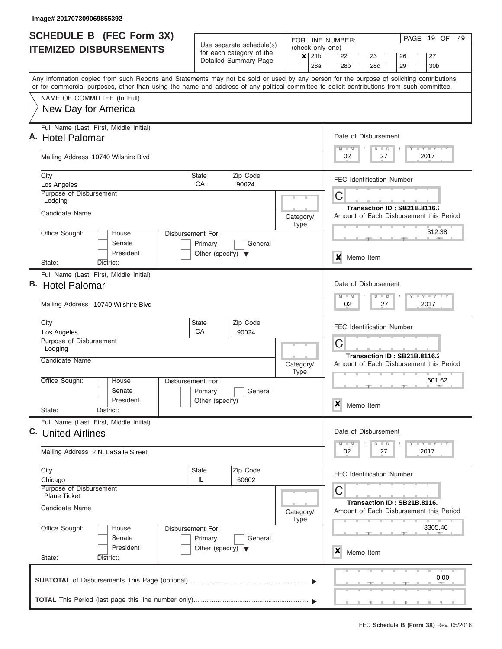| <b>SCHEDULE B</b> (FEC Form 3X)                                                                                                                                                                                                                                                         |                                                            | FOR LINE NUMBER:  | 19 OF<br>PAGE<br>49                                                                                 |  |  |  |  |  |  |  |  |  |  |  |  |
|-----------------------------------------------------------------------------------------------------------------------------------------------------------------------------------------------------------------------------------------------------------------------------------------|------------------------------------------------------------|-------------------|-----------------------------------------------------------------------------------------------------|--|--|--|--|--|--|--|--|--|--|--|--|
| <b>ITEMIZED DISBURSEMENTS</b>                                                                                                                                                                                                                                                           | Use separate schedule(s)                                   | (check only one)  |                                                                                                     |  |  |  |  |  |  |  |  |  |  |  |  |
|                                                                                                                                                                                                                                                                                         | for each category of the<br>Detailed Summary Page          | $x$ 21b           | 22<br>23<br>27<br>26                                                                                |  |  |  |  |  |  |  |  |  |  |  |  |
|                                                                                                                                                                                                                                                                                         |                                                            | 28a               | 28 <sub>b</sub><br>28c<br>30 <sub>b</sub><br>29                                                     |  |  |  |  |  |  |  |  |  |  |  |  |
| Any information copied from such Reports and Statements may not be sold or used by any person for the purpose of soliciting contributions<br>or for commercial purposes, other than using the name and address of any political committee to solicit contributions from such committee. |                                                            |                   |                                                                                                     |  |  |  |  |  |  |  |  |  |  |  |  |
| NAME OF COMMITTEE (In Full)                                                                                                                                                                                                                                                             |                                                            |                   |                                                                                                     |  |  |  |  |  |  |  |  |  |  |  |  |
| New Day for America                                                                                                                                                                                                                                                                     |                                                            |                   |                                                                                                     |  |  |  |  |  |  |  |  |  |  |  |  |
|                                                                                                                                                                                                                                                                                         |                                                            |                   |                                                                                                     |  |  |  |  |  |  |  |  |  |  |  |  |
| Full Name (Last, First, Middle Initial)                                                                                                                                                                                                                                                 |                                                            |                   |                                                                                                     |  |  |  |  |  |  |  |  |  |  |  |  |
| A. Hotel Palomar                                                                                                                                                                                                                                                                        |                                                            |                   | Date of Disbursement                                                                                |  |  |  |  |  |  |  |  |  |  |  |  |
| Mailing Address 10740 Wilshire Blvd                                                                                                                                                                                                                                                     |                                                            |                   | Y L Y L Y L Y<br>$M$ $M$<br>$D$ $D$<br>02<br>27<br>2017                                             |  |  |  |  |  |  |  |  |  |  |  |  |
|                                                                                                                                                                                                                                                                                         |                                                            |                   |                                                                                                     |  |  |  |  |  |  |  |  |  |  |  |  |
| City                                                                                                                                                                                                                                                                                    | Zip Code<br><b>State</b>                                   |                   | <b>FEC Identification Number</b>                                                                    |  |  |  |  |  |  |  |  |  |  |  |  |
| Los Angeles                                                                                                                                                                                                                                                                             | CA<br>90024                                                |                   |                                                                                                     |  |  |  |  |  |  |  |  |  |  |  |  |
| Purpose of Disbursement<br>Lodging                                                                                                                                                                                                                                                      |                                                            |                   | С                                                                                                   |  |  |  |  |  |  |  |  |  |  |  |  |
| Candidate Name                                                                                                                                                                                                                                                                          |                                                            |                   | Transaction ID: SB21B.8116.                                                                         |  |  |  |  |  |  |  |  |  |  |  |  |
|                                                                                                                                                                                                                                                                                         |                                                            | Category/<br>Type | Amount of Each Disbursement this Period                                                             |  |  |  |  |  |  |  |  |  |  |  |  |
| Office Sought:<br><b>House</b>                                                                                                                                                                                                                                                          | Disbursement For:                                          |                   | 312.38                                                                                              |  |  |  |  |  |  |  |  |  |  |  |  |
| Senate                                                                                                                                                                                                                                                                                  | Primary<br>General                                         |                   |                                                                                                     |  |  |  |  |  |  |  |  |  |  |  |  |
| President<br>District:<br>State:                                                                                                                                                                                                                                                        | Other (specify) $\blacktriangledown$                       |                   | x<br>Memo Item                                                                                      |  |  |  |  |  |  |  |  |  |  |  |  |
| Full Name (Last, First, Middle Initial)                                                                                                                                                                                                                                                 |                                                            |                   |                                                                                                     |  |  |  |  |  |  |  |  |  |  |  |  |
| B. Hotel Palomar                                                                                                                                                                                                                                                                        |                                                            |                   | Date of Disbursement                                                                                |  |  |  |  |  |  |  |  |  |  |  |  |
|                                                                                                                                                                                                                                                                                         |                                                            |                   | $T$ $T$ $T$ $T$ $T$ $T$ $T$ $T$ $T$<br>$M - M$<br>$D$ $D$                                           |  |  |  |  |  |  |  |  |  |  |  |  |
| Mailing Address 10740 Wilshire Blvd                                                                                                                                                                                                                                                     |                                                            |                   | 02<br>27<br>2017                                                                                    |  |  |  |  |  |  |  |  |  |  |  |  |
| City                                                                                                                                                                                                                                                                                    | Zip Code<br><b>State</b>                                   |                   | <b>FEC Identification Number</b>                                                                    |  |  |  |  |  |  |  |  |  |  |  |  |
| Los Angeles<br>Purpose of Disbursement                                                                                                                                                                                                                                                  | CA<br>90024                                                |                   |                                                                                                     |  |  |  |  |  |  |  |  |  |  |  |  |
| Lodging                                                                                                                                                                                                                                                                                 |                                                            |                   | С                                                                                                   |  |  |  |  |  |  |  |  |  |  |  |  |
| Candidate Name                                                                                                                                                                                                                                                                          |                                                            | Category/         | Transaction ID: SB21B.8116.2<br>Amount of Each Disbursement this Period                             |  |  |  |  |  |  |  |  |  |  |  |  |
|                                                                                                                                                                                                                                                                                         |                                                            | <b>Type</b>       |                                                                                                     |  |  |  |  |  |  |  |  |  |  |  |  |
| Office Sought:<br>House                                                                                                                                                                                                                                                                 | <b>Disbursement For:</b>                                   |                   | 601.62<br>$\rightarrow$                                                                             |  |  |  |  |  |  |  |  |  |  |  |  |
| Senate<br>President                                                                                                                                                                                                                                                                     | Primary<br>General                                         |                   |                                                                                                     |  |  |  |  |  |  |  |  |  |  |  |  |
| State:<br>District:                                                                                                                                                                                                                                                                     | Other (specify)                                            |                   | ×<br>Memo Item                                                                                      |  |  |  |  |  |  |  |  |  |  |  |  |
| Full Name (Last, First, Middle Initial)                                                                                                                                                                                                                                                 |                                                            |                   |                                                                                                     |  |  |  |  |  |  |  |  |  |  |  |  |
| C. United Airlines                                                                                                                                                                                                                                                                      |                                                            |                   | Date of Disbursement                                                                                |  |  |  |  |  |  |  |  |  |  |  |  |
|                                                                                                                                                                                                                                                                                         |                                                            |                   | $\mathbf{I}$ $\mathbf{Y}$ $\mathbf{I}$ $\mathbf{Y}$ $\mathbf{I}$ $\mathbf{Y}$<br>$M - M$<br>$D$ $D$ |  |  |  |  |  |  |  |  |  |  |  |  |
| Mailing Address 2 N. LaSalle Street                                                                                                                                                                                                                                                     |                                                            |                   | 02<br>27<br>2017                                                                                    |  |  |  |  |  |  |  |  |  |  |  |  |
| City                                                                                                                                                                                                                                                                                    | <b>State</b><br>Zip Code                                   |                   | <b>FEC Identification Number</b>                                                                    |  |  |  |  |  |  |  |  |  |  |  |  |
| Chicago<br>Purpose of Disbursement                                                                                                                                                                                                                                                      | IL<br>60602                                                |                   |                                                                                                     |  |  |  |  |  |  |  |  |  |  |  |  |
| <b>Plane Ticket</b>                                                                                                                                                                                                                                                                     |                                                            |                   | С                                                                                                   |  |  |  |  |  |  |  |  |  |  |  |  |
| Candidate Name                                                                                                                                                                                                                                                                          |                                                            | Category/         | Transaction ID: SB21B.8116.<br>Amount of Each Disbursement this Period                              |  |  |  |  |  |  |  |  |  |  |  |  |
|                                                                                                                                                                                                                                                                                         |                                                            | Type              |                                                                                                     |  |  |  |  |  |  |  |  |  |  |  |  |
| Office Sought:<br>House                                                                                                                                                                                                                                                                 | Disbursement For:                                          |                   | 3305.46                                                                                             |  |  |  |  |  |  |  |  |  |  |  |  |
| Senate<br>President                                                                                                                                                                                                                                                                     | Primary<br>General<br>Other (specify) $\blacktriangledown$ |                   |                                                                                                     |  |  |  |  |  |  |  |  |  |  |  |  |
| State:<br>District:                                                                                                                                                                                                                                                                     |                                                            |                   | X<br>Memo Item                                                                                      |  |  |  |  |  |  |  |  |  |  |  |  |
|                                                                                                                                                                                                                                                                                         |                                                            |                   |                                                                                                     |  |  |  |  |  |  |  |  |  |  |  |  |
|                                                                                                                                                                                                                                                                                         |                                                            |                   | 0.00                                                                                                |  |  |  |  |  |  |  |  |  |  |  |  |
|                                                                                                                                                                                                                                                                                         |                                                            |                   |                                                                                                     |  |  |  |  |  |  |  |  |  |  |  |  |
|                                                                                                                                                                                                                                                                                         |                                                            |                   |                                                                                                     |  |  |  |  |  |  |  |  |  |  |  |  |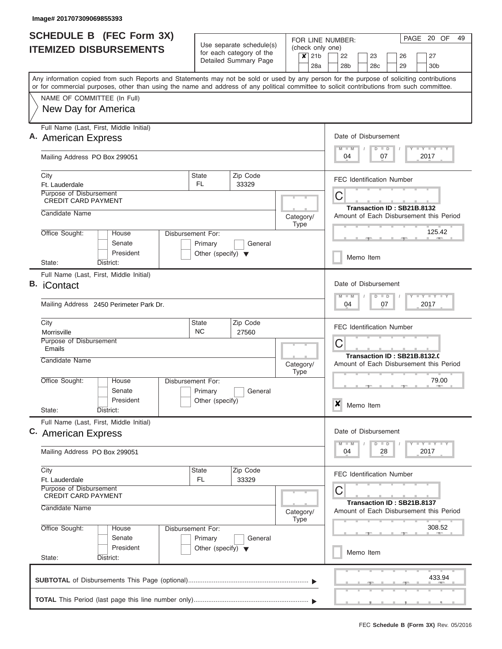| SCHEDULE B (FEC Form 3X)                                                                                                                                                                                                                                                                |                                                            | Use separate schedule(s)              |                                 |                  |                                            | FOR LINE NUMBER:                                                           |                                                                         |                                  |                                                                                                                                                                                                     |          |  | PAGE 20 OF                                                                                                                           | 49 |  |  |  |
|-----------------------------------------------------------------------------------------------------------------------------------------------------------------------------------------------------------------------------------------------------------------------------------------|------------------------------------------------------------|---------------------------------------|---------------------------------|------------------|--------------------------------------------|----------------------------------------------------------------------------|-------------------------------------------------------------------------|----------------------------------|-----------------------------------------------------------------------------------------------------------------------------------------------------------------------------------------------------|----------|--|--------------------------------------------------------------------------------------------------------------------------------------|----|--|--|--|
| <b>ITEMIZED DISBURSEMENTS</b>                                                                                                                                                                                                                                                           | for each category of the<br>Detailed Summary Page          |                                       |                                 | $\boldsymbol{x}$ | (check only one)<br>21 <sub>b</sub><br>28a | 22<br>28 <sub>b</sub>                                                      |                                                                         | 23<br>28c                        |                                                                                                                                                                                                     | 26<br>29 |  | 27<br>30 <sub>b</sub>                                                                                                                |    |  |  |  |
| Any information copied from such Reports and Statements may not be sold or used by any person for the purpose of soliciting contributions<br>or for commercial purposes, other than using the name and address of any political committee to solicit contributions from such committee. |                                                            |                                       |                                 |                  |                                            |                                                                            |                                                                         |                                  |                                                                                                                                                                                                     |          |  |                                                                                                                                      |    |  |  |  |
| NAME OF COMMITTEE (In Full)<br>New Day for America                                                                                                                                                                                                                                      |                                                            |                                       |                                 |                  |                                            |                                                                            |                                                                         |                                  |                                                                                                                                                                                                     |          |  |                                                                                                                                      |    |  |  |  |
| Full Name (Last, First, Middle Initial)<br>A. American Express                                                                                                                                                                                                                          |                                                            |                                       |                                 |                  |                                            | Date of Disbursement<br>$M - M$                                            |                                                                         | $D$ $D$                          |                                                                                                                                                                                                     |          |  | <b>LEYTLEY LEY</b>                                                                                                                   |    |  |  |  |
| Mailing Address PO Box 299051                                                                                                                                                                                                                                                           |                                                            |                                       |                                 |                  |                                            | 04                                                                         |                                                                         |                                  | 07                                                                                                                                                                                                  |          |  | 2017                                                                                                                                 |    |  |  |  |
| City<br>Ft. Lauderdale<br>Purpose of Disbursement                                                                                                                                                                                                                                       | State<br>FL.                                               | Zip Code<br>33329                     |                                 |                  |                                            | <b>FEC Identification Number</b>                                           |                                                                         |                                  |                                                                                                                                                                                                     |          |  |                                                                                                                                      |    |  |  |  |
| <b>CREDIT CARD PAYMENT</b><br>Candidate Name                                                                                                                                                                                                                                            |                                                            |                                       |                                 |                  |                                            | C<br>Transaction ID: SB21B.8132<br>Amount of Each Disbursement this Period |                                                                         |                                  |                                                                                                                                                                                                     |          |  |                                                                                                                                      |    |  |  |  |
| Office Sought:<br>House                                                                                                                                                                                                                                                                 | Disbursement For:                                          |                                       | Category/                       | Type             |                                            |                                                                            |                                                                         |                                  |                                                                                                                                                                                                     |          |  | 125.42                                                                                                                               |    |  |  |  |
| Senate<br>President<br>State:<br>District:                                                                                                                                                                                                                                              | Primary<br>General<br>Other (specify) $\blacktriangledown$ |                                       |                                 |                  |                                            |                                                                            |                                                                         |                                  |                                                                                                                                                                                                     |          |  |                                                                                                                                      |    |  |  |  |
| Full Name (Last, First, Middle Initial)<br><b>B.</b> iContact                                                                                                                                                                                                                           |                                                            |                                       | Date of Disbursement<br>$M - M$ |                  | $D$ $D$                                    |                                                                            |                                                                         |                                  | $\begin{array}{c} \blacksquare \quad \blacksquare \quad \blacksquare \quad \blacksquare \quad \blacksquare \quad \blacksquare \quad \blacksquare \quad \blacksquare \quad \blacksquare \end{array}$ |          |  |                                                                                                                                      |    |  |  |  |
| Mailing Address 2450 Perimeter Park Dr.                                                                                                                                                                                                                                                 |                                                            | 2017<br>04<br>07                      |                                 |                  |                                            |                                                                            |                                                                         |                                  |                                                                                                                                                                                                     |          |  |                                                                                                                                      |    |  |  |  |
| State<br>City<br>Morrisville<br>Purpose of Disbursement                                                                                                                                                                                                                                 |                                                            | <b>FEC Identification Number</b><br>C |                                 |                  |                                            |                                                                            |                                                                         |                                  |                                                                                                                                                                                                     |          |  |                                                                                                                                      |    |  |  |  |
| Emails<br>Candidate Name                                                                                                                                                                                                                                                                |                                                            | Category/<br><b>Type</b>              |                                 |                  |                                            |                                                                            | Transaction ID: SB21B.8132.0<br>Amount of Each Disbursement this Period |                                  |                                                                                                                                                                                                     |          |  |                                                                                                                                      |    |  |  |  |
| Office Sought:<br>House<br>Senate                                                                                                                                                                                                                                                       | Disbursement For:<br>Primary                               | General                               |                                 |                  |                                            | 79.00                                                                      |                                                                         |                                  |                                                                                                                                                                                                     |          |  |                                                                                                                                      |    |  |  |  |
| President<br>State:<br>District:                                                                                                                                                                                                                                                        | Other (specify)                                            |                                       |                                 |                  |                                            | $\boldsymbol{\mathsf{x}}$                                                  |                                                                         | Memo Item                        |                                                                                                                                                                                                     |          |  |                                                                                                                                      |    |  |  |  |
| Full Name (Last, First, Middle Initial)<br>C. American Express                                                                                                                                                                                                                          |                                                            |                                       |                                 |                  |                                            | Date of Disbursement<br>$M$ $M$                                            |                                                                         | D                                | $\Box$                                                                                                                                                                                              |          |  | $\begin{array}{c c c c c c} \hline \textbf{I} & \textbf{Y} & \textbf{I} & \textbf{Y} & \textbf{I} & \textbf{Y} \\\hline \end{array}$ |    |  |  |  |
| Mailing Address PO Box 299051                                                                                                                                                                                                                                                           |                                                            |                                       |                                 |                  |                                            | 04                                                                         |                                                                         |                                  | 28                                                                                                                                                                                                  |          |  | 2017                                                                                                                                 |    |  |  |  |
| City<br>Ft. Lauderdale<br>Purpose of Disbursement                                                                                                                                                                                                                                       | Zip Code<br>State<br>FL<br>33329                           |                                       |                                 |                  |                                            |                                                                            |                                                                         | <b>FEC Identification Number</b> |                                                                                                                                                                                                     |          |  |                                                                                                                                      |    |  |  |  |
| <b>CREDIT CARD PAYMENT</b><br>Candidate Name                                                                                                                                                                                                                                            |                                                            |                                       | Category/                       |                  |                                            | С<br>Transaction ID: SB21B.8137<br>Amount of Each Disbursement this Period |                                                                         |                                  |                                                                                                                                                                                                     |          |  |                                                                                                                                      |    |  |  |  |
| Office Sought:<br>House<br>Senate                                                                                                                                                                                                                                                       | Disbursement For:<br>Primary                               | General                               |                                 | <b>Type</b>      |                                            |                                                                            |                                                                         |                                  |                                                                                                                                                                                                     |          |  | 308.52                                                                                                                               |    |  |  |  |
| President<br>State:<br>District:                                                                                                                                                                                                                                                        | Other (specify) $\blacktriangledown$                       |                                       |                                 |                  |                                            |                                                                            |                                                                         | Memo Item                        |                                                                                                                                                                                                     |          |  |                                                                                                                                      |    |  |  |  |
|                                                                                                                                                                                                                                                                                         |                                                            |                                       |                                 |                  |                                            |                                                                            |                                                                         |                                  |                                                                                                                                                                                                     |          |  | 433.94                                                                                                                               |    |  |  |  |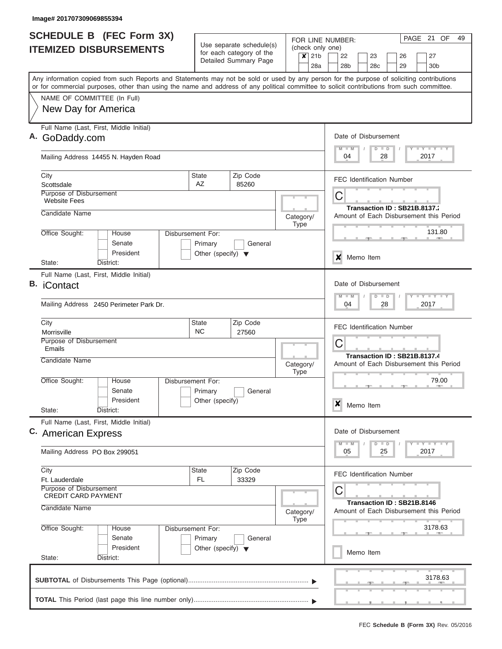|    | <b>SCHEDULE B</b> (FEC Form 3X)                                                                                                                                                                                                                                                         |                                      |                                                      |                   |             |                  |                                                                   |                                  | FOR LINE NUMBER:                        |  |                            |         |  |               |  | PAGE 21 OF                   |  | 49 |  |  |
|----|-----------------------------------------------------------------------------------------------------------------------------------------------------------------------------------------------------------------------------------------------------------------------------------------|--------------------------------------|------------------------------------------------------|-------------------|-------------|------------------|-------------------------------------------------------------------|----------------------------------|-----------------------------------------|--|----------------------------|---------|--|---------------|--|------------------------------|--|----|--|--|
|    | <b>ITEMIZED DISBURSEMENTS</b>                                                                                                                                                                                                                                                           |                                      | Use separate schedule(s)<br>for each category of the |                   |             | (check only one) |                                                                   |                                  |                                         |  |                            |         |  |               |  |                              |  |    |  |  |
|    |                                                                                                                                                                                                                                                                                         |                                      | Detailed Summary Page                                |                   |             | $x$ 21b<br>28a   |                                                                   |                                  | 22<br>28 <sub>b</sub>                   |  | 23<br>28 <sub>c</sub>      |         |  | 26            |  | 27                           |  |    |  |  |
|    |                                                                                                                                                                                                                                                                                         |                                      |                                                      |                   |             |                  |                                                                   |                                  |                                         |  |                            |         |  | 29            |  | 30 <sub>b</sub>              |  |    |  |  |
|    | Any information copied from such Reports and Statements may not be sold or used by any person for the purpose of soliciting contributions<br>or for commercial purposes, other than using the name and address of any political committee to solicit contributions from such committee. |                                      |                                                      |                   |             |                  |                                                                   |                                  |                                         |  |                            |         |  |               |  |                              |  |    |  |  |
|    | NAME OF COMMITTEE (In Full)                                                                                                                                                                                                                                                             |                                      |                                                      |                   |             |                  |                                                                   |                                  |                                         |  |                            |         |  |               |  |                              |  |    |  |  |
|    | New Day for America                                                                                                                                                                                                                                                                     |                                      |                                                      |                   |             |                  |                                                                   |                                  |                                         |  |                            |         |  |               |  |                              |  |    |  |  |
|    |                                                                                                                                                                                                                                                                                         |                                      |                                                      |                   |             |                  |                                                                   |                                  |                                         |  |                            |         |  |               |  |                              |  |    |  |  |
|    | Full Name (Last, First, Middle Initial)<br>A. GoDaddy.com                                                                                                                                                                                                                               |                                      |                                                      |                   |             |                  |                                                                   |                                  | Date of Disbursement                    |  |                            |         |  |               |  |                              |  |    |  |  |
|    |                                                                                                                                                                                                                                                                                         |                                      |                                                      |                   |             |                  |                                                                   |                                  | $M$ $M$                                 |  |                            | $D$ $D$ |  |               |  | Y I Y I Y I Y                |  |    |  |  |
|    | Mailing Address 14455 N. Hayden Road                                                                                                                                                                                                                                                    |                                      |                                                      |                   |             |                  |                                                                   |                                  | 04                                      |  |                            | 28      |  |               |  | 2017                         |  |    |  |  |
|    |                                                                                                                                                                                                                                                                                         | <b>State</b>                         | Zip Code                                             |                   |             |                  |                                                                   |                                  |                                         |  |                            |         |  |               |  |                              |  |    |  |  |
|    | City<br>Scottsdale                                                                                                                                                                                                                                                                      | AZ                                   | 85260                                                |                   |             |                  |                                                                   |                                  | <b>FEC Identification Number</b>        |  |                            |         |  |               |  |                              |  |    |  |  |
|    | Purpose of Disbursement                                                                                                                                                                                                                                                                 |                                      |                                                      |                   |             |                  |                                                                   |                                  | С                                       |  |                            |         |  |               |  |                              |  |    |  |  |
|    | <b>Website Fees</b>                                                                                                                                                                                                                                                                     |                                      |                                                      |                   |             |                  |                                                                   |                                  |                                         |  |                            |         |  |               |  | Transaction ID: SB21B.8137.  |  |    |  |  |
|    | Candidate Name                                                                                                                                                                                                                                                                          |                                      |                                                      | Category/         | Type        |                  |                                                                   |                                  | Amount of Each Disbursement this Period |  |                            |         |  |               |  |                              |  |    |  |  |
|    | Office Sought:<br>House<br>Disbursement For:                                                                                                                                                                                                                                            |                                      |                                                      |                   |             |                  |                                                                   |                                  |                                         |  |                            |         |  |               |  | 131.80                       |  |    |  |  |
|    | Senate                                                                                                                                                                                                                                                                                  | Primary                              | General                                              |                   |             |                  |                                                                   |                                  |                                         |  |                            |         |  |               |  |                              |  |    |  |  |
|    | President                                                                                                                                                                                                                                                                               | Other (specify) $\blacktriangledown$ |                                                      |                   |             |                  |                                                                   | x<br>Memo Item                   |                                         |  |                            |         |  |               |  |                              |  |    |  |  |
|    | District:<br>State:<br>Full Name (Last, First, Middle Initial)                                                                                                                                                                                                                          |                                      |                                                      |                   |             |                  |                                                                   |                                  |                                         |  |                            |         |  |               |  |                              |  |    |  |  |
| В. | iContact                                                                                                                                                                                                                                                                                |                                      |                                                      |                   |             |                  |                                                                   |                                  |                                         |  |                            |         |  |               |  |                              |  |    |  |  |
|    |                                                                                                                                                                                                                                                                                         |                                      |                                                      |                   |             |                  | Date of Disbursement<br>$T$ $Y$ $T$ $Y$ $T$<br>$M - M$<br>$D$ $D$ |                                  |                                         |  |                            |         |  |               |  |                              |  |    |  |  |
|    | Mailing Address 2450 Perimeter Park Dr.                                                                                                                                                                                                                                                 | Zip Code<br>State<br><b>NC</b>       |                                                      |                   |             |                  |                                                                   | 04<br>28<br>2017                 |                                         |  |                            |         |  |               |  |                              |  |    |  |  |
|    | City                                                                                                                                                                                                                                                                                    |                                      |                                                      |                   |             |                  |                                                                   | <b>FEC Identification Number</b> |                                         |  |                            |         |  |               |  |                              |  |    |  |  |
|    | Morrisville<br>Purpose of Disbursement                                                                                                                                                                                                                                                  |                                      | 27560                                                |                   |             |                  | С                                                                 |                                  |                                         |  |                            |         |  |               |  |                              |  |    |  |  |
|    | Emails                                                                                                                                                                                                                                                                                  |                                      |                                                      |                   |             |                  |                                                                   |                                  |                                         |  |                            |         |  |               |  | Transaction ID: SB21B.8137.4 |  |    |  |  |
|    | Candidate Name                                                                                                                                                                                                                                                                          |                                      |                                                      | Category/         |             |                  |                                                                   |                                  | Amount of Each Disbursement this Period |  |                            |         |  |               |  |                              |  |    |  |  |
|    | Office Sought:<br>House<br><b>Disbursement For:</b>                                                                                                                                                                                                                                     |                                      |                                                      |                   | <b>Type</b> |                  |                                                                   |                                  |                                         |  |                            |         |  | 79.00         |  |                              |  |    |  |  |
|    | Senate                                                                                                                                                                                                                                                                                  | Primary                              | General                                              |                   |             |                  |                                                                   |                                  |                                         |  |                            |         |  | $\rightarrow$ |  |                              |  |    |  |  |
|    | President                                                                                                                                                                                                                                                                               | Other (specify)                      |                                                      |                   |             |                  |                                                                   | ×                                |                                         |  | Memo Item                  |         |  |               |  |                              |  |    |  |  |
|    | State:<br>District:                                                                                                                                                                                                                                                                     |                                      |                                                      |                   |             |                  |                                                                   |                                  |                                         |  |                            |         |  |               |  |                              |  |    |  |  |
|    | Full Name (Last, First, Middle Initial)<br>C. American Express                                                                                                                                                                                                                          |                                      |                                                      |                   |             |                  |                                                                   |                                  | Date of Disbursement                    |  |                            |         |  |               |  |                              |  |    |  |  |
|    |                                                                                                                                                                                                                                                                                         |                                      |                                                      |                   |             |                  |                                                                   |                                  | $M - M$                                 |  |                            | $D$ $D$ |  |               |  | $T - Y$ $T - Y$ $T - Y$      |  |    |  |  |
|    | Mailing Address PO Box 299051                                                                                                                                                                                                                                                           |                                      |                                                      |                   |             |                  |                                                                   |                                  | 05                                      |  |                            | 25      |  |               |  | 2017                         |  |    |  |  |
|    | City                                                                                                                                                                                                                                                                                    | <b>State</b>                         | Zip Code                                             |                   |             |                  |                                                                   |                                  | FEC Identification Number               |  |                            |         |  |               |  |                              |  |    |  |  |
|    | Ft. Lauderdale<br>Purpose of Disbursement                                                                                                                                                                                                                                               | FL.                                  | 33329                                                |                   |             |                  |                                                                   |                                  |                                         |  |                            |         |  |               |  |                              |  |    |  |  |
|    | <b>CREDIT CARD PAYMENT</b>                                                                                                                                                                                                                                                              |                                      |                                                      |                   |             |                  |                                                                   |                                  | С                                       |  | Transaction ID: SB21B.8146 |         |  |               |  |                              |  |    |  |  |
|    | Candidate Name                                                                                                                                                                                                                                                                          |                                      |                                                      | Category/<br>Type |             |                  |                                                                   |                                  | Amount of Each Disbursement this Period |  |                            |         |  |               |  |                              |  |    |  |  |
|    |                                                                                                                                                                                                                                                                                         |                                      |                                                      |                   |             |                  |                                                                   |                                  |                                         |  |                            |         |  |               |  | 3178.63                      |  |    |  |  |
|    | Office Sought:<br>Disbursement For:<br>House<br>Senate                                                                                                                                                                                                                                  | Primary                              | General                                              |                   |             |                  |                                                                   |                                  |                                         |  |                            |         |  |               |  |                              |  |    |  |  |
|    | President                                                                                                                                                                                                                                                                               | Other (specify) $\blacktriangledown$ |                                                      |                   |             |                  |                                                                   |                                  |                                         |  | Memo Item                  |         |  |               |  |                              |  |    |  |  |
|    | State:<br>District:                                                                                                                                                                                                                                                                     |                                      |                                                      |                   |             |                  |                                                                   |                                  |                                         |  |                            |         |  |               |  |                              |  |    |  |  |
|    |                                                                                                                                                                                                                                                                                         |                                      |                                                      |                   |             |                  |                                                                   |                                  |                                         |  |                            |         |  |               |  | 3178.63                      |  |    |  |  |
|    |                                                                                                                                                                                                                                                                                         |                                      |                                                      |                   |             |                  |                                                                   |                                  |                                         |  |                            |         |  |               |  |                              |  |    |  |  |
|    |                                                                                                                                                                                                                                                                                         |                                      |                                                      |                   |             |                  |                                                                   |                                  |                                         |  |                            |         |  |               |  |                              |  |    |  |  |
|    |                                                                                                                                                                                                                                                                                         |                                      |                                                      |                   |             |                  |                                                                   |                                  |                                         |  |                            |         |  |               |  |                              |  |    |  |  |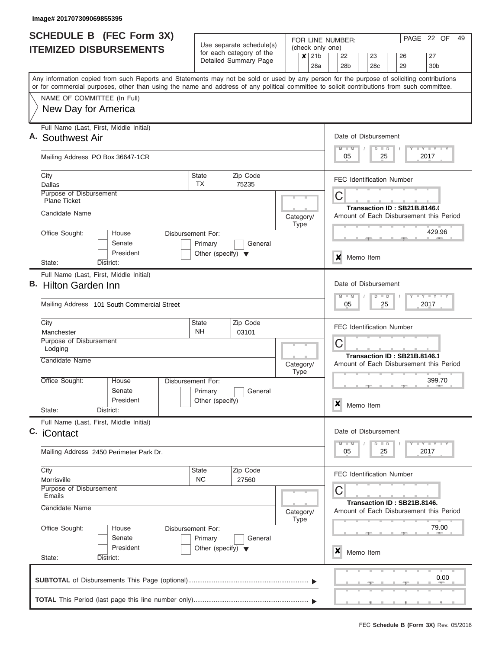| <b>SCHEDULE B (FEC Form 3X)</b>                                                                                                                                                                                                                                                         |                                      |                                                      | FOR LINE NUMBER:                                        | PAGE 22 OF<br>49                                                             |  |  |  |  |  |  |  |  |  |  |
|-----------------------------------------------------------------------------------------------------------------------------------------------------------------------------------------------------------------------------------------------------------------------------------------|--------------------------------------|------------------------------------------------------|---------------------------------------------------------|------------------------------------------------------------------------------|--|--|--|--|--|--|--|--|--|--|
| <b>ITEMIZED DISBURSEMENTS</b>                                                                                                                                                                                                                                                           |                                      | Use separate schedule(s)<br>for each category of the | (check only one)<br>$\boldsymbol{x}$<br>21 <sub>b</sub> | 22<br>27<br>23<br>26                                                         |  |  |  |  |  |  |  |  |  |  |
|                                                                                                                                                                                                                                                                                         |                                      | Detailed Summary Page                                | 28a                                                     | 29<br>28 <sub>b</sub><br>28c<br>30 <sub>b</sub>                              |  |  |  |  |  |  |  |  |  |  |
| Any information copied from such Reports and Statements may not be sold or used by any person for the purpose of soliciting contributions<br>or for commercial purposes, other than using the name and address of any political committee to solicit contributions from such committee. |                                      |                                                      |                                                         |                                                                              |  |  |  |  |  |  |  |  |  |  |
| NAME OF COMMITTEE (In Full)                                                                                                                                                                                                                                                             |                                      |                                                      |                                                         |                                                                              |  |  |  |  |  |  |  |  |  |  |
| New Day for America                                                                                                                                                                                                                                                                     |                                      |                                                      |                                                         |                                                                              |  |  |  |  |  |  |  |  |  |  |
| Full Name (Last, First, Middle Initial)<br>A. Southwest Air                                                                                                                                                                                                                             |                                      |                                                      |                                                         | Date of Disbursement<br>Y LY LY LY<br>$M$ $M$<br>$D$ $D$                     |  |  |  |  |  |  |  |  |  |  |
| Mailing Address PO Box 36647-1CR                                                                                                                                                                                                                                                        |                                      |                                                      |                                                         | 2017<br>05<br>25                                                             |  |  |  |  |  |  |  |  |  |  |
| City<br>Dallas                                                                                                                                                                                                                                                                          | <b>State</b><br>TX                   | Zip Code<br>75235                                    |                                                         | <b>FEC Identification Number</b>                                             |  |  |  |  |  |  |  |  |  |  |
| Purpose of Disbursement<br><b>Plane Ticket</b>                                                                                                                                                                                                                                          |                                      |                                                      |                                                         | С<br>Transaction ID: SB21B.8146.0                                            |  |  |  |  |  |  |  |  |  |  |
| Candidate Name                                                                                                                                                                                                                                                                          |                                      |                                                      | Category/<br><b>Type</b>                                | Amount of Each Disbursement this Period                                      |  |  |  |  |  |  |  |  |  |  |
| Office Sought:<br>House<br>Senate                                                                                                                                                                                                                                                       | Disbursement For:<br>Primary         | General                                              |                                                         | 429.96                                                                       |  |  |  |  |  |  |  |  |  |  |
| President<br>District:<br>State:                                                                                                                                                                                                                                                        | Other (specify) $\blacktriangledown$ |                                                      |                                                         | X<br>Memo Item                                                               |  |  |  |  |  |  |  |  |  |  |
| Full Name (Last, First, Middle Initial)<br>B. Hilton Garden Inn<br>Mailing Address 101 South Commercial Street                                                                                                                                                                          |                                      |                                                      |                                                         | Date of Disbursement<br>Y FY FY FY<br>$M - M$<br>$D$ $D$<br>05<br>25<br>2017 |  |  |  |  |  |  |  |  |  |  |
|                                                                                                                                                                                                                                                                                         | State                                | Zip Code                                             |                                                         |                                                                              |  |  |  |  |  |  |  |  |  |  |
| City<br>Manchester                                                                                                                                                                                                                                                                      | <b>NH</b><br>03101                   |                                                      |                                                         |                                                                              |  |  |  |  |  |  |  |  |  |  |
| Purpose of Disbursement<br>Lodging                                                                                                                                                                                                                                                      |                                      |                                                      |                                                         | C                                                                            |  |  |  |  |  |  |  |  |  |  |
| Candidate Name                                                                                                                                                                                                                                                                          |                                      |                                                      | Category/<br><b>Type</b>                                | Transaction ID: SB21B.8146.1<br>Amount of Each Disbursement this Period      |  |  |  |  |  |  |  |  |  |  |
| Office Sought:<br>House<br>Senate                                                                                                                                                                                                                                                       | Disbursement For:<br>Primary         | General                                              |                                                         | 399.70                                                                       |  |  |  |  |  |  |  |  |  |  |
| President<br>State:<br>District:                                                                                                                                                                                                                                                        | Other (specify)                      |                                                      |                                                         | $\boldsymbol{x}$<br>Memo Item                                                |  |  |  |  |  |  |  |  |  |  |
| Full Name (Last, First, Middle Initial)<br>C. iContact                                                                                                                                                                                                                                  |                                      |                                                      |                                                         | Date of Disbursement                                                         |  |  |  |  |  |  |  |  |  |  |
| Mailing Address 2450 Perimeter Park Dr.                                                                                                                                                                                                                                                 |                                      |                                                      |                                                         | Y LY LY LY<br>$M - M$<br>$D$ $D$<br>2017<br>05<br>25                         |  |  |  |  |  |  |  |  |  |  |
| City<br>Morrisville                                                                                                                                                                                                                                                                     | <b>State</b><br><b>NC</b>            | Zip Code<br>27560                                    |                                                         | <b>FEC Identification Number</b>                                             |  |  |  |  |  |  |  |  |  |  |
| <b>Purpose of Disbursement</b><br>Emails                                                                                                                                                                                                                                                |                                      |                                                      |                                                         | С<br>Transaction ID: SB21B.8146.                                             |  |  |  |  |  |  |  |  |  |  |
| Candidate Name                                                                                                                                                                                                                                                                          |                                      |                                                      | Category/<br><b>Type</b>                                | Amount of Each Disbursement this Period                                      |  |  |  |  |  |  |  |  |  |  |
| Office Sought:<br>House<br>Senate                                                                                                                                                                                                                                                       | Disbursement For:<br>Primary         | General                                              |                                                         | 79.00                                                                        |  |  |  |  |  |  |  |  |  |  |
| President<br>State:<br>District:                                                                                                                                                                                                                                                        | Other (specify) $\blacktriangledown$ |                                                      |                                                         | X<br>Memo Item                                                               |  |  |  |  |  |  |  |  |  |  |
|                                                                                                                                                                                                                                                                                         |                                      |                                                      |                                                         | 0.00                                                                         |  |  |  |  |  |  |  |  |  |  |
|                                                                                                                                                                                                                                                                                         |                                      |                                                      |                                                         |                                                                              |  |  |  |  |  |  |  |  |  |  |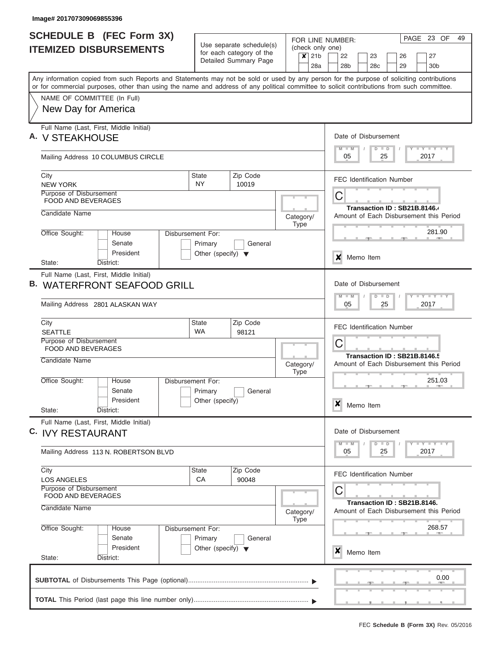| SCHEDULE B (FEC Form 3X)<br><b>ITEMIZED DISBURSEMENTS</b>                                                                                                                                                                                                                               | Use separate schedule(s)<br>for each category of the |         | (check only one)         | FOR LINE NUMBER:                                                       |                       | PAGE 23 OF                              |                             | 49 |  |  |  |  |  |  |  |
|-----------------------------------------------------------------------------------------------------------------------------------------------------------------------------------------------------------------------------------------------------------------------------------------|------------------------------------------------------|---------|--------------------------|------------------------------------------------------------------------|-----------------------|-----------------------------------------|-----------------------------|----|--|--|--|--|--|--|--|
|                                                                                                                                                                                                                                                                                         | Detailed Summary Page                                |         | $x$ 21b<br>28a           | 22<br>28 <sub>b</sub>                                                  | 23<br>28 <sub>c</sub> | 26<br>29                                | 27<br>30 <sub>b</sub>       |    |  |  |  |  |  |  |  |
| Any information copied from such Reports and Statements may not be sold or used by any person for the purpose of soliciting contributions<br>or for commercial purposes, other than using the name and address of any political committee to solicit contributions from such committee. |                                                      |         |                          |                                                                        |                       |                                         |                             |    |  |  |  |  |  |  |  |
| NAME OF COMMITTEE (In Full)<br>New Day for America                                                                                                                                                                                                                                      |                                                      |         |                          |                                                                        |                       |                                         |                             |    |  |  |  |  |  |  |  |
| Full Name (Last, First, Middle Initial)<br>A. V STEAKHOUSE                                                                                                                                                                                                                              |                                                      |         |                          | Date of Disbursement<br>$M$ $M$                                        | $D$ $D$               |                                         | Y LY LY LY                  |    |  |  |  |  |  |  |  |
| Mailing Address 10 COLUMBUS CIRCLE                                                                                                                                                                                                                                                      |                                                      |         |                          | 05                                                                     | 25                    | 2017                                    |                             |    |  |  |  |  |  |  |  |
| City<br><b>NEW YORK</b>                                                                                                                                                                                                                                                                 | Zip Code<br><b>State</b><br>NY.<br>10019             |         |                          | <b>FEC Identification Number</b>                                       |                       |                                         |                             |    |  |  |  |  |  |  |  |
| Purpose of Disbursement<br>FOOD AND BEVERAGES<br>Candidate Name                                                                                                                                                                                                                         |                                                      |         |                          | С<br>Transaction ID: SB21B.8146.4                                      |                       |                                         |                             |    |  |  |  |  |  |  |  |
| Office Sought:<br>House                                                                                                                                                                                                                                                                 | Disbursement For:                                    |         | Category/<br>Type        | Amount of Each Disbursement this Period<br>281.90                      |                       |                                         |                             |    |  |  |  |  |  |  |  |
| Senate<br>President<br>District:<br>State:                                                                                                                                                                                                                                              | Primary<br>Other (specify) $\blacktriangledown$      | General |                          | ×<br>Memo Item                                                         |                       |                                         |                             |    |  |  |  |  |  |  |  |
| Full Name (Last, First, Middle Initial)<br><b>WATERFRONT SEAFOOD GRILL</b><br>В.                                                                                                                                                                                                        |                                                      |         |                          | Date of Disbursement<br>$M - M$<br>$T - Y$ $T - Y$ $T - Y$<br>$D$ $D$  |                       |                                         |                             |    |  |  |  |  |  |  |  |
| Mailing Address 2801 ALASKAN WAY                                                                                                                                                                                                                                                        |                                                      |         |                          | 25<br>05<br>2017                                                       |                       |                                         |                             |    |  |  |  |  |  |  |  |
| City<br><b>SEATTLE</b>                                                                                                                                                                                                                                                                  | Zip Code<br><b>State</b><br><b>WA</b><br>98121       |         |                          | <b>FEC Identification Number</b>                                       |                       |                                         |                             |    |  |  |  |  |  |  |  |
| Purpose of Disbursement<br>FOOD AND BEVERAGES<br>Candidate Name                                                                                                                                                                                                                         |                                                      |         |                          | С<br>Transaction ID: SB21B.8146.5                                      |                       |                                         |                             |    |  |  |  |  |  |  |  |
|                                                                                                                                                                                                                                                                                         |                                                      |         | Category/<br><b>Type</b> |                                                                        |                       | Amount of Each Disbursement this Period |                             |    |  |  |  |  |  |  |  |
| Office Sought:<br>House<br>Senate<br>President<br>State:<br>District:                                                                                                                                                                                                                   | Disbursement For:<br>Primary<br>Other (specify)      | General |                          | ×<br>Memo Item                                                         |                       | $-1$                                    | 251.03<br><b>AND A</b>      |    |  |  |  |  |  |  |  |
| Full Name (Last, First, Middle Initial)<br>C. IVY RESTAURANT                                                                                                                                                                                                                            |                                                      |         |                          | Date of Disbursement                                                   |                       |                                         |                             |    |  |  |  |  |  |  |  |
| Mailing Address 113 N. ROBERTSON BLVD                                                                                                                                                                                                                                                   |                                                      |         |                          | $M$ $M$<br>05                                                          | $D$ $D$<br>25         | 2017                                    | $T - Y$ $T - Y$ $T - Y$     |    |  |  |  |  |  |  |  |
| City<br><b>LOS ANGELES</b><br>Purpose of Disbursement<br>FOOD AND BEVERAGES                                                                                                                                                                                                             | Zip Code<br>State<br>CA<br>90048                     |         |                          | <b>FEC Identification Number</b><br>С                                  |                       |                                         |                             |    |  |  |  |  |  |  |  |
| Candidate Name                                                                                                                                                                                                                                                                          |                                                      |         | Category/<br>Type        | Transaction ID: SB21B.8146.<br>Amount of Each Disbursement this Period |                       |                                         |                             |    |  |  |  |  |  |  |  |
| Office Sought:<br>House<br>Senate                                                                                                                                                                                                                                                       | Disbursement For:<br>Primary                         | General |                          |                                                                        |                       |                                         | 268.57<br><b>COLLECTIVE</b> |    |  |  |  |  |  |  |  |
| President<br>State:<br>District:                                                                                                                                                                                                                                                        | Other (specify) $\blacktriangledown$                 |         |                          | x<br>Memo Item                                                         |                       |                                         |                             |    |  |  |  |  |  |  |  |
|                                                                                                                                                                                                                                                                                         |                                                      |         |                          |                                                                        |                       |                                         | 0.00                        |    |  |  |  |  |  |  |  |
|                                                                                                                                                                                                                                                                                         |                                                      |         |                          |                                                                        |                       |                                         |                             |    |  |  |  |  |  |  |  |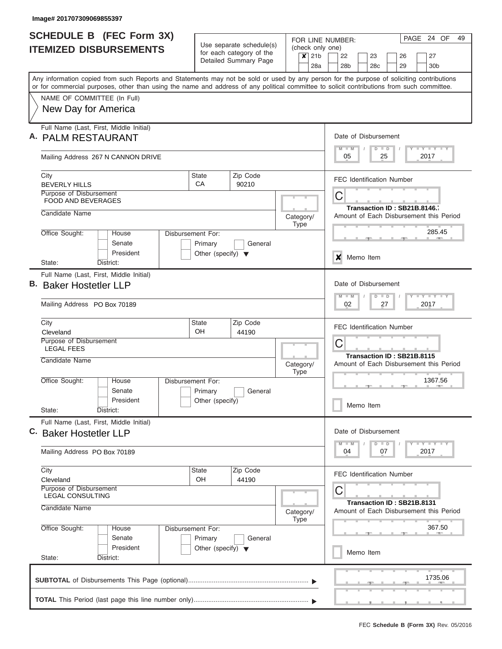| <b>SCHEDULE B (FEC Form 3X)</b>                                                                                                                                                                                                                                                         | Use separate schedule(s)                       | FOR LINE NUMBER:            | PAGE<br>24 OF<br>49                                         |  |  |  |  |  |  |  |  |  |  |  |  |
|-----------------------------------------------------------------------------------------------------------------------------------------------------------------------------------------------------------------------------------------------------------------------------------------|------------------------------------------------|-----------------------------|-------------------------------------------------------------|--|--|--|--|--|--|--|--|--|--|--|--|
| <b>ITEMIZED DISBURSEMENTS</b>                                                                                                                                                                                                                                                           | for each category of the                       | (check only one)<br>$x$ 21b | 22<br>23<br>27<br>26                                        |  |  |  |  |  |  |  |  |  |  |  |  |
|                                                                                                                                                                                                                                                                                         | Detailed Summary Page                          | 28a                         | 28 <sub>b</sub><br>28 <sub>c</sub><br>29<br>30 <sub>b</sub> |  |  |  |  |  |  |  |  |  |  |  |  |
| Any information copied from such Reports and Statements may not be sold or used by any person for the purpose of soliciting contributions<br>or for commercial purposes, other than using the name and address of any political committee to solicit contributions from such committee. |                                                |                             |                                                             |  |  |  |  |  |  |  |  |  |  |  |  |
| NAME OF COMMITTEE (In Full)                                                                                                                                                                                                                                                             |                                                |                             |                                                             |  |  |  |  |  |  |  |  |  |  |  |  |
| New Day for America                                                                                                                                                                                                                                                                     |                                                |                             |                                                             |  |  |  |  |  |  |  |  |  |  |  |  |
| Full Name (Last, First, Middle Initial)                                                                                                                                                                                                                                                 |                                                |                             |                                                             |  |  |  |  |  |  |  |  |  |  |  |  |
| A. PALM RESTAURANT                                                                                                                                                                                                                                                                      |                                                |                             | Date of Disbursement<br>$M - M$<br>Y FY FY FY<br>$D$ $D$    |  |  |  |  |  |  |  |  |  |  |  |  |
| Mailing Address 267 N CANNON DRIVE                                                                                                                                                                                                                                                      |                                                |                             | 05<br>25<br>2017                                            |  |  |  |  |  |  |  |  |  |  |  |  |
| City<br><b>BEVERLY HILLS</b>                                                                                                                                                                                                                                                            | Zip Code<br><b>State</b><br>CA<br>90210        |                             | <b>FEC Identification Number</b>                            |  |  |  |  |  |  |  |  |  |  |  |  |
| Purpose of Disbursement<br><b>FOOD AND BEVERAGES</b>                                                                                                                                                                                                                                    |                                                |                             | С                                                           |  |  |  |  |  |  |  |  |  |  |  |  |
| Candidate Name                                                                                                                                                                                                                                                                          |                                                |                             | Transaction ID: SB21B.8146.7                                |  |  |  |  |  |  |  |  |  |  |  |  |
|                                                                                                                                                                                                                                                                                         |                                                | Category/<br><b>Type</b>    | Amount of Each Disbursement this Period                     |  |  |  |  |  |  |  |  |  |  |  |  |
| Office Sought:<br>House<br>Senate                                                                                                                                                                                                                                                       | Disbursement For:<br>Primary<br>General        |                             | 285.45                                                      |  |  |  |  |  |  |  |  |  |  |  |  |
| President                                                                                                                                                                                                                                                                               | Other (specify) $\blacktriangledown$           |                             | ×<br>Memo Item                                              |  |  |  |  |  |  |  |  |  |  |  |  |
| District:<br>State:                                                                                                                                                                                                                                                                     |                                                |                             |                                                             |  |  |  |  |  |  |  |  |  |  |  |  |
| Full Name (Last, First, Middle Initial)<br>В.<br><b>Baker Hostetler LLP</b>                                                                                                                                                                                                             |                                                |                             | Date of Disbursement                                        |  |  |  |  |  |  |  |  |  |  |  |  |
|                                                                                                                                                                                                                                                                                         |                                                |                             | $T$ $Y$ $T$ $Y$ $T$<br>$M - M$<br>$D$ $D$                   |  |  |  |  |  |  |  |  |  |  |  |  |
| Mailing Address PO Box 70189                                                                                                                                                                                                                                                            |                                                |                             | 02<br>27<br>2017                                            |  |  |  |  |  |  |  |  |  |  |  |  |
| City<br>Cleveland                                                                                                                                                                                                                                                                       | Zip Code<br><b>State</b><br><b>OH</b><br>44190 |                             | <b>FEC Identification Number</b>                            |  |  |  |  |  |  |  |  |  |  |  |  |
| Purpose of Disbursement<br><b>LEGAL FEES</b>                                                                                                                                                                                                                                            |                                                |                             | С                                                           |  |  |  |  |  |  |  |  |  |  |  |  |
| Candidate Name                                                                                                                                                                                                                                                                          |                                                |                             | Transaction ID: SB21B.8115                                  |  |  |  |  |  |  |  |  |  |  |  |  |
|                                                                                                                                                                                                                                                                                         |                                                | Category/<br><b>Type</b>    | Amount of Each Disbursement this Period                     |  |  |  |  |  |  |  |  |  |  |  |  |
| Office Sought:<br>House<br>Senate                                                                                                                                                                                                                                                       | Disbursement For:<br>Primary<br>General        |                             | 1367.56<br>- 10                                             |  |  |  |  |  |  |  |  |  |  |  |  |
| President                                                                                                                                                                                                                                                                               | Other (specify)                                |                             | Memo Item                                                   |  |  |  |  |  |  |  |  |  |  |  |  |
| State:<br>District:                                                                                                                                                                                                                                                                     |                                                |                             |                                                             |  |  |  |  |  |  |  |  |  |  |  |  |
| Full Name (Last, First, Middle Initial)<br>C. Baker Hostetler LLP                                                                                                                                                                                                                       |                                                |                             | Date of Disbursement                                        |  |  |  |  |  |  |  |  |  |  |  |  |
|                                                                                                                                                                                                                                                                                         |                                                |                             | $T - Y$ $T - Y$<br>$M - M$<br>$D$ $D$                       |  |  |  |  |  |  |  |  |  |  |  |  |
| Mailing Address PO Box 70189                                                                                                                                                                                                                                                            |                                                |                             | 04<br>07<br>2017                                            |  |  |  |  |  |  |  |  |  |  |  |  |
| City<br>Cleveland                                                                                                                                                                                                                                                                       | <b>State</b><br>Zip Code<br>OH<br>44190        |                             | <b>FEC Identification Number</b>                            |  |  |  |  |  |  |  |  |  |  |  |  |
| Purpose of Disbursement<br><b>LEGAL CONSULTING</b>                                                                                                                                                                                                                                      |                                                |                             | С                                                           |  |  |  |  |  |  |  |  |  |  |  |  |
| Candidate Name                                                                                                                                                                                                                                                                          |                                                |                             | Transaction ID: SB21B.8131                                  |  |  |  |  |  |  |  |  |  |  |  |  |
|                                                                                                                                                                                                                                                                                         |                                                | Category/<br>Type           | Amount of Each Disbursement this Period                     |  |  |  |  |  |  |  |  |  |  |  |  |
| Office Sought:<br>House<br>Senate                                                                                                                                                                                                                                                       | Disbursement For:<br>Primary<br>General        |                             | 367.50                                                      |  |  |  |  |  |  |  |  |  |  |  |  |
| President                                                                                                                                                                                                                                                                               | Other (specify) $\blacktriangledown$           |                             | Memo Item                                                   |  |  |  |  |  |  |  |  |  |  |  |  |
| State:<br>District:                                                                                                                                                                                                                                                                     |                                                |                             |                                                             |  |  |  |  |  |  |  |  |  |  |  |  |
|                                                                                                                                                                                                                                                                                         |                                                |                             | 1735.06                                                     |  |  |  |  |  |  |  |  |  |  |  |  |
|                                                                                                                                                                                                                                                                                         |                                                |                             |                                                             |  |  |  |  |  |  |  |  |  |  |  |  |
|                                                                                                                                                                                                                                                                                         |                                                |                             |                                                             |  |  |  |  |  |  |  |  |  |  |  |  |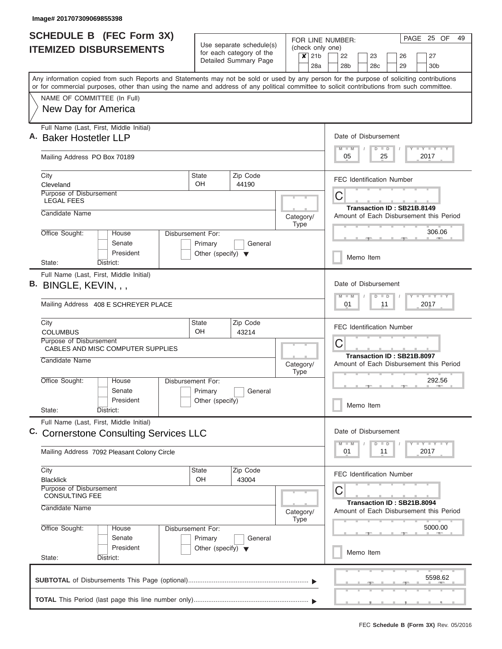|    | <b>SCHEDULE B (FEC Form 3X)</b><br><b>ITEMIZED DISBURSEMENTS</b>                                                                                                                                                                                                                        | Use separate schedule(s)                                             |                                                   |                                                                              |                  | PAGE 25 OF<br>49<br>FOR LINE NUMBER:<br>(check only one) |                                                                       |                       |  |                                  |    |  |          |  |                                         |  |
|----|-----------------------------------------------------------------------------------------------------------------------------------------------------------------------------------------------------------------------------------------------------------------------------------------|----------------------------------------------------------------------|---------------------------------------------------|------------------------------------------------------------------------------|------------------|----------------------------------------------------------|-----------------------------------------------------------------------|-----------------------|--|----------------------------------|----|--|----------|--|-----------------------------------------|--|
|    |                                                                                                                                                                                                                                                                                         |                                                                      | for each category of the<br>Detailed Summary Page |                                                                              | $\boldsymbol{x}$ | 21 <sub>b</sub><br>28a                                   |                                                                       | 22<br>28 <sub>b</sub> |  | 23<br>28 <sub>c</sub>            |    |  | 26<br>29 |  | 27<br>30 <sub>b</sub>                   |  |
|    | Any information copied from such Reports and Statements may not be sold or used by any person for the purpose of soliciting contributions<br>or for commercial purposes, other than using the name and address of any political committee to solicit contributions from such committee. |                                                                      |                                                   |                                                                              |                  |                                                          |                                                                       |                       |  |                                  |    |  |          |  |                                         |  |
|    | NAME OF COMMITTEE (In Full)                                                                                                                                                                                                                                                             |                                                                      |                                                   |                                                                              |                  |                                                          |                                                                       |                       |  |                                  |    |  |          |  |                                         |  |
|    | New Day for America                                                                                                                                                                                                                                                                     |                                                                      |                                                   |                                                                              |                  |                                                          |                                                                       |                       |  |                                  |    |  |          |  |                                         |  |
| Α. | Full Name (Last, First, Middle Initial)<br><b>Baker Hostetler LLP</b>                                                                                                                                                                                                                   |                                                                      |                                                   |                                                                              |                  |                                                          |                                                                       | $M - M$               |  | Date of Disbursement<br>$D$ $D$  |    |  |          |  | Y L Y L Y L Y                           |  |
|    | Mailing Address PO Box 70189                                                                                                                                                                                                                                                            |                                                                      |                                                   |                                                                              |                  |                                                          | 05<br>25<br>2017                                                      |                       |  |                                  |    |  |          |  |                                         |  |
|    | City<br>Cleveland                                                                                                                                                                                                                                                                       | State<br>OH.                                                         | Zip Code<br>44190                                 |                                                                              |                  |                                                          |                                                                       |                       |  | <b>FEC Identification Number</b> |    |  |          |  |                                         |  |
|    | Purpose of Disbursement<br><b>LEGAL FEES</b>                                                                                                                                                                                                                                            |                                                                      |                                                   |                                                                              |                  |                                                          | C<br>Transaction ID: SB21B.8149                                       |                       |  |                                  |    |  |          |  |                                         |  |
|    | Candidate Name                                                                                                                                                                                                                                                                          |                                                                      |                                                   | Category/                                                                    | <b>Type</b>      |                                                          |                                                                       |                       |  |                                  |    |  |          |  | Amount of Each Disbursement this Period |  |
|    | Office Sought:<br>House<br>Senate<br>President                                                                                                                                                                                                                                          | Disbursement For:<br>Primary<br>Other (specify) $\blacktriangledown$ | General                                           |                                                                              |                  |                                                          |                                                                       |                       |  |                                  |    |  |          |  | 306.06                                  |  |
|    | District:<br>State:                                                                                                                                                                                                                                                                     |                                                                      |                                                   |                                                                              |                  |                                                          |                                                                       |                       |  | Memo Item                        |    |  |          |  |                                         |  |
|    | Full Name (Last, First, Middle Initial)<br>B. BINGLE, KEVIN, , ,<br>Mailing Address 408 E SCHREYER PLACE                                                                                                                                                                                |                                                                      |                                                   | Date of Disbursement<br>Y FY FY FY<br>$M - M$<br>$D$ $D$<br>01<br>11<br>2017 |                  |                                                          |                                                                       |                       |  |                                  |    |  |          |  |                                         |  |
|    | City                                                                                                                                                                                                                                                                                    | Zip Code<br>State                                                    |                                                   |                                                                              |                  |                                                          |                                                                       |                       |  | <b>FEC Identification Number</b> |    |  |          |  |                                         |  |
|    | <b>COLUMBUS</b><br>Purpose of Disbursement<br>CABLES AND MISC COMPUTER SUPPLIES                                                                                                                                                                                                         | OH<br>43214                                                          |                                                   |                                                                              |                  |                                                          |                                                                       | C                     |  |                                  |    |  |          |  |                                         |  |
|    | Candidate Name                                                                                                                                                                                                                                                                          |                                                                      |                                                   | Category/                                                                    | <b>Type</b>      |                                                          | Transaction ID: SB21B.8097<br>Amount of Each Disbursement this Period |                       |  |                                  |    |  |          |  |                                         |  |
|    | Office Sought:<br>House<br>Senate                                                                                                                                                                                                                                                       | Disbursement For:<br>Primary                                         | General                                           |                                                                              |                  |                                                          |                                                                       |                       |  |                                  |    |  |          |  | 292.56                                  |  |
|    | President<br>State:<br>District:                                                                                                                                                                                                                                                        | Other (specify)                                                      |                                                   |                                                                              |                  |                                                          |                                                                       |                       |  | Memo Item                        |    |  |          |  |                                         |  |
|    | Full Name (Last, First, Middle Initial)<br>C. Cornerstone Consulting Services LLC                                                                                                                                                                                                       |                                                                      |                                                   |                                                                              |                  |                                                          |                                                                       |                       |  | Date of Disbursement             |    |  |          |  |                                         |  |
|    | Mailing Address 7092 Pleasant Colony Circle                                                                                                                                                                                                                                             |                                                                      |                                                   |                                                                              |                  |                                                          |                                                                       | $M - M$<br>01         |  | $D$ $D$                          | 11 |  |          |  | $T = Y - T - T$<br>2017                 |  |
|    | City<br><b>Blacklick</b>                                                                                                                                                                                                                                                                | State<br><b>OH</b>                                                   | Zip Code<br>43004                                 |                                                                              |                  |                                                          |                                                                       |                       |  | <b>FEC Identification Number</b> |    |  |          |  |                                         |  |
|    | Purpose of Disbursement<br><b>CONSULTING FEE</b><br>Candidate Name                                                                                                                                                                                                                      |                                                                      |                                                   | Category/                                                                    | <b>Type</b>      |                                                          | C                                                                     |                       |  | Transaction ID: SB21B.8094       |    |  |          |  | Amount of Each Disbursement this Period |  |
|    | Office Sought:<br>House<br>Senate                                                                                                                                                                                                                                                       | Disbursement For:<br>Primary<br>General                              |                                                   |                                                                              |                  |                                                          |                                                                       |                       |  |                                  |    |  |          |  | 5000.00                                 |  |
|    | President<br>State:<br>District:                                                                                                                                                                                                                                                        | Other (specify) $\blacktriangledown$                                 |                                                   |                                                                              |                  |                                                          |                                                                       |                       |  | Memo Item                        |    |  |          |  |                                         |  |
|    |                                                                                                                                                                                                                                                                                         |                                                                      |                                                   |                                                                              |                  |                                                          |                                                                       |                       |  |                                  |    |  |          |  | 5598.62                                 |  |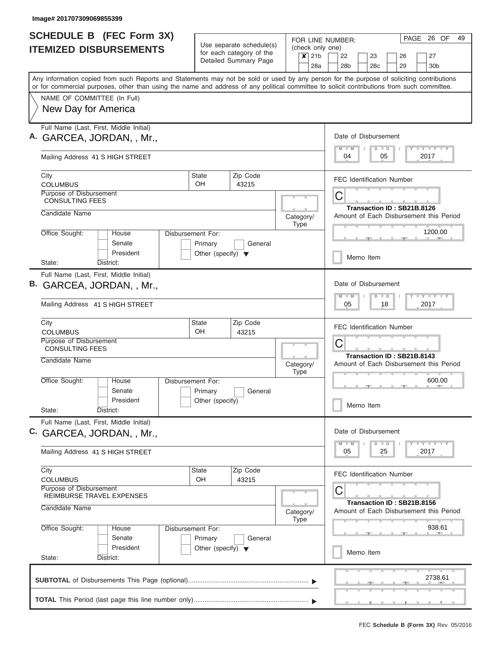|    | <b>SCHEDULE B</b> (FEC Form 3X)                                                                                                                                                                                                                                                         |                                                 |                                                                               |                           | PAGE<br>26 OF<br>49<br>FOR LINE NUMBER:                               |  |  |  |  |  |  |  |  |  |  |  |  |  |
|----|-----------------------------------------------------------------------------------------------------------------------------------------------------------------------------------------------------------------------------------------------------------------------------------------|-------------------------------------------------|-------------------------------------------------------------------------------|---------------------------|-----------------------------------------------------------------------|--|--|--|--|--|--|--|--|--|--|--|--|--|
|    | <b>ITEMIZED DISBURSEMENTS</b>                                                                                                                                                                                                                                                           |                                                 | Use separate schedule(s)<br>for each category of the<br>Detailed Summary Page | $\boldsymbol{\mathsf{x}}$ | (check only one)<br>21 <sub>b</sub><br>22<br>27<br>23<br>26           |  |  |  |  |  |  |  |  |  |  |  |  |  |
|    |                                                                                                                                                                                                                                                                                         |                                                 |                                                                               |                           | 28a<br>28 <sub>b</sub><br>28c<br>29<br>30 <sub>b</sub>                |  |  |  |  |  |  |  |  |  |  |  |  |  |
|    | Any information copied from such Reports and Statements may not be sold or used by any person for the purpose of soliciting contributions<br>or for commercial purposes, other than using the name and address of any political committee to solicit contributions from such committee. |                                                 |                                                                               |                           |                                                                       |  |  |  |  |  |  |  |  |  |  |  |  |  |
|    | NAME OF COMMITTEE (In Full)                                                                                                                                                                                                                                                             |                                                 |                                                                               |                           |                                                                       |  |  |  |  |  |  |  |  |  |  |  |  |  |
|    | New Day for America                                                                                                                                                                                                                                                                     |                                                 |                                                                               |                           |                                                                       |  |  |  |  |  |  |  |  |  |  |  |  |  |
|    | Full Name (Last, First, Middle Initial)<br>A. GARCEA, JORDAN, , Mr.,                                                                                                                                                                                                                    |                                                 |                                                                               |                           | Date of Disbursement                                                  |  |  |  |  |  |  |  |  |  |  |  |  |  |
|    | Mailing Address 41 S HIGH STREET                                                                                                                                                                                                                                                        |                                                 |                                                                               |                           | Y FY FY FY<br>$M$ $M$<br>$D$ $D$<br>04<br>05<br>2017                  |  |  |  |  |  |  |  |  |  |  |  |  |  |
|    | City<br><b>COLUMBUS</b>                                                                                                                                                                                                                                                                 | <b>State</b><br>OH.                             | Zip Code<br>43215                                                             |                           | <b>FEC Identification Number</b>                                      |  |  |  |  |  |  |  |  |  |  |  |  |  |
|    | Purpose of Disbursement<br><b>CONSULTING FEES</b>                                                                                                                                                                                                                                       |                                                 |                                                                               |                           | С                                                                     |  |  |  |  |  |  |  |  |  |  |  |  |  |
|    | Candidate Name                                                                                                                                                                                                                                                                          |                                                 |                                                                               | Category/<br><b>Type</b>  | Transaction ID: SB21B.8126<br>Amount of Each Disbursement this Period |  |  |  |  |  |  |  |  |  |  |  |  |  |
|    | Office Sought:<br>House<br>Senate                                                                                                                                                                                                                                                       | Disbursement For:<br>Primary                    | General                                                                       |                           | 1200.00                                                               |  |  |  |  |  |  |  |  |  |  |  |  |  |
|    | President<br>State:<br>District:                                                                                                                                                                                                                                                        | Other (specify) $\blacktriangledown$            |                                                                               |                           | Memo Item                                                             |  |  |  |  |  |  |  |  |  |  |  |  |  |
|    | Full Name (Last, First, Middle Initial)                                                                                                                                                                                                                                                 |                                                 |                                                                               |                           |                                                                       |  |  |  |  |  |  |  |  |  |  |  |  |  |
| В. | GARCEA, JORDAN, , Mr.,                                                                                                                                                                                                                                                                  |                                                 |                                                                               |                           | Date of Disbursement<br>$Y - Y - Y - Y - I - Y$<br>$M - M$<br>$D$ $D$ |  |  |  |  |  |  |  |  |  |  |  |  |  |
|    | Mailing Address 41 S HIGH STREET                                                                                                                                                                                                                                                        |                                                 |                                                                               |                           | 18<br>2017<br>05<br><b>FEC Identification Number</b>                  |  |  |  |  |  |  |  |  |  |  |  |  |  |
|    | City<br><b>COLUMBUS</b>                                                                                                                                                                                                                                                                 | <b>State</b><br>OH.                             | Zip Code<br>43215                                                             |                           |                                                                       |  |  |  |  |  |  |  |  |  |  |  |  |  |
|    | Purpose of Disbursement<br><b>CONSULTING FEES</b>                                                                                                                                                                                                                                       |                                                 |                                                                               |                           | C                                                                     |  |  |  |  |  |  |  |  |  |  |  |  |  |
|    | Candidate Name                                                                                                                                                                                                                                                                          |                                                 |                                                                               | Category/<br><b>Type</b>  | Transaction ID: SB21B.8143<br>Amount of Each Disbursement this Period |  |  |  |  |  |  |  |  |  |  |  |  |  |
|    | Office Sought:<br>House<br>Senate                                                                                                                                                                                                                                                       | Disbursement For:<br>Primary                    | General                                                                       |                           | 600.00                                                                |  |  |  |  |  |  |  |  |  |  |  |  |  |
|    | President<br>State:<br>District:                                                                                                                                                                                                                                                        | Other (specify)                                 |                                                                               |                           | Memo Item                                                             |  |  |  |  |  |  |  |  |  |  |  |  |  |
|    | Full Name (Last, First, Middle Initial)                                                                                                                                                                                                                                                 |                                                 |                                                                               |                           |                                                                       |  |  |  |  |  |  |  |  |  |  |  |  |  |
|    | C. GARCEA, JORDAN, , Mr.,                                                                                                                                                                                                                                                               |                                                 |                                                                               |                           | Date of Disbursement<br>Y TY TY TY<br>$M - M$<br>$D$ $D$              |  |  |  |  |  |  |  |  |  |  |  |  |  |
|    | Mailing Address 41 S HIGH STREET                                                                                                                                                                                                                                                        |                                                 |                                                                               |                           | 2017<br>05<br>25                                                      |  |  |  |  |  |  |  |  |  |  |  |  |  |
|    | City<br><b>COLUMBUS</b>                                                                                                                                                                                                                                                                 | State<br>OH                                     | Zip Code<br>43215                                                             |                           | <b>FEC Identification Number</b>                                      |  |  |  |  |  |  |  |  |  |  |  |  |  |
|    | Purpose of Disbursement<br>REIMBURSE TRAVEL EXPENSES                                                                                                                                                                                                                                    |                                                 |                                                                               |                           | С                                                                     |  |  |  |  |  |  |  |  |  |  |  |  |  |
|    | Candidate Name                                                                                                                                                                                                                                                                          |                                                 |                                                                               | Category/<br><b>Type</b>  | Transaction ID: SB21B.8156<br>Amount of Each Disbursement this Period |  |  |  |  |  |  |  |  |  |  |  |  |  |
|    | Office Sought:<br>House<br>Senate                                                                                                                                                                                                                                                       | Disbursement For:                               |                                                                               |                           | 938.61                                                                |  |  |  |  |  |  |  |  |  |  |  |  |  |
|    | President<br>State:<br>District:                                                                                                                                                                                                                                                        | Primary<br>Other (specify) $\blacktriangledown$ | General                                                                       |                           | Memo Item                                                             |  |  |  |  |  |  |  |  |  |  |  |  |  |
|    |                                                                                                                                                                                                                                                                                         |                                                 |                                                                               |                           |                                                                       |  |  |  |  |  |  |  |  |  |  |  |  |  |
|    |                                                                                                                                                                                                                                                                                         |                                                 |                                                                               |                           | 2738.61                                                               |  |  |  |  |  |  |  |  |  |  |  |  |  |
|    |                                                                                                                                                                                                                                                                                         |                                                 |                                                                               |                           |                                                                       |  |  |  |  |  |  |  |  |  |  |  |  |  |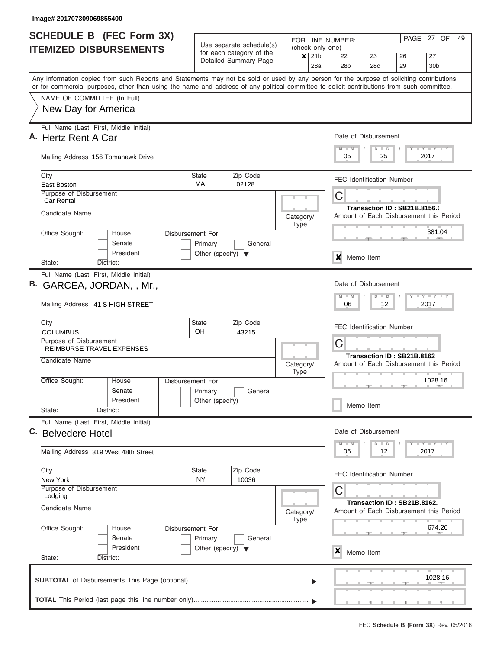| <b>SCHEDULE B (FEC Form 3X)</b>                                                                                                                                           |                                                            | FOR LINE NUMBER:                                                 | PAGE 27 OF<br>49                                                        |  |  |  |  |  |  |  |  |  |  |  |
|---------------------------------------------------------------------------------------------------------------------------------------------------------------------------|------------------------------------------------------------|------------------------------------------------------------------|-------------------------------------------------------------------------|--|--|--|--|--|--|--|--|--|--|--|
| <b>ITEMIZED DISBURSEMENTS</b>                                                                                                                                             | Use separate schedule(s)<br>for each category of the       | (check only one)<br>21 <sub>b</sub><br>$\boldsymbol{\mathsf{x}}$ | 22<br>23<br>26<br>27                                                    |  |  |  |  |  |  |  |  |  |  |  |
|                                                                                                                                                                           | Detailed Summary Page                                      | 28a                                                              | 28 <sub>b</sub><br>28 <sub>c</sub><br>29<br>30 <sub>b</sub>             |  |  |  |  |  |  |  |  |  |  |  |
| Any information copied from such Reports and Statements may not be sold or used by any person for the purpose of soliciting contributions                                 |                                                            |                                                                  |                                                                         |  |  |  |  |  |  |  |  |  |  |  |
| or for commercial purposes, other than using the name and address of any political committee to solicit contributions from such committee.<br>NAME OF COMMITTEE (In Full) |                                                            |                                                                  |                                                                         |  |  |  |  |  |  |  |  |  |  |  |
| New Day for America                                                                                                                                                       |                                                            |                                                                  |                                                                         |  |  |  |  |  |  |  |  |  |  |  |
|                                                                                                                                                                           |                                                            |                                                                  |                                                                         |  |  |  |  |  |  |  |  |  |  |  |
| Full Name (Last, First, Middle Initial)<br>A. Hertz Rent A Car                                                                                                            |                                                            |                                                                  | Date of Disbursement                                                    |  |  |  |  |  |  |  |  |  |  |  |
|                                                                                                                                                                           |                                                            |                                                                  | Y I Y I Y I Y<br>$M$ $M$<br>$D$ $D$                                     |  |  |  |  |  |  |  |  |  |  |  |
| Mailing Address 156 Tomahawk Drive                                                                                                                                        |                                                            |                                                                  | 05<br>25<br>2017                                                        |  |  |  |  |  |  |  |  |  |  |  |
| City                                                                                                                                                                      | Zip Code<br>State                                          |                                                                  | <b>FEC Identification Number</b>                                        |  |  |  |  |  |  |  |  |  |  |  |
| East Boston<br><b>Purpose of Disbursement</b>                                                                                                                             | MA<br>02128                                                |                                                                  |                                                                         |  |  |  |  |  |  |  |  |  |  |  |
| <b>Car Rental</b>                                                                                                                                                         |                                                            |                                                                  | С                                                                       |  |  |  |  |  |  |  |  |  |  |  |
| Candidate Name                                                                                                                                                            |                                                            | Category/                                                        | Transaction ID: SB21B.8156.(<br>Amount of Each Disbursement this Period |  |  |  |  |  |  |  |  |  |  |  |
|                                                                                                                                                                           |                                                            | <b>Type</b>                                                      |                                                                         |  |  |  |  |  |  |  |  |  |  |  |
| Office Sought:<br>House<br>Senate                                                                                                                                         | Disbursement For:                                          |                                                                  | 381.04                                                                  |  |  |  |  |  |  |  |  |  |  |  |
| President                                                                                                                                                                 | Primary<br>General<br>Other (specify) $\blacktriangledown$ |                                                                  |                                                                         |  |  |  |  |  |  |  |  |  |  |  |
| State:<br>District:                                                                                                                                                       |                                                            |                                                                  | ×<br>Memo Item                                                          |  |  |  |  |  |  |  |  |  |  |  |
| Full Name (Last, First, Middle Initial)                                                                                                                                   |                                                            |                                                                  |                                                                         |  |  |  |  |  |  |  |  |  |  |  |
| B. GARCEA, JORDAN, , Mr.,                                                                                                                                                 |                                                            |                                                                  | Date of Disbursement                                                    |  |  |  |  |  |  |  |  |  |  |  |
| Mailing Address 41 S HIGH STREET                                                                                                                                          |                                                            |                                                                  | <b>TEY LY LY</b><br>$M - M$<br>$D$ $D$<br>06<br>12<br>2017              |  |  |  |  |  |  |  |  |  |  |  |
| City<br><b>COLUMBUS</b>                                                                                                                                                   | Zip Code<br><b>State</b><br><b>OH</b><br>43215             |                                                                  | <b>FEC Identification Number</b>                                        |  |  |  |  |  |  |  |  |  |  |  |
| Purpose of Disbursement                                                                                                                                                   |                                                            |                                                                  | С                                                                       |  |  |  |  |  |  |  |  |  |  |  |
| REIMBURSE TRAVEL EXPENSES                                                                                                                                                 |                                                            |                                                                  | Transaction ID: SB21B.8162                                              |  |  |  |  |  |  |  |  |  |  |  |
| Candidate Name                                                                                                                                                            |                                                            | Category/<br><b>Type</b>                                         | Amount of Each Disbursement this Period                                 |  |  |  |  |  |  |  |  |  |  |  |
| Office Sought:<br>House                                                                                                                                                   | Disbursement For:                                          |                                                                  | 1028.16<br>- 10                                                         |  |  |  |  |  |  |  |  |  |  |  |
| Senate                                                                                                                                                                    | Primary<br>General                                         |                                                                  |                                                                         |  |  |  |  |  |  |  |  |  |  |  |
| President<br>State:<br>District:                                                                                                                                          | Other (specify)                                            |                                                                  | Memo Item                                                               |  |  |  |  |  |  |  |  |  |  |  |
| Full Name (Last, First, Middle Initial)                                                                                                                                   |                                                            |                                                                  |                                                                         |  |  |  |  |  |  |  |  |  |  |  |
| C. Belvedere Hotel                                                                                                                                                        |                                                            |                                                                  | Date of Disbursement                                                    |  |  |  |  |  |  |  |  |  |  |  |
| Mailing Address 319 West 48th Street                                                                                                                                      |                                                            |                                                                  | $T - Y$ $T - Y$<br>$M - M$<br>$D$ $D$<br>06<br>12<br>2017               |  |  |  |  |  |  |  |  |  |  |  |
| City                                                                                                                                                                      | State<br>Zip Code                                          |                                                                  |                                                                         |  |  |  |  |  |  |  |  |  |  |  |
| New York                                                                                                                                                                  | <b>NY</b><br>10036                                         |                                                                  | FEC Identification Number                                               |  |  |  |  |  |  |  |  |  |  |  |
| Purpose of Disbursement<br>Lodging                                                                                                                                        |                                                            |                                                                  | С                                                                       |  |  |  |  |  |  |  |  |  |  |  |
| Candidate Name                                                                                                                                                            |                                                            | Category/                                                        | Transaction ID: SB21B.8162.<br>Amount of Each Disbursement this Period  |  |  |  |  |  |  |  |  |  |  |  |
| Office Sought:<br>House                                                                                                                                                   | Disbursement For:                                          | <b>Type</b>                                                      | 674.26                                                                  |  |  |  |  |  |  |  |  |  |  |  |
| Senate                                                                                                                                                                    | Primary<br>General                                         |                                                                  |                                                                         |  |  |  |  |  |  |  |  |  |  |  |
| President<br>State:<br>District:                                                                                                                                          | Other (specify) $\blacktriangledown$                       |                                                                  | X<br>Memo Item                                                          |  |  |  |  |  |  |  |  |  |  |  |
|                                                                                                                                                                           |                                                            |                                                                  |                                                                         |  |  |  |  |  |  |  |  |  |  |  |
|                                                                                                                                                                           |                                                            |                                                                  | 1028.16                                                                 |  |  |  |  |  |  |  |  |  |  |  |
|                                                                                                                                                                           |                                                            |                                                                  |                                                                         |  |  |  |  |  |  |  |  |  |  |  |
|                                                                                                                                                                           |                                                            |                                                                  |                                                                         |  |  |  |  |  |  |  |  |  |  |  |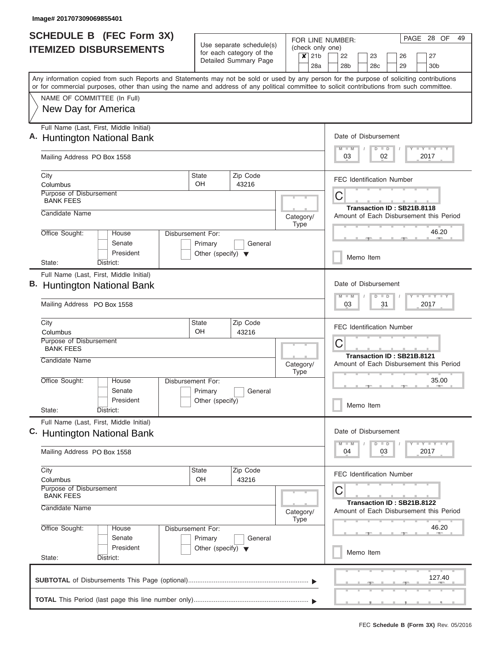| <b>SCHEDULE B (FEC Form 3X)</b>                                                                                                                                           | Use separate schedule(s)                                              |                                  |  |                                                              |                  | PAGE 28 OF<br>49<br>FOR LINE NUMBER:<br>(check only one)              |                                 |                                                                       |                       |    |                                  |  |                                         |  |  |  |  |  |  |  |
|---------------------------------------------------------------------------------------------------------------------------------------------------------------------------|-----------------------------------------------------------------------|----------------------------------|--|--------------------------------------------------------------|------------------|-----------------------------------------------------------------------|---------------------------------|-----------------------------------------------------------------------|-----------------------|----|----------------------------------|--|-----------------------------------------|--|--|--|--|--|--|--|
| <b>ITEMIZED DISBURSEMENTS</b>                                                                                                                                             | for each category of the<br>$\boldsymbol{x}$<br>Detailed Summary Page |                                  |  |                                                              |                  |                                                                       | 22<br>28 <sub>b</sub>           |                                                                       | 23<br>28 <sub>c</sub> |    | 26<br>29                         |  | 27<br>30 <sub>b</sub>                   |  |  |  |  |  |  |  |
| Any information copied from such Reports and Statements may not be sold or used by any person for the purpose of soliciting contributions                                 |                                                                       |                                  |  |                                                              | 28a              |                                                                       |                                 |                                                                       |                       |    |                                  |  |                                         |  |  |  |  |  |  |  |
| or for commercial purposes, other than using the name and address of any political committee to solicit contributions from such committee.<br>NAME OF COMMITTEE (In Full) |                                                                       |                                  |  |                                                              |                  |                                                                       |                                 |                                                                       |                       |    |                                  |  |                                         |  |  |  |  |  |  |  |
| New Day for America                                                                                                                                                       |                                                                       |                                  |  |                                                              |                  |                                                                       |                                 |                                                                       |                       |    |                                  |  |                                         |  |  |  |  |  |  |  |
| Full Name (Last, First, Middle Initial)                                                                                                                                   |                                                                       |                                  |  |                                                              |                  |                                                                       |                                 |                                                                       |                       |    |                                  |  |                                         |  |  |  |  |  |  |  |
| <b>Huntington National Bank</b>                                                                                                                                           |                                                                       |                                  |  |                                                              |                  |                                                                       | Date of Disbursement<br>$M - M$ |                                                                       | $D$ $D$               |    |                                  |  | Y I Y I Y I Y                           |  |  |  |  |  |  |  |
| Mailing Address PO Box 1558                                                                                                                                               |                                                                       |                                  |  |                                                              | 02<br>03<br>2017 |                                                                       |                                 |                                                                       |                       |    |                                  |  |                                         |  |  |  |  |  |  |  |
| City<br>Columbus                                                                                                                                                          | State<br>OH                                                           | Zip Code<br>43216                |  |                                                              |                  | <b>FEC Identification Number</b>                                      |                                 |                                                                       |                       |    |                                  |  |                                         |  |  |  |  |  |  |  |
| Purpose of Disbursement<br><b>BANK FEES</b>                                                                                                                               |                                                                       |                                  |  |                                                              |                  | С<br>Transaction ID: SB21B.8118                                       |                                 |                                                                       |                       |    |                                  |  |                                         |  |  |  |  |  |  |  |
| Candidate Name                                                                                                                                                            |                                                                       |                                  |  | Category/                                                    |                  |                                                                       |                                 |                                                                       |                       |    |                                  |  | Amount of Each Disbursement this Period |  |  |  |  |  |  |  |
| Office Sought:<br>House                                                                                                                                                   | <b>Type</b><br>Disbursement For:<br>General                           |                                  |  |                                                              |                  |                                                                       | 46.20                           |                                                                       |                       |    |                                  |  |                                         |  |  |  |  |  |  |  |
| Senate<br>President                                                                                                                                                       | Primary<br>Other (specify) $\blacktriangledown$                       |                                  |  | Memo Item                                                    |                  |                                                                       |                                 |                                                                       |                       |    |                                  |  |                                         |  |  |  |  |  |  |  |
| District:<br>State:<br>Full Name (Last, First, Middle Initial)                                                                                                            |                                                                       |                                  |  |                                                              |                  |                                                                       |                                 |                                                                       |                       |    |                                  |  |                                         |  |  |  |  |  |  |  |
| <b>Huntington National Bank</b>                                                                                                                                           |                                                                       |                                  |  |                                                              |                  | Date of Disbursement                                                  |                                 |                                                                       |                       |    |                                  |  |                                         |  |  |  |  |  |  |  |
| Mailing Address PO Box 1558                                                                                                                                               |                                                                       |                                  |  | <b>TEY TEY TEY</b><br>$M - M$<br>$D$ $D$<br>03<br>31<br>2017 |                  |                                                                       |                                 |                                                                       |                       |    |                                  |  |                                         |  |  |  |  |  |  |  |
| City<br>Columbus                                                                                                                                                          | State<br>OH                                                           | <b>FEC Identification Number</b> |  |                                                              |                  |                                                                       |                                 |                                                                       |                       |    |                                  |  |                                         |  |  |  |  |  |  |  |
| Purpose of Disbursement<br><b>BANK FEES</b>                                                                                                                               |                                                                       | 43216                            |  |                                                              |                  | C                                                                     |                                 |                                                                       |                       |    |                                  |  |                                         |  |  |  |  |  |  |  |
| Candidate Name                                                                                                                                                            |                                                                       |                                  |  | Category/                                                    |                  | Transaction ID: SB21B.8121<br>Amount of Each Disbursement this Period |                                 |                                                                       |                       |    |                                  |  |                                         |  |  |  |  |  |  |  |
| Office Sought:<br>House                                                                                                                                                   | Disbursement For:                                                     |                                  |  | <b>Type</b>                                                  |                  |                                                                       |                                 |                                                                       |                       |    |                                  |  | 35.00                                   |  |  |  |  |  |  |  |
| Senate<br>President                                                                                                                                                       | Primary<br>Other (specify)                                            | General                          |  |                                                              |                  |                                                                       |                                 |                                                                       | Memo Item             |    |                                  |  |                                         |  |  |  |  |  |  |  |
| State:<br>District:                                                                                                                                                       |                                                                       |                                  |  |                                                              |                  |                                                                       |                                 |                                                                       |                       |    |                                  |  |                                         |  |  |  |  |  |  |  |
| Full Name (Last, First, Middle Initial)<br>C. Huntington National Bank                                                                                                    |                                                                       |                                  |  |                                                              |                  |                                                                       | Date of Disbursement            |                                                                       |                       |    |                                  |  |                                         |  |  |  |  |  |  |  |
| Mailing Address PO Box 1558                                                                                                                                               |                                                                       |                                  |  |                                                              |                  |                                                                       | $M$ $M$<br>04                   |                                                                       | $D$ $D$               | 03 |                                  |  | $T - Y$ $T - Y$<br>2017                 |  |  |  |  |  |  |  |
| City                                                                                                                                                                      | State                                                                 | Zip Code                         |  |                                                              |                  |                                                                       |                                 |                                                                       |                       |    | <b>FEC Identification Number</b> |  |                                         |  |  |  |  |  |  |  |
| Columbus<br>Purpose of Disbursement<br><b>BANK FEES</b>                                                                                                                   | OH                                                                    | 43216                            |  |                                                              |                  |                                                                       | C                               |                                                                       |                       |    |                                  |  |                                         |  |  |  |  |  |  |  |
| Candidate Name                                                                                                                                                            | Category/                                                             |                                  |  |                                                              |                  |                                                                       |                                 | Transaction ID: SB21B.8122<br>Amount of Each Disbursement this Period |                       |    |                                  |  |                                         |  |  |  |  |  |  |  |
| Office Sought:<br>House                                                                                                                                                   | Disbursement For:                                                     |                                  |  | <b>Type</b>                                                  |                  |                                                                       |                                 |                                                                       |                       |    |                                  |  | 46.20                                   |  |  |  |  |  |  |  |
| Senate<br>President                                                                                                                                                       | Primary<br>Other (specify) $\blacktriangledown$                       | General                          |  |                                                              |                  |                                                                       |                                 |                                                                       | Memo Item             |    |                                  |  |                                         |  |  |  |  |  |  |  |
| State:<br>District:                                                                                                                                                       |                                                                       |                                  |  |                                                              |                  |                                                                       |                                 |                                                                       |                       |    |                                  |  |                                         |  |  |  |  |  |  |  |
|                                                                                                                                                                           |                                                                       |                                  |  |                                                              |                  |                                                                       |                                 |                                                                       |                       |    |                                  |  | 127.40                                  |  |  |  |  |  |  |  |
|                                                                                                                                                                           |                                                                       |                                  |  |                                                              |                  |                                                                       |                                 |                                                                       |                       |    |                                  |  |                                         |  |  |  |  |  |  |  |
|                                                                                                                                                                           |                                                                       |                                  |  |                                                              |                  |                                                                       |                                 |                                                                       |                       |    | $\cdots$                         |  |                                         |  |  |  |  |  |  |  |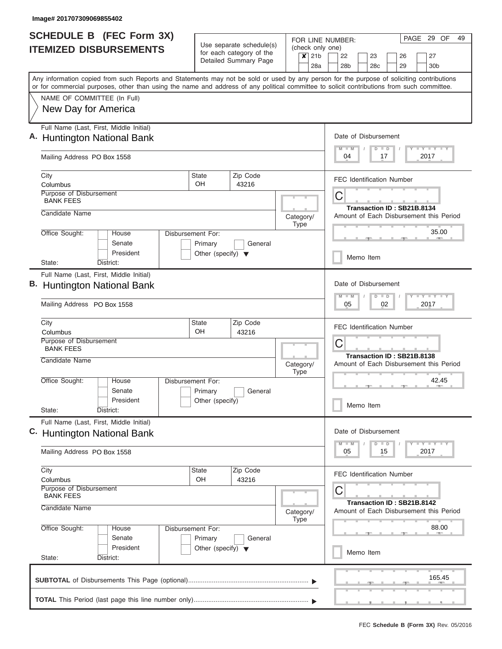| <b>SCHEDULE B (FEC Form 3X)</b>                                                                                                                                                                                                                                                         | Use separate schedule(s)             | FOR LINE NUMBER:<br>(check only one)              | PAGE 29 OF<br>49                           |                                                                                     |  |  |  |  |  |  |  |  |  |  |
|-----------------------------------------------------------------------------------------------------------------------------------------------------------------------------------------------------------------------------------------------------------------------------------------|--------------------------------------|---------------------------------------------------|--------------------------------------------|-------------------------------------------------------------------------------------|--|--|--|--|--|--|--|--|--|--|
| <b>ITEMIZED DISBURSEMENTS</b>                                                                                                                                                                                                                                                           |                                      | for each category of the<br>Detailed Summary Page | $\boldsymbol{x}$<br>21 <sub>b</sub><br>28a | 22<br>23<br>26<br>27<br>28 <sub>b</sub><br>29<br>30 <sub>b</sub><br>28 <sub>c</sub> |  |  |  |  |  |  |  |  |  |  |
| Any information copied from such Reports and Statements may not be sold or used by any person for the purpose of soliciting contributions<br>or for commercial purposes, other than using the name and address of any political committee to solicit contributions from such committee. |                                      |                                                   |                                            |                                                                                     |  |  |  |  |  |  |  |  |  |  |
| NAME OF COMMITTEE (In Full)                                                                                                                                                                                                                                                             |                                      |                                                   |                                            |                                                                                     |  |  |  |  |  |  |  |  |  |  |
| New Day for America                                                                                                                                                                                                                                                                     |                                      |                                                   |                                            |                                                                                     |  |  |  |  |  |  |  |  |  |  |
| Full Name (Last, First, Middle Initial)<br><b>Huntington National Bank</b>                                                                                                                                                                                                              |                                      |                                                   |                                            | Date of Disbursement                                                                |  |  |  |  |  |  |  |  |  |  |
| Mailing Address PO Box 1558                                                                                                                                                                                                                                                             |                                      |                                                   |                                            | Y L Y L Y L Y<br>$M$ $M$<br>$D$ $D$<br>04<br>17<br>2017                             |  |  |  |  |  |  |  |  |  |  |
| City<br>Columbus                                                                                                                                                                                                                                                                        | State<br>OH                          | Zip Code<br>43216                                 |                                            | <b>FEC Identification Number</b>                                                    |  |  |  |  |  |  |  |  |  |  |
| Purpose of Disbursement<br><b>BANK FEES</b>                                                                                                                                                                                                                                             |                                      |                                                   |                                            | С                                                                                   |  |  |  |  |  |  |  |  |  |  |
| Candidate Name                                                                                                                                                                                                                                                                          |                                      |                                                   | Category/                                  | Transaction ID: SB21B.8134<br>Amount of Each Disbursement this Period               |  |  |  |  |  |  |  |  |  |  |
| Office Sought:<br>House<br>Senate                                                                                                                                                                                                                                                       | Disbursement For:<br>Primary         | General                                           | <b>Type</b>                                | 35.00<br>Memo Item                                                                  |  |  |  |  |  |  |  |  |  |  |
| President<br>District:<br>State:                                                                                                                                                                                                                                                        | Other (specify) $\blacktriangledown$ |                                                   |                                            |                                                                                     |  |  |  |  |  |  |  |  |  |  |
| Full Name (Last, First, Middle Initial)                                                                                                                                                                                                                                                 |                                      |                                                   |                                            |                                                                                     |  |  |  |  |  |  |  |  |  |  |
| <b>Huntington National Bank</b>                                                                                                                                                                                                                                                         |                                      |                                                   |                                            | Date of Disbursement                                                                |  |  |  |  |  |  |  |  |  |  |
| Mailing Address PO Box 1558                                                                                                                                                                                                                                                             |                                      |                                                   |                                            | <b>TEY TEY TEY</b><br>$M - M$<br>$D$ $D$<br>02<br>05<br>2017                        |  |  |  |  |  |  |  |  |  |  |
| City<br>Columbus                                                                                                                                                                                                                                                                        | State<br>OH                          | Zip Code<br>43216                                 |                                            | <b>FEC Identification Number</b>                                                    |  |  |  |  |  |  |  |  |  |  |
| Purpose of Disbursement<br><b>BANK FEES</b>                                                                                                                                                                                                                                             |                                      |                                                   |                                            | C                                                                                   |  |  |  |  |  |  |  |  |  |  |
| Candidate Name                                                                                                                                                                                                                                                                          |                                      |                                                   | Category/<br><b>Type</b>                   | Transaction ID: SB21B.8138<br>Amount of Each Disbursement this Period<br>42.45      |  |  |  |  |  |  |  |  |  |  |
| Office Sought:<br>House<br>Senate                                                                                                                                                                                                                                                       | Disbursement For:                    |                                                   |                                            |                                                                                     |  |  |  |  |  |  |  |  |  |  |
| President<br>State:<br>District:                                                                                                                                                                                                                                                        | Primary<br>Other (specify)           | General                                           |                                            | Memo Item                                                                           |  |  |  |  |  |  |  |  |  |  |
| Full Name (Last, First, Middle Initial)                                                                                                                                                                                                                                                 |                                      |                                                   |                                            | Date of Disbursement                                                                |  |  |  |  |  |  |  |  |  |  |
| C. Huntington National Bank                                                                                                                                                                                                                                                             |                                      |                                                   |                                            | $T - Y$ $T - Y$<br>$M$ $M$<br>$D$ $D$                                               |  |  |  |  |  |  |  |  |  |  |
| Mailing Address PO Box 1558                                                                                                                                                                                                                                                             |                                      |                                                   |                                            | 2017<br>05<br>15                                                                    |  |  |  |  |  |  |  |  |  |  |
| City<br>Columbus                                                                                                                                                                                                                                                                        | State<br>OH                          | Zip Code<br>43216                                 |                                            | <b>FEC Identification Number</b>                                                    |  |  |  |  |  |  |  |  |  |  |
| Purpose of Disbursement<br><b>BANK FEES</b>                                                                                                                                                                                                                                             |                                      |                                                   |                                            | C                                                                                   |  |  |  |  |  |  |  |  |  |  |
| Candidate Name                                                                                                                                                                                                                                                                          |                                      |                                                   | Category/<br><b>Type</b>                   | Transaction ID: SB21B.8142<br>Amount of Each Disbursement this Period               |  |  |  |  |  |  |  |  |  |  |
| Office Sought:<br>House<br>Senate                                                                                                                                                                                                                                                       | Disbursement For:<br>Primary         | General                                           |                                            | 88.00                                                                               |  |  |  |  |  |  |  |  |  |  |
| President<br>State:<br>District:                                                                                                                                                                                                                                                        | Other (specify) $\blacktriangledown$ |                                                   |                                            | Memo Item                                                                           |  |  |  |  |  |  |  |  |  |  |
|                                                                                                                                                                                                                                                                                         |                                      |                                                   |                                            | 165.45                                                                              |  |  |  |  |  |  |  |  |  |  |
|                                                                                                                                                                                                                                                                                         |                                      |                                                   |                                            |                                                                                     |  |  |  |  |  |  |  |  |  |  |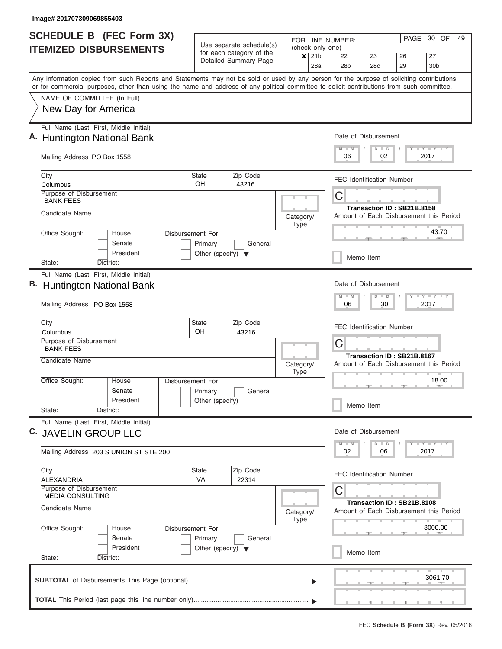|    | <b>SCHEDULE B (FEC Form 3X)</b>                                                                                                                                                                                                                                                         |                                                 |                                                      |                                                                  | PAGE 30 OF<br>49<br>FOR LINE NUMBER:                                  |  |  |  |  |  |  |  |  |  |  |  |
|----|-----------------------------------------------------------------------------------------------------------------------------------------------------------------------------------------------------------------------------------------------------------------------------------------|-------------------------------------------------|------------------------------------------------------|------------------------------------------------------------------|-----------------------------------------------------------------------|--|--|--|--|--|--|--|--|--|--|--|
|    | <b>ITEMIZED DISBURSEMENTS</b>                                                                                                                                                                                                                                                           |                                                 | Use separate schedule(s)<br>for each category of the | (check only one)<br>21 <sub>b</sub><br>$\boldsymbol{\mathsf{x}}$ | 22<br>23<br>27                                                        |  |  |  |  |  |  |  |  |  |  |  |
|    |                                                                                                                                                                                                                                                                                         |                                                 | Detailed Summary Page                                | 28a                                                              | 26<br>28 <sub>b</sub><br>28 <sub>c</sub><br>29<br>30 <sub>b</sub>     |  |  |  |  |  |  |  |  |  |  |  |
|    | Any information copied from such Reports and Statements may not be sold or used by any person for the purpose of soliciting contributions<br>or for commercial purposes, other than using the name and address of any political committee to solicit contributions from such committee. |                                                 |                                                      |                                                                  |                                                                       |  |  |  |  |  |  |  |  |  |  |  |
|    | NAME OF COMMITTEE (In Full)                                                                                                                                                                                                                                                             |                                                 |                                                      |                                                                  |                                                                       |  |  |  |  |  |  |  |  |  |  |  |
|    | New Day for America                                                                                                                                                                                                                                                                     |                                                 |                                                      |                                                                  |                                                                       |  |  |  |  |  |  |  |  |  |  |  |
|    |                                                                                                                                                                                                                                                                                         |                                                 |                                                      |                                                                  |                                                                       |  |  |  |  |  |  |  |  |  |  |  |
|    | Full Name (Last, First, Middle Initial)<br>A. Huntington National Bank                                                                                                                                                                                                                  |                                                 |                                                      |                                                                  | Date of Disbursement                                                  |  |  |  |  |  |  |  |  |  |  |  |
|    |                                                                                                                                                                                                                                                                                         |                                                 |                                                      |                                                                  | Y LY LY LY<br>$M$ $M$<br>$D$ $D$                                      |  |  |  |  |  |  |  |  |  |  |  |
|    | Mailing Address PO Box 1558                                                                                                                                                                                                                                                             |                                                 |                                                      |                                                                  | 02<br>2017<br>06                                                      |  |  |  |  |  |  |  |  |  |  |  |
|    | City<br>Columbus                                                                                                                                                                                                                                                                        | <b>State</b><br>OH                              | Zip Code<br>43216                                    |                                                                  | <b>FEC Identification Number</b>                                      |  |  |  |  |  |  |  |  |  |  |  |
|    | Purpose of Disbursement<br><b>BANK FEES</b>                                                                                                                                                                                                                                             |                                                 |                                                      |                                                                  | С                                                                     |  |  |  |  |  |  |  |  |  |  |  |
|    | Candidate Name                                                                                                                                                                                                                                                                          |                                                 |                                                      |                                                                  | Transaction ID: SB21B.8158                                            |  |  |  |  |  |  |  |  |  |  |  |
|    |                                                                                                                                                                                                                                                                                         |                                                 |                                                      | Category/<br><b>Type</b>                                         | Amount of Each Disbursement this Period                               |  |  |  |  |  |  |  |  |  |  |  |
|    | Office Sought:<br>House                                                                                                                                                                                                                                                                 | Disbursement For:                               |                                                      |                                                                  | 43.70                                                                 |  |  |  |  |  |  |  |  |  |  |  |
|    | Senate<br>President                                                                                                                                                                                                                                                                     | Primary<br>Other (specify) $\blacktriangledown$ | General                                              |                                                                  |                                                                       |  |  |  |  |  |  |  |  |  |  |  |
|    | State:<br>District:                                                                                                                                                                                                                                                                     |                                                 |                                                      |                                                                  | Memo Item                                                             |  |  |  |  |  |  |  |  |  |  |  |
|    | Full Name (Last, First, Middle Initial)                                                                                                                                                                                                                                                 |                                                 |                                                      |                                                                  | Date of Disbursement                                                  |  |  |  |  |  |  |  |  |  |  |  |
| В. | <b>Huntington National Bank</b>                                                                                                                                                                                                                                                         |                                                 |                                                      |                                                                  |                                                                       |  |  |  |  |  |  |  |  |  |  |  |
|    | Mailing Address PO Box 1558                                                                                                                                                                                                                                                             |                                                 |                                                      |                                                                  | $T - Y = T - Y = T - Y$<br>$M - M$<br>$D$ $D$<br>06<br>30<br>2017     |  |  |  |  |  |  |  |  |  |  |  |
|    |                                                                                                                                                                                                                                                                                         |                                                 |                                                      |                                                                  |                                                                       |  |  |  |  |  |  |  |  |  |  |  |
|    | City<br>Columbus                                                                                                                                                                                                                                                                        | State<br>OH                                     | Zip Code<br>43216                                    |                                                                  | <b>FEC Identification Number</b>                                      |  |  |  |  |  |  |  |  |  |  |  |
|    | Purpose of Disbursement                                                                                                                                                                                                                                                                 |                                                 |                                                      |                                                                  | С                                                                     |  |  |  |  |  |  |  |  |  |  |  |
|    | <b>BANK FEES</b><br>Candidate Name                                                                                                                                                                                                                                                      |                                                 |                                                      |                                                                  | Transaction ID: SB21B.8167                                            |  |  |  |  |  |  |  |  |  |  |  |
|    |                                                                                                                                                                                                                                                                                         |                                                 |                                                      | Category/<br><b>Type</b>                                         | Amount of Each Disbursement this Period                               |  |  |  |  |  |  |  |  |  |  |  |
|    | Office Sought:<br>House                                                                                                                                                                                                                                                                 | Disbursement For:                               |                                                      |                                                                  | 18.00                                                                 |  |  |  |  |  |  |  |  |  |  |  |
|    | Senate<br>President                                                                                                                                                                                                                                                                     | Primary                                         | General                                              |                                                                  |                                                                       |  |  |  |  |  |  |  |  |  |  |  |
|    | State:<br>District:                                                                                                                                                                                                                                                                     | Other (specify)                                 |                                                      |                                                                  | Memo Item                                                             |  |  |  |  |  |  |  |  |  |  |  |
|    | Full Name (Last, First, Middle Initial)                                                                                                                                                                                                                                                 |                                                 |                                                      |                                                                  |                                                                       |  |  |  |  |  |  |  |  |  |  |  |
|    | C. JAVELIN GROUP LLC                                                                                                                                                                                                                                                                    |                                                 |                                                      |                                                                  | Date of Disbursement                                                  |  |  |  |  |  |  |  |  |  |  |  |
|    | Mailing Address 203 S UNION ST STE 200                                                                                                                                                                                                                                                  |                                                 |                                                      |                                                                  | $Y$ $Y$ $Y$ $Y$ $Y$<br>$M$ $M$<br>$D$ $D$<br>02<br>06<br>2017         |  |  |  |  |  |  |  |  |  |  |  |
|    | City                                                                                                                                                                                                                                                                                    | State                                           | Zip Code                                             |                                                                  | <b>FEC Identification Number</b>                                      |  |  |  |  |  |  |  |  |  |  |  |
|    | <b>ALEXANDRIA</b><br>Purpose of Disbursement                                                                                                                                                                                                                                            | <b>VA</b>                                       | 22314                                                |                                                                  |                                                                       |  |  |  |  |  |  |  |  |  |  |  |
|    | <b>MEDIA CONSULTING</b>                                                                                                                                                                                                                                                                 |                                                 |                                                      |                                                                  | С                                                                     |  |  |  |  |  |  |  |  |  |  |  |
|    | Candidate Name                                                                                                                                                                                                                                                                          |                                                 |                                                      | Category/<br><b>Type</b>                                         | Transaction ID: SB21B.8108<br>Amount of Each Disbursement this Period |  |  |  |  |  |  |  |  |  |  |  |
|    | Office Sought:<br>House                                                                                                                                                                                                                                                                 | Disbursement For:                               |                                                      |                                                                  | 3000.00                                                               |  |  |  |  |  |  |  |  |  |  |  |
|    | Senate                                                                                                                                                                                                                                                                                  | Primary                                         | General                                              |                                                                  |                                                                       |  |  |  |  |  |  |  |  |  |  |  |
|    | President<br>State:<br>District:                                                                                                                                                                                                                                                        | Other (specify) $\blacktriangledown$            |                                                      |                                                                  | Memo Item                                                             |  |  |  |  |  |  |  |  |  |  |  |
|    |                                                                                                                                                                                                                                                                                         |                                                 |                                                      |                                                                  |                                                                       |  |  |  |  |  |  |  |  |  |  |  |
|    |                                                                                                                                                                                                                                                                                         |                                                 |                                                      |                                                                  | 3061.70                                                               |  |  |  |  |  |  |  |  |  |  |  |
|    |                                                                                                                                                                                                                                                                                         |                                                 |                                                      |                                                                  |                                                                       |  |  |  |  |  |  |  |  |  |  |  |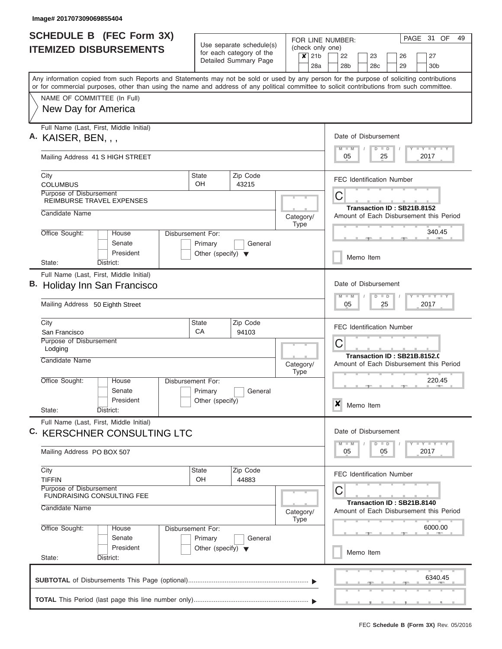| <b>SCHEDULE B</b> (FEC Form 3X)                                                                                                                                                                                                                                                         | FOR LINE NUMBER:<br>Use separate schedule(s)    |                                                   |                                                                |                                                                                     |  |  |  |  |  |  |  |  |  |  |  |
|-----------------------------------------------------------------------------------------------------------------------------------------------------------------------------------------------------------------------------------------------------------------------------------------|-------------------------------------------------|---------------------------------------------------|----------------------------------------------------------------|-------------------------------------------------------------------------------------|--|--|--|--|--|--|--|--|--|--|--|
| <b>ITEMIZED DISBURSEMENTS</b>                                                                                                                                                                                                                                                           |                                                 | for each category of the<br>Detailed Summary Page | (check only one)<br>21 <sub>b</sub><br>$\boldsymbol{x}$<br>28a | 22<br>23<br>26<br>27<br>28 <sub>b</sub><br>28 <sub>c</sub><br>29<br>30 <sub>b</sub> |  |  |  |  |  |  |  |  |  |  |  |
| Any information copied from such Reports and Statements may not be sold or used by any person for the purpose of soliciting contributions<br>or for commercial purposes, other than using the name and address of any political committee to solicit contributions from such committee. |                                                 |                                                   |                                                                |                                                                                     |  |  |  |  |  |  |  |  |  |  |  |
| NAME OF COMMITTEE (In Full)<br>New Day for America                                                                                                                                                                                                                                      |                                                 |                                                   |                                                                |                                                                                     |  |  |  |  |  |  |  |  |  |  |  |
|                                                                                                                                                                                                                                                                                         |                                                 |                                                   |                                                                |                                                                                     |  |  |  |  |  |  |  |  |  |  |  |
| Full Name (Last, First, Middle Initial)<br>A. KAISER, BEN, , ,                                                                                                                                                                                                                          |                                                 |                                                   |                                                                | Date of Disbursement<br>Y L Y L Y L Y<br>$M$ $M$<br>$D$ $D$                         |  |  |  |  |  |  |  |  |  |  |  |
| Mailing Address 41 S HIGH STREET                                                                                                                                                                                                                                                        |                                                 |                                                   |                                                                | 05<br>25<br>2017                                                                    |  |  |  |  |  |  |  |  |  |  |  |
| City<br><b>COLUMBUS</b>                                                                                                                                                                                                                                                                 | State<br>OH                                     | Zip Code<br>43215                                 |                                                                | <b>FEC Identification Number</b>                                                    |  |  |  |  |  |  |  |  |  |  |  |
| Purpose of Disbursement<br><b>REIMBURSE TRAVEL EXPENSES</b>                                                                                                                                                                                                                             |                                                 |                                                   |                                                                | С<br>Transaction ID: SB21B.8152                                                     |  |  |  |  |  |  |  |  |  |  |  |
| Candidate Name                                                                                                                                                                                                                                                                          |                                                 |                                                   | Category/<br><b>Type</b>                                       | Amount of Each Disbursement this Period                                             |  |  |  |  |  |  |  |  |  |  |  |
| Office Sought:<br>House<br>Senate                                                                                                                                                                                                                                                       | Disbursement For:<br>Primary                    |                                                   | 340.45                                                         |                                                                                     |  |  |  |  |  |  |  |  |  |  |  |
| President<br>State:<br>District:                                                                                                                                                                                                                                                        | Other (specify) $\blacktriangledown$            |                                                   |                                                                | Memo Item                                                                           |  |  |  |  |  |  |  |  |  |  |  |
| Full Name (Last, First, Middle Initial)<br>B. Holiday Inn San Francisco<br>Mailing Address 50 Eighth Street                                                                                                                                                                             |                                                 |                                                   |                                                                | Date of Disbursement<br>Y - Y - Y - Y<br>$M - M$<br>$D$ $D$<br>05<br>25<br>2017     |  |  |  |  |  |  |  |  |  |  |  |
| City<br>San Francisco                                                                                                                                                                                                                                                                   | State<br>CA                                     | Zip Code<br>94103                                 |                                                                | <b>FEC Identification Number</b>                                                    |  |  |  |  |  |  |  |  |  |  |  |
| Purpose of Disbursement<br>Lodging                                                                                                                                                                                                                                                      |                                                 |                                                   |                                                                | С<br>Transaction ID: SB21B.8152.0                                                   |  |  |  |  |  |  |  |  |  |  |  |
| Candidate Name                                                                                                                                                                                                                                                                          |                                                 |                                                   | Category/<br><b>Type</b>                                       | Amount of Each Disbursement this Period                                             |  |  |  |  |  |  |  |  |  |  |  |
| Office Sought:<br>House<br>Senate<br>President                                                                                                                                                                                                                                          | Disbursement For:<br>Primary<br>Other (specify) | General                                           |                                                                | 220.45                                                                              |  |  |  |  |  |  |  |  |  |  |  |
| State:<br>District:                                                                                                                                                                                                                                                                     |                                                 |                                                   |                                                                | ×<br>Memo Item                                                                      |  |  |  |  |  |  |  |  |  |  |  |
| Full Name (Last, First, Middle Initial)<br><b>C. KERSCHNER CONSULTING LTC</b>                                                                                                                                                                                                           |                                                 |                                                   |                                                                | Date of Disbursement<br>$Y$ $Y$ $Y$ $Y$ $Y$<br>$D$ $D$<br>$M - M$                   |  |  |  |  |  |  |  |  |  |  |  |
| Mailing Address PO BOX 507                                                                                                                                                                                                                                                              |                                                 |                                                   |                                                                | 05<br>2017<br>05                                                                    |  |  |  |  |  |  |  |  |  |  |  |
| City<br><b>TIFFIN</b>                                                                                                                                                                                                                                                                   | State<br>OH                                     | Zip Code<br>44883                                 |                                                                | <b>FEC Identification Number</b>                                                    |  |  |  |  |  |  |  |  |  |  |  |
| Purpose of Disbursement<br>FUNDRAISING CONSULTING FEE                                                                                                                                                                                                                                   |                                                 |                                                   |                                                                | С<br>Transaction ID: SB21B.8140                                                     |  |  |  |  |  |  |  |  |  |  |  |
| Candidate Name                                                                                                                                                                                                                                                                          |                                                 |                                                   | Category/<br><b>Type</b>                                       | Amount of Each Disbursement this Period                                             |  |  |  |  |  |  |  |  |  |  |  |
| Office Sought:<br>House<br>Senate                                                                                                                                                                                                                                                       | Disbursement For:<br>Primary                    | General                                           |                                                                | 6000.00                                                                             |  |  |  |  |  |  |  |  |  |  |  |
| President<br>State:<br>District:                                                                                                                                                                                                                                                        | Other (specify) $\blacktriangledown$            |                                                   |                                                                | Memo Item                                                                           |  |  |  |  |  |  |  |  |  |  |  |
|                                                                                                                                                                                                                                                                                         |                                                 |                                                   |                                                                | 6340.45                                                                             |  |  |  |  |  |  |  |  |  |  |  |
|                                                                                                                                                                                                                                                                                         |                                                 |                                                   |                                                                |                                                                                     |  |  |  |  |  |  |  |  |  |  |  |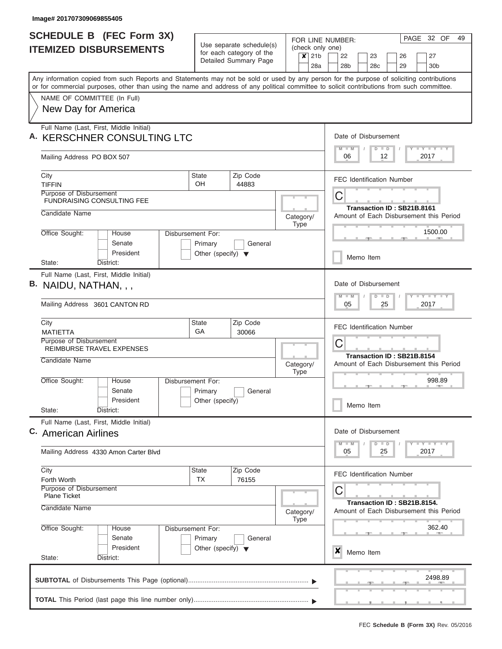|    | <b>SCHEDULE B (FEC Form 3X)</b>                                                                                                                                                                                                                                                         | FOR LINE NUMBER:<br>Use separate schedule(s)    |                                                   |                                               |                 |                                  |                                                                       |                      |                 |                             |  |                                         |  | PAGE 32 OF                              |  | 49 |  |  |  |  |
|----|-----------------------------------------------------------------------------------------------------------------------------------------------------------------------------------------------------------------------------------------------------------------------------------------|-------------------------------------------------|---------------------------------------------------|-----------------------------------------------|-----------------|----------------------------------|-----------------------------------------------------------------------|----------------------|-----------------|-----------------------------|--|-----------------------------------------|--|-----------------------------------------|--|----|--|--|--|--|
|    | <b>ITEMIZED DISBURSEMENTS</b>                                                                                                                                                                                                                                                           |                                                 | for each category of the<br>Detailed Summary Page |                                               |                 | (check only one)<br>$x$ 21b      | 22                                                                    |                      | 23              |                             |  | 26                                      |  | 27                                      |  |    |  |  |  |  |
|    |                                                                                                                                                                                                                                                                                         |                                                 |                                                   |                                               |                 | 28a                              | 28b                                                                   |                      | 28 <sub>c</sub> |                             |  | 29                                      |  | 30 <sub>b</sub>                         |  |    |  |  |  |  |
|    | Any information copied from such Reports and Statements may not be sold or used by any person for the purpose of soliciting contributions<br>or for commercial purposes, other than using the name and address of any political committee to solicit contributions from such committee. |                                                 |                                                   |                                               |                 |                                  |                                                                       |                      |                 |                             |  |                                         |  |                                         |  |    |  |  |  |  |
|    | NAME OF COMMITTEE (In Full)                                                                                                                                                                                                                                                             |                                                 |                                                   |                                               |                 |                                  |                                                                       |                      |                 |                             |  |                                         |  |                                         |  |    |  |  |  |  |
|    | New Day for America                                                                                                                                                                                                                                                                     |                                                 |                                                   |                                               |                 |                                  |                                                                       |                      |                 |                             |  |                                         |  |                                         |  |    |  |  |  |  |
|    | Full Name (Last, First, Middle Initial)                                                                                                                                                                                                                                                 |                                                 |                                                   |                                               |                 |                                  |                                                                       |                      |                 |                             |  |                                         |  |                                         |  |    |  |  |  |  |
| Α. | <b>KERSCHNER CONSULTING LTC</b>                                                                                                                                                                                                                                                         |                                                 |                                                   |                                               |                 |                                  | $M$ $M$                                                               | Date of Disbursement |                 | $D$ $D$                     |  |                                         |  | Y I Y I Y I Y                           |  |    |  |  |  |  |
|    | Mailing Address PO BOX 507                                                                                                                                                                                                                                                              |                                                 |                                                   |                                               |                 |                                  | 06                                                                    |                      |                 | 12                          |  |                                         |  | 2017                                    |  |    |  |  |  |  |
|    | City<br><b>TIFFIN</b>                                                                                                                                                                                                                                                                   | State<br>OH.                                    | Zip Code<br>44883                                 |                                               |                 |                                  |                                                                       |                      |                 |                             |  | <b>FEC Identification Number</b>        |  |                                         |  |    |  |  |  |  |
|    | Purpose of Disbursement<br><b>FUNDRAISING CONSULTING FEE</b>                                                                                                                                                                                                                            |                                                 |                                                   |                                               |                 | С                                |                                                                       |                      |                 |                             |  |                                         |  |                                         |  |    |  |  |  |  |
|    | Candidate Name                                                                                                                                                                                                                                                                          |                                                 |                                                   | Category/                                     |                 |                                  | Transaction ID: SB21B.8161<br>Amount of Each Disbursement this Period |                      |                 |                             |  |                                         |  |                                         |  |    |  |  |  |  |
|    | Office Sought:<br>House<br>Disbursement For:                                                                                                                                                                                                                                            |                                                 |                                                   |                                               | Type<br>1500.00 |                                  |                                                                       |                      |                 |                             |  |                                         |  |                                         |  |    |  |  |  |  |
|    | Senate<br>President                                                                                                                                                                                                                                                                     | Primary<br>Other (specify) $\blacktriangledown$ | General                                           |                                               |                 |                                  |                                                                       |                      |                 |                             |  |                                         |  |                                         |  |    |  |  |  |  |
|    | State:<br>District:                                                                                                                                                                                                                                                                     |                                                 |                                                   |                                               |                 | Memo Item                        |                                                                       |                      |                 |                             |  |                                         |  |                                         |  |    |  |  |  |  |
|    | Full Name (Last, First, Middle Initial)                                                                                                                                                                                                                                                 |                                                 |                                                   |                                               |                 | Date of Disbursement             |                                                                       |                      |                 |                             |  |                                         |  |                                         |  |    |  |  |  |  |
|    | B. NAIDU, NATHAN, , ,                                                                                                                                                                                                                                                                   |                                                 |                                                   | $M - M$<br>$T$ $Y$ $Y$ $Y$ $T$ $Y$<br>$D$ $D$ |                 |                                  |                                                                       |                      |                 |                             |  |                                         |  |                                         |  |    |  |  |  |  |
|    | Mailing Address 3601 CANTON RD                                                                                                                                                                                                                                                          |                                                 |                                                   |                                               |                 |                                  |                                                                       | 05<br>25<br>2017     |                 |                             |  |                                         |  |                                         |  |    |  |  |  |  |
|    | City                                                                                                                                                                                                                                                                                    | State<br><b>GA</b>                              | Zip Code<br>30066                                 |                                               |                 | <b>FEC Identification Number</b> |                                                                       |                      |                 |                             |  |                                         |  |                                         |  |    |  |  |  |  |
|    | <b>MATIETTA</b><br>Purpose of Disbursement                                                                                                                                                                                                                                              |                                                 |                                                   |                                               |                 |                                  | С                                                                     |                      |                 |                             |  |                                         |  |                                         |  |    |  |  |  |  |
|    | REIMBURSE TRAVEL EXPENSES<br>Candidate Name                                                                                                                                                                                                                                             |                                                 |                                                   |                                               |                 |                                  |                                                                       |                      |                 |                             |  | Transaction ID: SB21B.8154              |  |                                         |  |    |  |  |  |  |
|    |                                                                                                                                                                                                                                                                                         |                                                 |                                                   | Category/                                     | <b>Type</b>     |                                  |                                                                       |                      |                 |                             |  |                                         |  | Amount of Each Disbursement this Period |  |    |  |  |  |  |
|    | Office Sought:<br>Disbursement For:<br>House<br>Senate                                                                                                                                                                                                                                  |                                                 | General                                           |                                               |                 |                                  |                                                                       |                      |                 |                             |  | $\rightarrow$                           |  | 998.89                                  |  |    |  |  |  |  |
|    | President                                                                                                                                                                                                                                                                               | Primary<br>Other (specify)                      |                                                   |                                               |                 |                                  |                                                                       | Memo Item            |                 |                             |  |                                         |  |                                         |  |    |  |  |  |  |
|    | State:<br>District:                                                                                                                                                                                                                                                                     |                                                 |                                                   |                                               |                 |                                  |                                                                       |                      |                 |                             |  |                                         |  |                                         |  |    |  |  |  |  |
|    | Full Name (Last, First, Middle Initial)<br>C. American Airlines                                                                                                                                                                                                                         |                                                 |                                                   |                                               |                 |                                  |                                                                       | Date of Disbursement |                 |                             |  |                                         |  |                                         |  |    |  |  |  |  |
|    |                                                                                                                                                                                                                                                                                         |                                                 |                                                   |                                               |                 |                                  | $M - M$                                                               |                      |                 | $D$ $D$                     |  |                                         |  | <b>LEY LEY LEY</b>                      |  |    |  |  |  |  |
|    | Mailing Address 4330 Amon Carter Blvd                                                                                                                                                                                                                                                   |                                                 |                                                   |                                               |                 |                                  | 05                                                                    |                      |                 | 25                          |  |                                         |  | 2017                                    |  |    |  |  |  |  |
|    | City<br>Forth Worth                                                                                                                                                                                                                                                                     | <b>State</b><br>TX                              | Zip Code<br>76155                                 |                                               |                 |                                  |                                                                       |                      |                 |                             |  | <b>FEC Identification Number</b>        |  |                                         |  |    |  |  |  |  |
|    | Purpose of Disbursement                                                                                                                                                                                                                                                                 |                                                 |                                                   |                                               |                 |                                  | С                                                                     |                      |                 |                             |  |                                         |  |                                         |  |    |  |  |  |  |
|    | <b>Plane Ticket</b><br>Candidate Name                                                                                                                                                                                                                                                   | Category/                                       |                                                   |                                               |                 |                                  |                                                                       |                      |                 | Transaction ID: SB21B.8154. |  | Amount of Each Disbursement this Period |  |                                         |  |    |  |  |  |  |
|    | Office Sought:<br>Disbursement For:<br>House                                                                                                                                                                                                                                            |                                                 |                                                   |                                               | Type            |                                  | 362.40                                                                |                      |                 |                             |  |                                         |  |                                         |  |    |  |  |  |  |
|    | Senate                                                                                                                                                                                                                                                                                  | Primary                                         | General                                           |                                               |                 |                                  |                                                                       |                      |                 |                             |  |                                         |  |                                         |  |    |  |  |  |  |
|    | President<br>State:<br>District:                                                                                                                                                                                                                                                        | Other (specify) $\blacktriangledown$            |                                                   |                                               |                 |                                  | X                                                                     | Memo Item            |                 |                             |  |                                         |  |                                         |  |    |  |  |  |  |
|    |                                                                                                                                                                                                                                                                                         |                                                 |                                                   |                                               |                 |                                  |                                                                       |                      |                 |                             |  |                                         |  |                                         |  |    |  |  |  |  |
|    |                                                                                                                                                                                                                                                                                         |                                                 |                                                   |                                               |                 |                                  |                                                                       |                      |                 |                             |  |                                         |  | 2498.89                                 |  |    |  |  |  |  |
|    |                                                                                                                                                                                                                                                                                         |                                                 |                                                   |                                               |                 |                                  |                                                                       |                      |                 |                             |  | , , , , , , ,                           |  |                                         |  |    |  |  |  |  |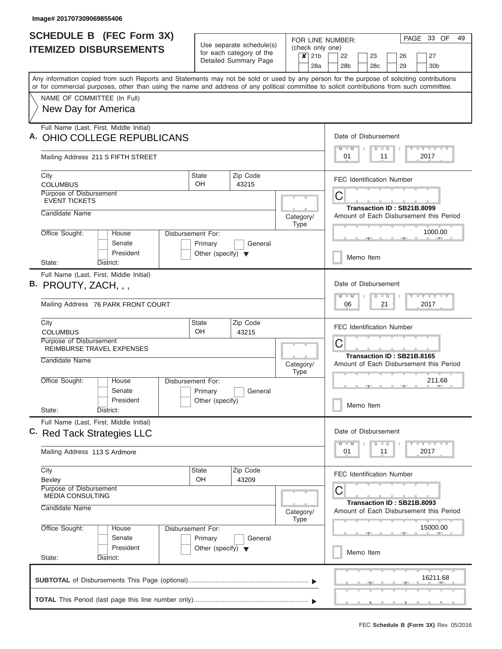| <b>SCHEDULE B (FEC Form 3X)</b>                                                                                                                                                                                                                                                         |                                                 |                                                              | PAGE<br>FOR LINE NUMBER: |             |                                                    |                                         |         |                            |         | 33 OF |    | 49 |                         |  |  |  |  |  |
|-----------------------------------------------------------------------------------------------------------------------------------------------------------------------------------------------------------------------------------------------------------------------------------------|-------------------------------------------------|--------------------------------------------------------------|--------------------------|-------------|----------------------------------------------------|-----------------------------------------|---------|----------------------------|---------|-------|----|----|-------------------------|--|--|--|--|--|
| <b>ITEMIZED DISBURSEMENTS</b>                                                                                                                                                                                                                                                           |                                                 | Use separate schedule(s)<br>for each category of the         |                          |             | (check only one)<br>$x$ 21b                        | 22                                      |         | 23                         |         |       | 26 |    | 27                      |  |  |  |  |  |
|                                                                                                                                                                                                                                                                                         |                                                 | Detailed Summary Page                                        |                          |             | 28a                                                | 28 <sub>b</sub>                         |         | 28c                        |         |       | 29 |    | 30 <sub>b</sub>         |  |  |  |  |  |
| Any information copied from such Reports and Statements may not be sold or used by any person for the purpose of soliciting contributions<br>or for commercial purposes, other than using the name and address of any political committee to solicit contributions from such committee. |                                                 |                                                              |                          |             |                                                    |                                         |         |                            |         |       |    |    |                         |  |  |  |  |  |
| NAME OF COMMITTEE (In Full)                                                                                                                                                                                                                                                             |                                                 |                                                              |                          |             |                                                    |                                         |         |                            |         |       |    |    |                         |  |  |  |  |  |
| New Day for America                                                                                                                                                                                                                                                                     |                                                 |                                                              |                          |             |                                                    |                                         |         |                            |         |       |    |    |                         |  |  |  |  |  |
| Full Name (Last, First, Middle Initial)                                                                                                                                                                                                                                                 |                                                 |                                                              |                          |             |                                                    | Date of Disbursement                    |         |                            |         |       |    |    |                         |  |  |  |  |  |
| A. OHIO COLLEGE REPUBLICANS                                                                                                                                                                                                                                                             |                                                 |                                                              |                          |             |                                                    | $M$ $M$                                 |         |                            | $D$ $D$ |       |    |    | Y FY FY FY              |  |  |  |  |  |
| Mailing Address 211 S FIFTH STREET                                                                                                                                                                                                                                                      |                                                 |                                                              |                          |             |                                                    | 01                                      |         |                            | 11      |       |    |    | 2017                    |  |  |  |  |  |
| City<br><b>COLUMBUS</b>                                                                                                                                                                                                                                                                 | <b>State</b><br>OH.                             | Zip Code<br>43215                                            |                          |             |                                                    | <b>FEC Identification Number</b>        |         |                            |         |       |    |    |                         |  |  |  |  |  |
| <b>Purpose of Disbursement</b><br><b>EVENT TICKETS</b>                                                                                                                                                                                                                                  |                                                 |                                                              |                          |             |                                                    | C                                       |         |                            |         |       |    |    |                         |  |  |  |  |  |
| Candidate Name                                                                                                                                                                                                                                                                          |                                                 |                                                              | Category/                |             |                                                    | Transaction ID: SB21B.8099              |         |                            |         |       |    |    |                         |  |  |  |  |  |
|                                                                                                                                                                                                                                                                                         |                                                 |                                                              |                          | Type        | Amount of Each Disbursement this Period<br>1000.00 |                                         |         |                            |         |       |    |    |                         |  |  |  |  |  |
| Office Sought:<br>Disbursement For:<br>House<br>Senate                                                                                                                                                                                                                                  | Primary                                         | General                                                      |                          |             |                                                    |                                         |         |                            |         |       |    |    |                         |  |  |  |  |  |
| President<br>State:<br>District:                                                                                                                                                                                                                                                        | Other (specify) $\blacktriangledown$            |                                                              | Memo Item                |             |                                                    |                                         |         |                            |         |       |    |    |                         |  |  |  |  |  |
| Full Name (Last, First, Middle Initial)                                                                                                                                                                                                                                                 |                                                 |                                                              |                          |             |                                                    |                                         |         |                            |         |       |    |    |                         |  |  |  |  |  |
| B. PROUTY, ZACH, , ,                                                                                                                                                                                                                                                                    |                                                 |                                                              |                          |             |                                                    | Date of Disbursement                    |         |                            |         |       |    |    |                         |  |  |  |  |  |
| Mailing Address 76 PARK FRONT COURT                                                                                                                                                                                                                                                     |                                                 | $T$ $Y$ $T$ $Y$ $T$<br>$M - M$<br>D<br>D<br>21<br>2017<br>06 |                          |             |                                                    |                                         |         |                            |         |       |    |    |                         |  |  |  |  |  |
| City                                                                                                                                                                                                                                                                                    | <b>State</b><br>OH.                             | Zip Code<br>43215                                            |                          |             | <b>FEC Identification Number</b>                   |                                         |         |                            |         |       |    |    |                         |  |  |  |  |  |
| <b>COLUMBUS</b><br>Purpose of Disbursement                                                                                                                                                                                                                                              |                                                 |                                                              |                          |             |                                                    | С                                       |         |                            |         |       |    |    |                         |  |  |  |  |  |
| REIMBURSE TRAVEL EXPENSES<br>Candidate Name                                                                                                                                                                                                                                             |                                                 |                                                              |                          |             |                                                    |                                         |         | Transaction ID: SB21B.8165 |         |       |    |    |                         |  |  |  |  |  |
|                                                                                                                                                                                                                                                                                         |                                                 |                                                              | Category/                | <b>Type</b> |                                                    | Amount of Each Disbursement this Period |         |                            |         |       |    |    |                         |  |  |  |  |  |
| Office Sought:<br>Disbursement For:<br>House                                                                                                                                                                                                                                            |                                                 |                                                              |                          |             |                                                    |                                         |         |                            |         |       |    |    | 211.68                  |  |  |  |  |  |
| Senate<br>President                                                                                                                                                                                                                                                                     | Primary<br>Other (specify)                      | General                                                      |                          |             |                                                    |                                         |         |                            |         |       |    |    |                         |  |  |  |  |  |
| State:<br>District:                                                                                                                                                                                                                                                                     |                                                 |                                                              |                          |             |                                                    |                                         |         | Memo Item                  |         |       |    |    |                         |  |  |  |  |  |
| Full Name (Last, First, Middle Initial)<br>C. Red Tack Strategies LLC                                                                                                                                                                                                                   |                                                 |                                                              |                          |             |                                                    | Date of Disbursement                    |         |                            |         |       |    |    |                         |  |  |  |  |  |
|                                                                                                                                                                                                                                                                                         |                                                 |                                                              |                          |             |                                                    |                                         | $M - M$ |                            | $D$ $D$ |       |    |    | $T$ $Y$ $T$ $Y$ $T$ $Y$ |  |  |  |  |  |
| Mailing Address 113 S Ardmore                                                                                                                                                                                                                                                           |                                                 |                                                              |                          |             |                                                    | 01                                      |         |                            | 11      |       |    |    | 2017                    |  |  |  |  |  |
| City<br>Bexley                                                                                                                                                                                                                                                                          | <b>State</b><br><b>OH</b>                       | Zip Code<br>43209                                            |                          |             |                                                    | <b>FEC Identification Number</b>        |         |                            |         |       |    |    |                         |  |  |  |  |  |
| Purpose of Disbursement<br><b>MEDIA CONSULTING</b>                                                                                                                                                                                                                                      |                                                 |                                                              |                          |             |                                                    | С                                       |         |                            |         |       |    |    |                         |  |  |  |  |  |
| Candidate Name                                                                                                                                                                                                                                                                          |                                                 |                                                              | Category/                | Type        |                                                    | Amount of Each Disbursement this Period |         | Transaction ID: SB21B.8093 |         |       |    |    |                         |  |  |  |  |  |
| Office Sought:<br>Disbursement For:<br>House                                                                                                                                                                                                                                            |                                                 |                                                              |                          |             |                                                    |                                         |         |                            |         |       |    |    | 15000.00                |  |  |  |  |  |
| Senate<br>President                                                                                                                                                                                                                                                                     | Primary<br>Other (specify) $\blacktriangledown$ | General                                                      |                          |             |                                                    |                                         |         |                            |         |       |    |    |                         |  |  |  |  |  |
| State:<br>District:                                                                                                                                                                                                                                                                     |                                                 |                                                              |                          |             |                                                    |                                         |         | Memo Item                  |         |       |    |    |                         |  |  |  |  |  |
|                                                                                                                                                                                                                                                                                         |                                                 |                                                              |                          |             |                                                    |                                         |         |                            |         |       |    |    | 16211.68                |  |  |  |  |  |
|                                                                                                                                                                                                                                                                                         |                                                 |                                                              |                          |             |                                                    |                                         |         |                            |         |       |    |    |                         |  |  |  |  |  |
|                                                                                                                                                                                                                                                                                         |                                                 |                                                              |                          |             |                                                    |                                         |         |                            |         |       | __ |    |                         |  |  |  |  |  |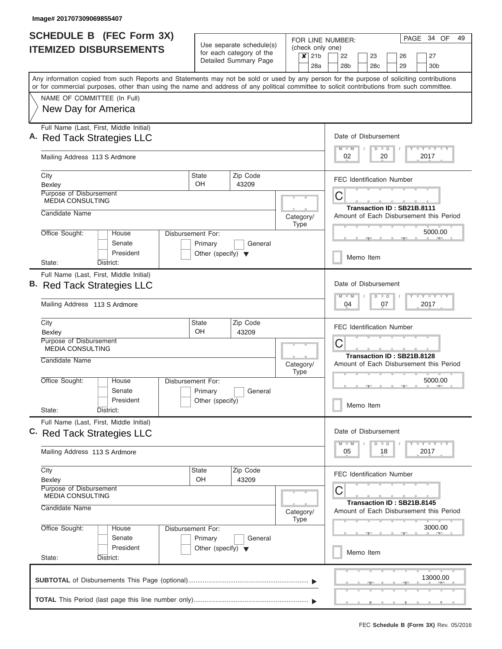| <b>SCHEDULE B (FEC Form 3X)</b>                                                                                                                                                                                                                                                         |                                      |                                                      |                          |                                                                       | PAGE<br>34 OF<br>49<br>FOR LINE NUMBER:                                      |  |  |  |  |  |  |  |  |  |  |  |
|-----------------------------------------------------------------------------------------------------------------------------------------------------------------------------------------------------------------------------------------------------------------------------------------|--------------------------------------|------------------------------------------------------|--------------------------|-----------------------------------------------------------------------|------------------------------------------------------------------------------|--|--|--|--|--|--|--|--|--|--|--|
| <b>ITEMIZED DISBURSEMENTS</b>                                                                                                                                                                                                                                                           |                                      | Use separate schedule(s)<br>for each category of the |                          |                                                                       | (check only one)                                                             |  |  |  |  |  |  |  |  |  |  |  |
|                                                                                                                                                                                                                                                                                         |                                      | Detailed Summary Page                                |                          | 21 <sub>b</sub><br>$\boldsymbol{\mathsf{x}}$<br>28a                   | 22<br>23<br>27<br>26<br>28 <sub>b</sub><br>28c<br>29<br>30 <sub>b</sub>      |  |  |  |  |  |  |  |  |  |  |  |
| Any information copied from such Reports and Statements may not be sold or used by any person for the purpose of soliciting contributions<br>or for commercial purposes, other than using the name and address of any political committee to solicit contributions from such committee. |                                      |                                                      |                          |                                                                       |                                                                              |  |  |  |  |  |  |  |  |  |  |  |
| NAME OF COMMITTEE (In Full)                                                                                                                                                                                                                                                             |                                      |                                                      |                          |                                                                       |                                                                              |  |  |  |  |  |  |  |  |  |  |  |
| New Day for America                                                                                                                                                                                                                                                                     |                                      |                                                      |                          |                                                                       |                                                                              |  |  |  |  |  |  |  |  |  |  |  |
| Full Name (Last, First, Middle Initial)<br>A. Red Tack Strategies LLC                                                                                                                                                                                                                   |                                      |                                                      |                          |                                                                       | Date of Disbursement                                                         |  |  |  |  |  |  |  |  |  |  |  |
| Mailing Address 113 S Ardmore                                                                                                                                                                                                                                                           |                                      |                                                      |                          |                                                                       | Y FY FY FY<br>$M$ $M$<br>$D$ $D$<br>2017<br>02<br>20                         |  |  |  |  |  |  |  |  |  |  |  |
| City<br>Bexley                                                                                                                                                                                                                                                                          | <b>State</b><br>OH                   | Zip Code<br>43209                                    |                          |                                                                       | <b>FEC Identification Number</b>                                             |  |  |  |  |  |  |  |  |  |  |  |
| Purpose of Disbursement<br><b>MEDIA CONSULTING</b>                                                                                                                                                                                                                                      |                                      |                                                      |                          |                                                                       | С                                                                            |  |  |  |  |  |  |  |  |  |  |  |
| Candidate Name                                                                                                                                                                                                                                                                          |                                      |                                                      | Category/<br><b>Type</b> | Transaction ID: SB21B.8111<br>Amount of Each Disbursement this Period |                                                                              |  |  |  |  |  |  |  |  |  |  |  |
| Office Sought:<br>House<br>Senate                                                                                                                                                                                                                                                       | Disbursement For:<br>Primary         | General                                              |                          |                                                                       | 5000.00                                                                      |  |  |  |  |  |  |  |  |  |  |  |
| President<br>State:<br>District:                                                                                                                                                                                                                                                        | Other (specify) $\blacktriangledown$ |                                                      |                          | Memo Item                                                             |                                                                              |  |  |  |  |  |  |  |  |  |  |  |
| Full Name (Last, First, Middle Initial)<br>B. Red Tack Strategies LLC<br>Mailing Address 113 S Ardmore                                                                                                                                                                                  |                                      |                                                      |                          |                                                                       | Date of Disbursement<br>Y FY FY FY<br>$M - M$<br>$D$ $D$<br>04<br>07<br>2017 |  |  |  |  |  |  |  |  |  |  |  |
|                                                                                                                                                                                                                                                                                         |                                      |                                                      |                          |                                                                       |                                                                              |  |  |  |  |  |  |  |  |  |  |  |
| City<br>Bexley                                                                                                                                                                                                                                                                          | <b>State</b><br>OH                   | Zip Code<br>43209                                    |                          |                                                                       | <b>FEC Identification Number</b>                                             |  |  |  |  |  |  |  |  |  |  |  |
| Purpose of Disbursement<br><b>MEDIA CONSULTING</b>                                                                                                                                                                                                                                      |                                      |                                                      |                          |                                                                       | C<br>Transaction ID: SB21B.8128                                              |  |  |  |  |  |  |  |  |  |  |  |
| Candidate Name                                                                                                                                                                                                                                                                          |                                      |                                                      |                          | Category/<br><b>Type</b>                                              | Amount of Each Disbursement this Period                                      |  |  |  |  |  |  |  |  |  |  |  |
| Office Sought:<br>House<br>Senate                                                                                                                                                                                                                                                       | Disbursement For:<br>Primary         | General                                              |                          |                                                                       | 5000.00                                                                      |  |  |  |  |  |  |  |  |  |  |  |
| President<br>State:<br>District:                                                                                                                                                                                                                                                        | Other (specify)                      |                                                      |                          |                                                                       | Memo Item                                                                    |  |  |  |  |  |  |  |  |  |  |  |
| Full Name (Last, First, Middle Initial)<br>C. Red Tack Strategies LLC                                                                                                                                                                                                                   |                                      |                                                      |                          |                                                                       | Date of Disbursement                                                         |  |  |  |  |  |  |  |  |  |  |  |
| Mailing Address 113 S Ardmore                                                                                                                                                                                                                                                           |                                      |                                                      |                          |                                                                       | Y FY FY FY<br>$M - M$<br>$D$ $D$<br>2017<br>05<br>18                         |  |  |  |  |  |  |  |  |  |  |  |
| City<br>Bexley                                                                                                                                                                                                                                                                          | State<br>OH                          | Zip Code<br>43209                                    |                          |                                                                       | <b>FEC Identification Number</b>                                             |  |  |  |  |  |  |  |  |  |  |  |
| Purpose of Disbursement<br><b>MEDIA CONSULTING</b>                                                                                                                                                                                                                                      |                                      |                                                      |                          |                                                                       | С<br>Transaction ID: SB21B.8145                                              |  |  |  |  |  |  |  |  |  |  |  |
| Candidate Name                                                                                                                                                                                                                                                                          |                                      |                                                      |                          | Category/<br><b>Type</b>                                              | Amount of Each Disbursement this Period                                      |  |  |  |  |  |  |  |  |  |  |  |
| Office Sought:<br>House<br>Senate                                                                                                                                                                                                                                                       | Disbursement For:<br>Primary         | General                                              |                          |                                                                       | 3000.00                                                                      |  |  |  |  |  |  |  |  |  |  |  |
| President<br>State:<br>District:                                                                                                                                                                                                                                                        | Other (specify) $\blacktriangledown$ |                                                      |                          |                                                                       | Memo Item                                                                    |  |  |  |  |  |  |  |  |  |  |  |
|                                                                                                                                                                                                                                                                                         |                                      |                                                      |                          |                                                                       | 13000.00                                                                     |  |  |  |  |  |  |  |  |  |  |  |
|                                                                                                                                                                                                                                                                                         |                                      |                                                      |                          |                                                                       |                                                                              |  |  |  |  |  |  |  |  |  |  |  |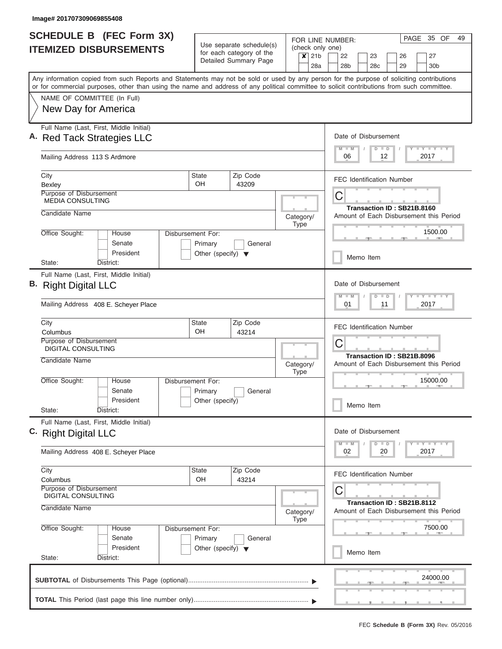| <b>SCHEDULE B (FEC Form 3X)</b><br>Use separate schedule(s) |                                                                                                                                                                                                                                                                                         |                                         |                          |           |                          |                                     | FOR LINE NUMBER:                                                      |  |                 |    |                                         | PAGE | 35 OF              | 49 |  |  |  |  |  |
|-------------------------------------------------------------|-----------------------------------------------------------------------------------------------------------------------------------------------------------------------------------------------------------------------------------------------------------------------------------------|-----------------------------------------|--------------------------|-----------|--------------------------|-------------------------------------|-----------------------------------------------------------------------|--|-----------------|----|-----------------------------------------|------|--------------------|----|--|--|--|--|--|
|                                                             | <b>ITEMIZED DISBURSEMENTS</b>                                                                                                                                                                                                                                                           |                                         | for each category of the |           | $\boldsymbol{x}$         | (check only one)<br>21 <sub>b</sub> | 22                                                                    |  | 23              |    | 26                                      |      | 27                 |    |  |  |  |  |  |
|                                                             |                                                                                                                                                                                                                                                                                         |                                         | Detailed Summary Page    |           |                          | 28a                                 | 28b                                                                   |  | 28 <sub>c</sub> |    | 29                                      |      | 30 <sub>b</sub>    |    |  |  |  |  |  |
|                                                             | Any information copied from such Reports and Statements may not be sold or used by any person for the purpose of soliciting contributions<br>or for commercial purposes, other than using the name and address of any political committee to solicit contributions from such committee. |                                         |                          |           |                          |                                     |                                                                       |  |                 |    |                                         |      |                    |    |  |  |  |  |  |
|                                                             | NAME OF COMMITTEE (In Full)                                                                                                                                                                                                                                                             |                                         |                          |           |                          |                                     |                                                                       |  |                 |    |                                         |      |                    |    |  |  |  |  |  |
|                                                             | New Day for America                                                                                                                                                                                                                                                                     |                                         |                          |           |                          |                                     |                                                                       |  |                 |    |                                         |      |                    |    |  |  |  |  |  |
|                                                             | Full Name (Last, First, Middle Initial)<br>A. Red Tack Strategies LLC                                                                                                                                                                                                                   |                                         |                          |           |                          |                                     | Date of Disbursement<br>Y L Y L Y L Y<br>$M$ $M$<br>$D$ $D$           |  |                 |    |                                         |      |                    |    |  |  |  |  |  |
|                                                             | Mailing Address 113 S Ardmore                                                                                                                                                                                                                                                           |                                         |                          |           |                          |                                     | 06                                                                    |  |                 | 12 |                                         |      | 2017               |    |  |  |  |  |  |
|                                                             | City<br>Bexley                                                                                                                                                                                                                                                                          | <b>State</b><br><b>OH</b>               | Zip Code<br>43209        |           |                          |                                     | <b>FEC Identification Number</b>                                      |  |                 |    |                                         |      |                    |    |  |  |  |  |  |
|                                                             | Purpose of Disbursement<br><b>MEDIA CONSULTING</b>                                                                                                                                                                                                                                      |                                         |                          |           | C                        |                                     |                                                                       |  |                 |    |                                         |      |                    |    |  |  |  |  |  |
|                                                             | Candidate Name                                                                                                                                                                                                                                                                          |                                         |                          |           | Category/<br><b>Type</b> |                                     | Transaction ID: SB21B.8160<br>Amount of Each Disbursement this Period |  |                 |    |                                         |      |                    |    |  |  |  |  |  |
|                                                             | Office Sought:<br>House<br>Senate                                                                                                                                                                                                                                                       | Disbursement For:<br>Primary<br>General |                          |           |                          |                                     |                                                                       |  | 1500.00         |    |                                         |      |                    |    |  |  |  |  |  |
|                                                             | President<br>District:<br>State:                                                                                                                                                                                                                                                        | Other (specify) $\blacktriangledown$    |                          | Memo Item |                          |                                     |                                                                       |  |                 |    |                                         |      |                    |    |  |  |  |  |  |
|                                                             | Full Name (Last, First, Middle Initial)<br>B. Right Digital LLC                                                                                                                                                                                                                         |                                         |                          |           |                          |                                     | Date of Disbursement<br>$M - M$                                       |  | $D$ $D$         |    |                                         |      | Y FY FY FY         |    |  |  |  |  |  |
|                                                             | Mailing Address 408 E. Scheyer Place                                                                                                                                                                                                                                                    |                                         | Zip Code                 |           |                          |                                     | 01<br>11<br>2017<br><b>FEC Identification Number</b>                  |  |                 |    |                                         |      |                    |    |  |  |  |  |  |
|                                                             | City<br>Columbus                                                                                                                                                                                                                                                                        | <b>State</b><br>OH.                     |                          |           |                          |                                     |                                                                       |  |                 |    |                                         |      |                    |    |  |  |  |  |  |
|                                                             | Purpose of Disbursement<br><b>DIGITAL CONSULTING</b>                                                                                                                                                                                                                                    |                                         | 43214                    |           |                          |                                     | С<br>Transaction ID: SB21B.8096                                       |  |                 |    |                                         |      |                    |    |  |  |  |  |  |
|                                                             | Candidate Name                                                                                                                                                                                                                                                                          |                                         |                          |           | Category/<br><b>Type</b> |                                     |                                                                       |  |                 |    | Amount of Each Disbursement this Period |      |                    |    |  |  |  |  |  |
|                                                             | Office Sought:<br>House<br>Senate                                                                                                                                                                                                                                                       | Disbursement For:<br>Primary            | General                  |           |                          |                                     |                                                                       |  |                 |    |                                         |      | 15000.00           |    |  |  |  |  |  |
|                                                             | President<br>State:<br>District:                                                                                                                                                                                                                                                        | Other (specify)                         |                          |           |                          |                                     |                                                                       |  | Memo Item       |    |                                         |      |                    |    |  |  |  |  |  |
|                                                             | Full Name (Last, First, Middle Initial)<br>C. Right Digital LLC                                                                                                                                                                                                                         |                                         |                          |           |                          |                                     | Date of Disbursement                                                  |  |                 |    |                                         |      |                    |    |  |  |  |  |  |
|                                                             | Mailing Address 408 E. Scheyer Place                                                                                                                                                                                                                                                    |                                         |                          |           |                          |                                     | $M$ $M$<br>02                                                         |  | $D$ $D$         | 20 |                                         |      | Y TY TY TY<br>2017 |    |  |  |  |  |  |
|                                                             | City<br>Columbus                                                                                                                                                                                                                                                                        | State<br>OH                             | Zip Code<br>43214        |           |                          |                                     |                                                                       |  |                 |    | <b>FEC Identification Number</b>        |      |                    |    |  |  |  |  |  |
|                                                             | Purpose of Disbursement<br><b>DIGITAL CONSULTING</b>                                                                                                                                                                                                                                    |                                         |                          |           |                          |                                     | С                                                                     |  |                 |    | Transaction ID: SB21B.8112              |      |                    |    |  |  |  |  |  |
|                                                             | Candidate Name                                                                                                                                                                                                                                                                          |                                         |                          |           | Category/<br><b>Type</b> |                                     |                                                                       |  |                 |    | Amount of Each Disbursement this Period |      |                    |    |  |  |  |  |  |
|                                                             | Office Sought:<br>House<br>Senate                                                                                                                                                                                                                                                       | Disbursement For:<br>Primary            | General                  |           |                          |                                     |                                                                       |  |                 |    |                                         |      | 7500.00            |    |  |  |  |  |  |
|                                                             | President<br>State:<br>District:                                                                                                                                                                                                                                                        | Other (specify) $\blacktriangledown$    |                          |           |                          |                                     |                                                                       |  | Memo Item       |    |                                         |      |                    |    |  |  |  |  |  |
|                                                             |                                                                                                                                                                                                                                                                                         |                                         |                          |           |                          |                                     |                                                                       |  |                 |    |                                         |      | 24000.00           |    |  |  |  |  |  |
|                                                             |                                                                                                                                                                                                                                                                                         |                                         |                          |           |                          |                                     |                                                                       |  |                 |    |                                         |      |                    |    |  |  |  |  |  |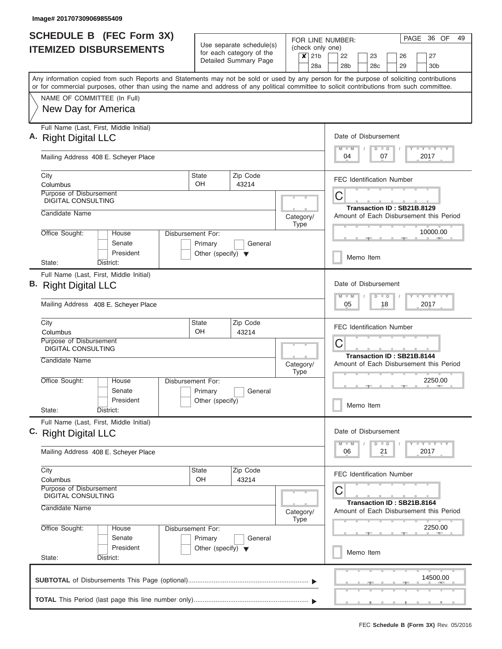| <b>SCHEDULE B</b> (FEC Form 3X)                                                                                                            |                                      |                                                      | FOR LINE NUMBER:                                                 |  |                                                                    |                                                                       |  | PAGE 36 OF<br>49 |         |  |                                                                       |      |                                         |  |  |  |
|--------------------------------------------------------------------------------------------------------------------------------------------|--------------------------------------|------------------------------------------------------|------------------------------------------------------------------|--|--------------------------------------------------------------------|-----------------------------------------------------------------------|--|------------------|---------|--|-----------------------------------------------------------------------|------|-----------------------------------------|--|--|--|
| <b>ITEMIZED DISBURSEMENTS</b>                                                                                                              |                                      | Use separate schedule(s)<br>for each category of the | (check only one)<br>21 <sub>b</sub><br>$\boldsymbol{\mathsf{x}}$ |  |                                                                    | 22                                                                    |  | 23               |         |  | 26                                                                    |      | 27                                      |  |  |  |
|                                                                                                                                            |                                      | Detailed Summary Page                                |                                                                  |  | 28a                                                                | 28b                                                                   |  | 28c              |         |  | 29                                                                    |      | 30b                                     |  |  |  |
| Any information copied from such Reports and Statements may not be sold or used by any person for the purpose of soliciting contributions  |                                      |                                                      |                                                                  |  |                                                                    |                                                                       |  |                  |         |  |                                                                       |      |                                         |  |  |  |
| or for commercial purposes, other than using the name and address of any political committee to solicit contributions from such committee. |                                      |                                                      |                                                                  |  |                                                                    |                                                                       |  |                  |         |  |                                                                       |      |                                         |  |  |  |
| NAME OF COMMITTEE (In Full)                                                                                                                |                                      |                                                      |                                                                  |  |                                                                    |                                                                       |  |                  |         |  |                                                                       |      |                                         |  |  |  |
| New Day for America                                                                                                                        |                                      |                                                      |                                                                  |  |                                                                    |                                                                       |  |                  |         |  |                                                                       |      |                                         |  |  |  |
| Full Name (Last, First, Middle Initial)                                                                                                    |                                      |                                                      |                                                                  |  |                                                                    |                                                                       |  |                  |         |  |                                                                       |      |                                         |  |  |  |
| A. Right Digital LLC                                                                                                                       |                                      |                                                      |                                                                  |  |                                                                    | Date of Disbursement                                                  |  |                  |         |  |                                                                       |      |                                         |  |  |  |
| Mailing Address 408 E. Scheyer Place                                                                                                       |                                      |                                                      |                                                                  |  | $T$ $Y$ $Y$ $Y$ $Y$<br>$M$ $M$<br>$D$ $D$<br>Y<br>04<br>07<br>2017 |                                                                       |  |                  |         |  |                                                                       |      |                                         |  |  |  |
| City<br>Columbus                                                                                                                           | <b>State</b><br>OH.                  | Zip Code<br>43214                                    |                                                                  |  |                                                                    | <b>FEC Identification Number</b>                                      |  |                  |         |  |                                                                       |      |                                         |  |  |  |
| Purpose of Disbursement<br><b>DIGITAL CONSULTING</b>                                                                                       |                                      |                                                      |                                                                  |  |                                                                    | С                                                                     |  |                  |         |  |                                                                       |      |                                         |  |  |  |
| Candidate Name                                                                                                                             |                                      |                                                      |                                                                  |  |                                                                    |                                                                       |  |                  |         |  | Transaction ID: SB21B.8129<br>Amount of Each Disbursement this Period |      |                                         |  |  |  |
|                                                                                                                                            |                                      |                                                      | Category/<br><b>Type</b>                                         |  |                                                                    |                                                                       |  |                  |         |  |                                                                       |      |                                         |  |  |  |
| Office Sought:<br>House                                                                                                                    | Disbursement For:                    |                                                      |                                                                  |  | 10000.00                                                           |                                                                       |  |                  |         |  |                                                                       |      |                                         |  |  |  |
| Senate                                                                                                                                     | Primary                              | General                                              |                                                                  |  |                                                                    |                                                                       |  |                  |         |  |                                                                       |      |                                         |  |  |  |
| President<br>State:<br>District:                                                                                                           | Other (specify) $\blacktriangledown$ |                                                      |                                                                  |  |                                                                    | Memo Item                                                             |  |                  |         |  |                                                                       |      |                                         |  |  |  |
| Full Name (Last, First, Middle Initial)                                                                                                    |                                      |                                                      |                                                                  |  |                                                                    |                                                                       |  |                  |         |  |                                                                       |      |                                         |  |  |  |
| B. Right Digital LLC                                                                                                                       |                                      |                                                      |                                                                  |  |                                                                    | Date of Disbursement                                                  |  |                  |         |  |                                                                       |      |                                         |  |  |  |
|                                                                                                                                            |                                      |                                                      |                                                                  |  | $T - Y$ $T - Y$ $T - Y$<br>$M - M$<br>$D$ $D$<br>05<br>18<br>2017  |                                                                       |  |                  |         |  |                                                                       |      |                                         |  |  |  |
| Mailing Address 408 E. Scheyer Place                                                                                                       |                                      |                                                      |                                                                  |  |                                                                    | <b>FEC Identification Number</b>                                      |  |                  |         |  |                                                                       |      |                                         |  |  |  |
| City                                                                                                                                       | <b>State</b>                         | Zip Code<br>43214                                    |                                                                  |  |                                                                    |                                                                       |  |                  |         |  |                                                                       |      |                                         |  |  |  |
| Columbus<br>Purpose of Disbursement                                                                                                        | OH                                   |                                                      |                                                                  |  |                                                                    |                                                                       |  |                  |         |  |                                                                       |      |                                         |  |  |  |
| <b>DIGITAL CONSULTING</b>                                                                                                                  |                                      |                                                      |                                                                  |  |                                                                    | С<br>Transaction ID: SB21B.8144                                       |  |                  |         |  |                                                                       |      |                                         |  |  |  |
| Candidate Name                                                                                                                             |                                      |                                                      | Category/                                                        |  |                                                                    |                                                                       |  |                  |         |  |                                                                       |      | Amount of Each Disbursement this Period |  |  |  |
| Office Sought:<br>House                                                                                                                    | Disbursement For:                    |                                                      | <b>Type</b>                                                      |  |                                                                    |                                                                       |  |                  |         |  |                                                                       |      | 2250.00                                 |  |  |  |
| Senate                                                                                                                                     | Primary                              | General                                              |                                                                  |  |                                                                    |                                                                       |  |                  |         |  | $-1$                                                                  |      |                                         |  |  |  |
| President                                                                                                                                  | Other (specify)                      |                                                      |                                                                  |  |                                                                    |                                                                       |  | Memo Item        |         |  |                                                                       |      |                                         |  |  |  |
| State:<br>District:                                                                                                                        |                                      |                                                      |                                                                  |  |                                                                    |                                                                       |  |                  |         |  |                                                                       |      |                                         |  |  |  |
| Full Name (Last, First, Middle Initial)<br>C. Right Digital LLC                                                                            |                                      |                                                      |                                                                  |  |                                                                    | Date of Disbursement                                                  |  |                  |         |  |                                                                       |      |                                         |  |  |  |
|                                                                                                                                            |                                      |                                                      |                                                                  |  |                                                                    | $M$ $M$                                                               |  |                  | $D$ $D$ |  |                                                                       |      | <b>LY LY LY</b>                         |  |  |  |
| Mailing Address 408 E. Scheyer Place                                                                                                       |                                      |                                                      |                                                                  |  |                                                                    | 06                                                                    |  |                  | 21      |  |                                                                       | 2017 |                                         |  |  |  |
| City<br>Columbus                                                                                                                           | <b>State</b><br>OH                   | Zip Code<br>43214                                    |                                                                  |  |                                                                    | <b>FEC Identification Number</b>                                      |  |                  |         |  |                                                                       |      |                                         |  |  |  |
| <b>Purpose of Disbursement</b>                                                                                                             |                                      |                                                      |                                                                  |  |                                                                    | С                                                                     |  |                  |         |  |                                                                       |      |                                         |  |  |  |
| <b>DIGITAL CONSULTING</b><br>Candidate Name                                                                                                |                                      |                                                      | Category/                                                        |  |                                                                    | Transaction ID: SB21B.8164<br>Amount of Each Disbursement this Period |  |                  |         |  |                                                                       |      |                                         |  |  |  |
| Office Sought:<br>House                                                                                                                    | Disbursement For:                    |                                                      | Type                                                             |  |                                                                    | 2250.00                                                               |  |                  |         |  |                                                                       |      |                                         |  |  |  |
| Senate                                                                                                                                     | Primary                              | General                                              |                                                                  |  |                                                                    |                                                                       |  |                  |         |  |                                                                       |      |                                         |  |  |  |
| President                                                                                                                                  | Other (specify) $\blacktriangledown$ |                                                      |                                                                  |  |                                                                    |                                                                       |  | Memo Item        |         |  |                                                                       |      |                                         |  |  |  |
| State:<br>District:                                                                                                                        |                                      |                                                      |                                                                  |  |                                                                    |                                                                       |  |                  |         |  |                                                                       |      |                                         |  |  |  |
|                                                                                                                                            |                                      |                                                      |                                                                  |  |                                                                    |                                                                       |  |                  |         |  |                                                                       |      | 14500.00                                |  |  |  |
|                                                                                                                                            |                                      |                                                      |                                                                  |  |                                                                    |                                                                       |  |                  |         |  |                                                                       |      |                                         |  |  |  |
|                                                                                                                                            |                                      |                                                      |                                                                  |  |                                                                    |                                                                       |  |                  |         |  |                                                                       |      |                                         |  |  |  |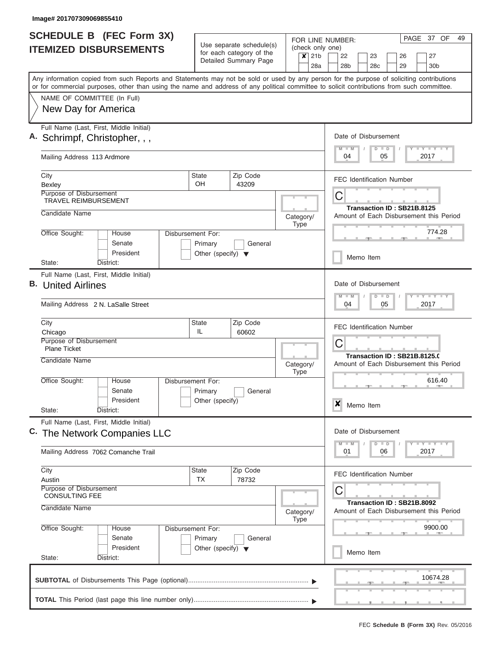|    | <b>SCHEDULE B (FEC Form 3X)</b>                                                                                                                                                                                                                                                         |                                      |                                                      |                                                          |                           |                  | FOR LINE NUMBER:                                                        |           |           |    |                            | PAGE | 37 OF                       | 49 |  |  |  |  |
|----|-----------------------------------------------------------------------------------------------------------------------------------------------------------------------------------------------------------------------------------------------------------------------------------------|--------------------------------------|------------------------------------------------------|----------------------------------------------------------|---------------------------|------------------|-------------------------------------------------------------------------|-----------|-----------|----|----------------------------|------|-----------------------------|----|--|--|--|--|
|    | <b>ITEMIZED DISBURSEMENTS</b>                                                                                                                                                                                                                                                           |                                      | Use separate schedule(s)<br>for each category of the |                                                          | (check only one)          | 21 <sub>b</sub>  |                                                                         |           |           |    |                            |      |                             |    |  |  |  |  |
|    |                                                                                                                                                                                                                                                                                         |                                      | Detailed Summary Page                                |                                                          | $\boldsymbol{\mathsf{x}}$ | 28a              | 22<br>28 <sub>b</sub>                                                   |           | 23<br>28c |    | 26<br>29                   |      | 27<br>30 <sub>b</sub>       |    |  |  |  |  |
|    | Any information copied from such Reports and Statements may not be sold or used by any person for the purpose of soliciting contributions<br>or for commercial purposes, other than using the name and address of any political committee to solicit contributions from such committee. |                                      |                                                      |                                                          |                           |                  |                                                                         |           |           |    |                            |      |                             |    |  |  |  |  |
|    | NAME OF COMMITTEE (In Full)                                                                                                                                                                                                                                                             |                                      |                                                      |                                                          |                           |                  |                                                                         |           |           |    |                            |      |                             |    |  |  |  |  |
|    | New Day for America                                                                                                                                                                                                                                                                     |                                      |                                                      |                                                          |                           |                  |                                                                         |           |           |    |                            |      |                             |    |  |  |  |  |
|    | Full Name (Last, First, Middle Initial)<br>A. Schrimpf, Christopher, , ,                                                                                                                                                                                                                |                                      |                                                      |                                                          |                           |                  | Date of Disbursement                                                    |           |           |    |                            |      |                             |    |  |  |  |  |
|    | Mailing Address 113 Ardmore                                                                                                                                                                                                                                                             |                                      |                                                      |                                                          |                           |                  | $M$ $M$<br>04                                                           |           | $D$ $D$   | 05 |                            |      | Y FY FY FY<br>2017          |    |  |  |  |  |
|    | City<br>Bexley                                                                                                                                                                                                                                                                          | <b>State</b><br>OH                   | Zip Code<br>43209                                    |                                                          |                           |                  | <b>FEC Identification Number</b>                                        |           |           |    |                            |      |                             |    |  |  |  |  |
|    | Purpose of Disbursement<br><b>TRAVEL REIMBURSEMENT</b>                                                                                                                                                                                                                                  |                                      |                                                      |                                                          |                           | C                |                                                                         |           |           |    |                            |      |                             |    |  |  |  |  |
|    | Candidate Name                                                                                                                                                                                                                                                                          |                                      |                                                      |                                                          | Category/<br><b>Type</b>  |                  | Transaction ID: SB21B.8125<br>Amount of Each Disbursement this Period   |           |           |    |                            |      |                             |    |  |  |  |  |
|    | Office Sought:<br>House<br>Senate                                                                                                                                                                                                                                                       | Disbursement For:<br>Primary         | General                                              |                                                          |                           |                  | 774.28                                                                  |           |           |    |                            |      |                             |    |  |  |  |  |
|    | President<br>State:<br>District:                                                                                                                                                                                                                                                        | Other (specify) $\blacktriangledown$ |                                                      |                                                          |                           | Memo Item        |                                                                         |           |           |    |                            |      |                             |    |  |  |  |  |
|    | Full Name (Last, First, Middle Initial)                                                                                                                                                                                                                                                 |                                      |                                                      |                                                          |                           |                  |                                                                         |           |           |    |                            |      |                             |    |  |  |  |  |
| В. | <b>United Airlines</b>                                                                                                                                                                                                                                                                  |                                      |                                                      | Date of Disbursement<br>Y FY FY FY<br>$M - M$<br>$D$ $D$ |                           |                  |                                                                         |           |           |    |                            |      |                             |    |  |  |  |  |
|    | Mailing Address 2 N. LaSalle Street                                                                                                                                                                                                                                                     |                                      |                                                      |                                                          |                           | 04<br>05<br>2017 |                                                                         |           |           |    |                            |      |                             |    |  |  |  |  |
|    | City<br>Chicago                                                                                                                                                                                                                                                                         | <b>State</b><br>IL                   | <b>FEC Identification Number</b>                     |                                                          |                           |                  |                                                                         |           |           |    |                            |      |                             |    |  |  |  |  |
|    | Purpose of Disbursement<br><b>Plane Ticket</b>                                                                                                                                                                                                                                          |                                      | 60602                                                |                                                          |                           | C                |                                                                         |           |           |    |                            |      |                             |    |  |  |  |  |
|    | Candidate Name                                                                                                                                                                                                                                                                          |                                      |                                                      |                                                          | Category/<br><b>Type</b>  |                  | Transaction ID: SB21B.8125.0<br>Amount of Each Disbursement this Period |           |           |    |                            |      |                             |    |  |  |  |  |
|    | Office Sought:<br>House<br>Senate                                                                                                                                                                                                                                                       | Disbursement For:<br>Primary         | General                                              |                                                          |                           |                  |                                                                         |           |           |    |                            |      | 616.40                      |    |  |  |  |  |
|    | President<br>State:<br>District:                                                                                                                                                                                                                                                        | Other (specify)                      |                                                      |                                                          |                           |                  | X                                                                       | Memo Item |           |    |                            |      |                             |    |  |  |  |  |
|    | Full Name (Last, First, Middle Initial)<br>C. The Network Companies LLC                                                                                                                                                                                                                 |                                      |                                                      |                                                          |                           |                  | Date of Disbursement                                                    |           |           |    |                            |      |                             |    |  |  |  |  |
|    | Mailing Address 7062 Comanche Trail                                                                                                                                                                                                                                                     |                                      |                                                      |                                                          |                           |                  | $M - M$<br>01                                                           |           | $D$ $D$   | 06 |                            |      | $Y$ $Y$ $Y$ $Y$ $Y$<br>2017 |    |  |  |  |  |
|    | City<br>Austin                                                                                                                                                                                                                                                                          | State<br><b>TX</b>                   | Zip Code<br>78732                                    |                                                          |                           |                  | <b>FEC Identification Number</b>                                        |           |           |    |                            |      |                             |    |  |  |  |  |
|    | Purpose of Disbursement<br><b>CONSULTING FEE</b>                                                                                                                                                                                                                                        |                                      |                                                      |                                                          |                           |                  | С                                                                       |           |           |    | Transaction ID: SB21B.8092 |      |                             |    |  |  |  |  |
|    | Candidate Name                                                                                                                                                                                                                                                                          |                                      |                                                      |                                                          | Category/<br><b>Type</b>  |                  | Amount of Each Disbursement this Period                                 |           |           |    |                            |      |                             |    |  |  |  |  |
|    | Office Sought:<br>House<br>Senate                                                                                                                                                                                                                                                       | Disbursement For:<br>Primary         | General                                              |                                                          |                           |                  |                                                                         |           |           |    |                            |      | 9900.00                     |    |  |  |  |  |
|    | President<br>State:<br>District:                                                                                                                                                                                                                                                        | Other (specify) $\blacktriangledown$ |                                                      |                                                          |                           |                  |                                                                         | Memo Item |           |    |                            |      |                             |    |  |  |  |  |
|    |                                                                                                                                                                                                                                                                                         |                                      |                                                      |                                                          |                           |                  |                                                                         |           |           |    |                            |      | 10674.28                    |    |  |  |  |  |
|    |                                                                                                                                                                                                                                                                                         |                                      |                                                      |                                                          |                           |                  |                                                                         |           |           |    |                            |      |                             |    |  |  |  |  |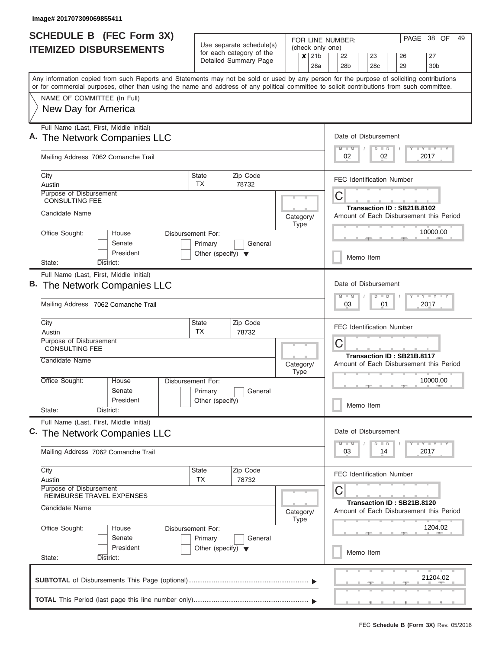|                                                  | <b>SCHEDULE B (FEC Form 3X)</b>                                      |                                      |                                                      | FOR LINE NUMBER:                                                 | PAGE<br>38 OF<br>49                                                                                                                                                                                                                                                                     |  |  |  |  |  |  |  |  |  |  |  |  |
|--------------------------------------------------|----------------------------------------------------------------------|--------------------------------------|------------------------------------------------------|------------------------------------------------------------------|-----------------------------------------------------------------------------------------------------------------------------------------------------------------------------------------------------------------------------------------------------------------------------------------|--|--|--|--|--|--|--|--|--|--|--|--|
|                                                  | <b>ITEMIZED DISBURSEMENTS</b>                                        |                                      | Use separate schedule(s)<br>for each category of the | (check only one)<br>21 <sub>b</sub><br>$\boldsymbol{\mathsf{x}}$ | 22<br>23<br>27<br>26                                                                                                                                                                                                                                                                    |  |  |  |  |  |  |  |  |  |  |  |  |
|                                                  |                                                                      |                                      | Detailed Summary Page                                | 28a                                                              | 28 <sub>b</sub><br>28c<br>29<br>30 <sub>b</sub>                                                                                                                                                                                                                                         |  |  |  |  |  |  |  |  |  |  |  |  |
|                                                  |                                                                      |                                      |                                                      |                                                                  | Any information copied from such Reports and Statements may not be sold or used by any person for the purpose of soliciting contributions<br>or for commercial purposes, other than using the name and address of any political committee to solicit contributions from such committee. |  |  |  |  |  |  |  |  |  |  |  |  |
|                                                  | NAME OF COMMITTEE (In Full)                                          |                                      |                                                      |                                                                  |                                                                                                                                                                                                                                                                                         |  |  |  |  |  |  |  |  |  |  |  |  |
|                                                  | New Day for America                                                  |                                      |                                                      |                                                                  |                                                                                                                                                                                                                                                                                         |  |  |  |  |  |  |  |  |  |  |  |  |
|                                                  | Full Name (Last, First, Middle Initial)<br>The Network Companies LLC |                                      |                                                      |                                                                  | Date of Disbursement                                                                                                                                                                                                                                                                    |  |  |  |  |  |  |  |  |  |  |  |  |
|                                                  | Mailing Address 7062 Comanche Trail                                  |                                      |                                                      |                                                                  | Y FY FY FY<br>$M$ $M$<br>$D$ $D$<br>2017<br>02<br>02                                                                                                                                                                                                                                    |  |  |  |  |  |  |  |  |  |  |  |  |
| City<br>Austin                                   |                                                                      | <b>State</b><br>TX                   | Zip Code<br>78732                                    |                                                                  | <b>FEC Identification Number</b>                                                                                                                                                                                                                                                        |  |  |  |  |  |  |  |  |  |  |  |  |
| Purpose of Disbursement<br><b>CONSULTING FEE</b> |                                                                      |                                      |                                                      |                                                                  | С<br>Transaction ID: SB21B.8102                                                                                                                                                                                                                                                         |  |  |  |  |  |  |  |  |  |  |  |  |
| Candidate Name                                   |                                                                      |                                      |                                                      | Category/<br><b>Type</b>                                         | Amount of Each Disbursement this Period                                                                                                                                                                                                                                                 |  |  |  |  |  |  |  |  |  |  |  |  |
| Office Sought:                                   | House<br>Senate                                                      | Disbursement For:<br>Primary         | General                                              |                                                                  | 10000.00                                                                                                                                                                                                                                                                                |  |  |  |  |  |  |  |  |  |  |  |  |
| State:                                           | President<br>District:                                               | Other (specify) $\blacktriangledown$ |                                                      |                                                                  | Memo Item                                                                                                                                                                                                                                                                               |  |  |  |  |  |  |  |  |  |  |  |  |
|                                                  | Full Name (Last, First, Middle Initial)                              |                                      |                                                      |                                                                  |                                                                                                                                                                                                                                                                                         |  |  |  |  |  |  |  |  |  |  |  |  |
| В.                                               | The Network Companies LLC                                            |                                      |                                                      |                                                                  | Date of Disbursement<br>Y FY FY FY<br>$M - M$<br>$D$ $D$                                                                                                                                                                                                                                |  |  |  |  |  |  |  |  |  |  |  |  |
|                                                  | Mailing Address 7062 Comanche Trail                                  |                                      |                                                      |                                                                  | 01<br>2017<br>03                                                                                                                                                                                                                                                                        |  |  |  |  |  |  |  |  |  |  |  |  |
| City<br>Austin                                   |                                                                      | <b>State</b><br>TX                   | Zip Code<br>78732                                    |                                                                  | <b>FEC Identification Number</b>                                                                                                                                                                                                                                                        |  |  |  |  |  |  |  |  |  |  |  |  |
| Purpose of Disbursement<br><b>CONSULTING FEE</b> |                                                                      |                                      |                                                      |                                                                  | C                                                                                                                                                                                                                                                                                       |  |  |  |  |  |  |  |  |  |  |  |  |
| Candidate Name                                   |                                                                      |                                      |                                                      | Category/<br><b>Type</b>                                         | Transaction ID: SB21B.8117<br>Amount of Each Disbursement this Period                                                                                                                                                                                                                   |  |  |  |  |  |  |  |  |  |  |  |  |
| Office Sought:                                   | House<br>Senate                                                      | Disbursement For:<br>Primary         | General                                              |                                                                  | 10000.00                                                                                                                                                                                                                                                                                |  |  |  |  |  |  |  |  |  |  |  |  |
| State:                                           | President<br>District:                                               | Other (specify)                      |                                                      |                                                                  | Memo Item                                                                                                                                                                                                                                                                               |  |  |  |  |  |  |  |  |  |  |  |  |
|                                                  | Full Name (Last, First, Middle Initial)                              |                                      |                                                      |                                                                  | Date of Disbursement                                                                                                                                                                                                                                                                    |  |  |  |  |  |  |  |  |  |  |  |  |
|                                                  | C. The Network Companies LLC                                         |                                      |                                                      |                                                                  | Y FY FY FY<br>$M - M$<br>$D$ $D$                                                                                                                                                                                                                                                        |  |  |  |  |  |  |  |  |  |  |  |  |
|                                                  | Mailing Address 7062 Comanche Trail                                  |                                      |                                                      |                                                                  | 2017<br>03<br>14                                                                                                                                                                                                                                                                        |  |  |  |  |  |  |  |  |  |  |  |  |
| City<br>Austin                                   |                                                                      | <b>State</b><br><b>TX</b>            | Zip Code<br>78732                                    |                                                                  | <b>FEC Identification Number</b>                                                                                                                                                                                                                                                        |  |  |  |  |  |  |  |  |  |  |  |  |
| Purpose of Disbursement                          | REIMBURSE TRAVEL EXPENSES                                            |                                      |                                                      |                                                                  | С                                                                                                                                                                                                                                                                                       |  |  |  |  |  |  |  |  |  |  |  |  |
| Candidate Name                                   |                                                                      |                                      |                                                      | Category/<br><b>Type</b>                                         | Transaction ID: SB21B.8120<br>Amount of Each Disbursement this Period                                                                                                                                                                                                                   |  |  |  |  |  |  |  |  |  |  |  |  |
| Office Sought:                                   | House<br>Senate                                                      | Disbursement For:<br>Primary         | General                                              |                                                                  | 1204.02                                                                                                                                                                                                                                                                                 |  |  |  |  |  |  |  |  |  |  |  |  |
| State:                                           | President<br>District:                                               | Other (specify) $\blacktriangledown$ |                                                      |                                                                  | Memo Item                                                                                                                                                                                                                                                                               |  |  |  |  |  |  |  |  |  |  |  |  |
|                                                  |                                                                      |                                      |                                                      |                                                                  | 21204.02                                                                                                                                                                                                                                                                                |  |  |  |  |  |  |  |  |  |  |  |  |
|                                                  |                                                                      |                                      |                                                      |                                                                  |                                                                                                                                                                                                                                                                                         |  |  |  |  |  |  |  |  |  |  |  |  |
|                                                  |                                                                      |                                      |                                                      |                                                                  |                                                                                                                                                                                                                                                                                         |  |  |  |  |  |  |  |  |  |  |  |  |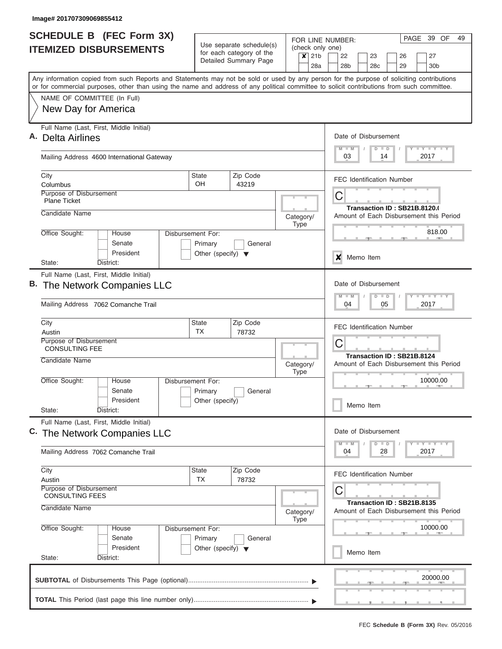| <b>SCHEDULE B (FEC Form 3X)</b>                                                                                                                                                                                                                                                         |                                                      |                       |  |                          |     | FOR LINE NUMBER:                                                      |               |    | PAGE 39 OF                                                          | 49 |
|-----------------------------------------------------------------------------------------------------------------------------------------------------------------------------------------------------------------------------------------------------------------------------------------|------------------------------------------------------|-----------------------|--|--------------------------|-----|-----------------------------------------------------------------------|---------------|----|---------------------------------------------------------------------|----|
| <b>ITEMIZED DISBURSEMENTS</b>                                                                                                                                                                                                                                                           | Use separate schedule(s)<br>for each category of the |                       |  | $x$ 21b                  |     | (check only one)<br>22<br>23                                          |               | 26 | 27                                                                  |    |
|                                                                                                                                                                                                                                                                                         |                                                      | Detailed Summary Page |  |                          | 28a | 28 <sub>b</sub><br>28 <sub>c</sub>                                    |               | 29 | 30 <sub>b</sub>                                                     |    |
| Any information copied from such Reports and Statements may not be sold or used by any person for the purpose of soliciting contributions<br>or for commercial purposes, other than using the name and address of any political committee to solicit contributions from such committee. |                                                      |                       |  |                          |     |                                                                       |               |    |                                                                     |    |
| NAME OF COMMITTEE (In Full)                                                                                                                                                                                                                                                             |                                                      |                       |  |                          |     |                                                                       |               |    |                                                                     |    |
| New Day for America                                                                                                                                                                                                                                                                     |                                                      |                       |  |                          |     |                                                                       |               |    |                                                                     |    |
| Full Name (Last, First, Middle Initial)<br>A. Delta Airlines                                                                                                                                                                                                                            |                                                      |                       |  |                          |     | Date of Disbursement                                                  |               |    |                                                                     |    |
| Mailing Address 4600 International Gateway                                                                                                                                                                                                                                              |                                                      |                       |  |                          |     | $M$ $M$<br>03                                                         | $D$ $D$<br>14 |    | Y LY LY LY<br>2017                                                  |    |
| City                                                                                                                                                                                                                                                                                    | <b>State</b>                                         | Zip Code              |  |                          |     | <b>FEC Identification Number</b>                                      |               |    |                                                                     |    |
| Columbus<br>Purpose of Disbursement                                                                                                                                                                                                                                                     | OΗ                                                   | 43219                 |  |                          |     |                                                                       |               |    |                                                                     |    |
| <b>Plane Ticket</b>                                                                                                                                                                                                                                                                     |                                                      |                       |  |                          |     | C<br>Transaction ID: SB21B.8120.0                                     |               |    |                                                                     |    |
| Candidate Name                                                                                                                                                                                                                                                                          |                                                      |                       |  | Category/<br><b>Type</b> |     | Amount of Each Disbursement this Period                               |               |    |                                                                     |    |
| Office Sought:<br>House<br>Senate                                                                                                                                                                                                                                                       | Disbursement For:<br>Primary                         | General               |  |                          |     |                                                                       |               |    | 818.00<br><b>Allen</b>                                              |    |
| President<br>State:<br>District:                                                                                                                                                                                                                                                        | Other (specify) $\blacktriangledown$                 |                       |  |                          |     | Memo Item<br>x                                                        |               |    |                                                                     |    |
| Full Name (Last, First, Middle Initial)                                                                                                                                                                                                                                                 |                                                      |                       |  |                          |     |                                                                       |               |    |                                                                     |    |
| B. The Network Companies LLC                                                                                                                                                                                                                                                            |                                                      |                       |  |                          |     | Date of Disbursement<br>$M - M$                                       | $D$ $D$       |    | $-1 - 1 - 1$                                                        |    |
| Mailing Address 7062 Comanche Trail                                                                                                                                                                                                                                                     |                                                      |                       |  |                          |     | 04                                                                    | 05            |    | 2017                                                                |    |
| City<br>Austin                                                                                                                                                                                                                                                                          | <b>State</b><br><b>TX</b>                            | Zip Code<br>78732     |  |                          |     | <b>FEC Identification Number</b>                                      |               |    |                                                                     |    |
| Purpose of Disbursement<br><b>CONSULTING FEE</b>                                                                                                                                                                                                                                        |                                                      |                       |  |                          |     | C                                                                     |               |    |                                                                     |    |
| Candidate Name                                                                                                                                                                                                                                                                          |                                                      |                       |  | Category/<br>Type        |     | Transaction ID: SB21B.8124<br>Amount of Each Disbursement this Period |               |    |                                                                     |    |
| Office Sought:<br>House<br>Senate                                                                                                                                                                                                                                                       | Disbursement For:                                    |                       |  |                          |     |                                                                       |               |    | 10000.00                                                            |    |
| President                                                                                                                                                                                                                                                                               | Primary<br>Other (specify)                           | General               |  |                          |     | Memo Item                                                             |               |    |                                                                     |    |
| State:<br>District:<br>Full Name (Last, First, Middle Initial)                                                                                                                                                                                                                          |                                                      |                       |  |                          |     |                                                                       |               |    |                                                                     |    |
| C. The Network Companies LLC                                                                                                                                                                                                                                                            |                                                      |                       |  |                          |     | Date of Disbursement<br>M<br>D                                        | $\Box$        |    | $\mathbb{L} \mathbf{Y} \mathbb{L} \mathbf{Y} \mathbb{L} \mathbf{Y}$ |    |
| Mailing Address 7062 Comanche Trail                                                                                                                                                                                                                                                     |                                                      |                       |  |                          |     | 04                                                                    | 28            |    | 2017                                                                |    |
| City<br>Austin                                                                                                                                                                                                                                                                          | <b>State</b><br>TX                                   | Zip Code<br>78732     |  |                          |     | <b>FEC Identification Number</b>                                      |               |    |                                                                     |    |
| Purpose of Disbursement<br><b>CONSULTING FEES</b>                                                                                                                                                                                                                                       |                                                      |                       |  |                          |     | С                                                                     |               |    |                                                                     |    |
| Candidate Name                                                                                                                                                                                                                                                                          |                                                      |                       |  | Category/<br><b>Type</b> |     | Transaction ID: SB21B.8135<br>Amount of Each Disbursement this Period |               |    |                                                                     |    |
| Office Sought:<br>House                                                                                                                                                                                                                                                                 | Disbursement For:                                    |                       |  |                          |     |                                                                       |               |    | 10000.00                                                            |    |
| Senate<br>President<br>State:<br>District:                                                                                                                                                                                                                                              | Primary<br>Other (specify) $\blacktriangledown$      | General               |  |                          |     | Memo Item                                                             |               |    |                                                                     |    |
|                                                                                                                                                                                                                                                                                         |                                                      |                       |  |                          |     |                                                                       |               |    |                                                                     |    |
|                                                                                                                                                                                                                                                                                         |                                                      |                       |  |                          |     |                                                                       |               |    | 20000.00                                                            |    |
|                                                                                                                                                                                                                                                                                         |                                                      |                       |  |                          |     |                                                                       |               |    |                                                                     |    |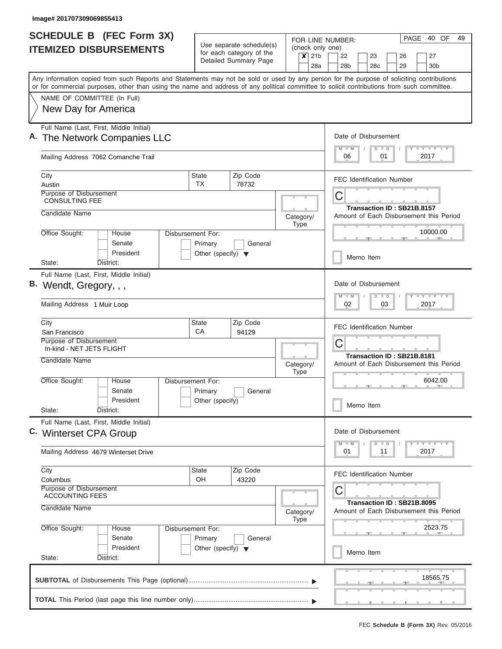| <b>SCHEDULE B (FEC Form 3X)</b>                                                                                                                                                                                                                                                         |                                                 |                                                      |                           | PAGE<br>40 OF<br>49<br>FOR LINE NUMBER:                                      |
|-----------------------------------------------------------------------------------------------------------------------------------------------------------------------------------------------------------------------------------------------------------------------------------------|-------------------------------------------------|------------------------------------------------------|---------------------------|------------------------------------------------------------------------------|
| <b>ITEMIZED DISBURSEMENTS</b>                                                                                                                                                                                                                                                           |                                                 | Use separate schedule(s)<br>for each category of the | $\boldsymbol{\mathsf{x}}$ | (check only one)<br>21 <sub>b</sub><br>22<br>23<br>27<br>26                  |
|                                                                                                                                                                                                                                                                                         |                                                 | Detailed Summary Page                                |                           | 28a<br>28 <sub>b</sub><br>28c<br>29<br>30 <sub>b</sub>                       |
| Any information copied from such Reports and Statements may not be sold or used by any person for the purpose of soliciting contributions<br>or for commercial purposes, other than using the name and address of any political committee to solicit contributions from such committee. |                                                 |                                                      |                           |                                                                              |
| NAME OF COMMITTEE (In Full)                                                                                                                                                                                                                                                             |                                                 |                                                      |                           |                                                                              |
| New Day for America                                                                                                                                                                                                                                                                     |                                                 |                                                      |                           |                                                                              |
| Full Name (Last, First, Middle Initial)<br>A. The Network Companies LLC                                                                                                                                                                                                                 |                                                 |                                                      |                           | Date of Disbursement                                                         |
| Mailing Address 7062 Comanche Trail                                                                                                                                                                                                                                                     |                                                 |                                                      |                           | Y FY FY FY<br>$M$ $M$<br>$D$ $D$<br>2017<br>06<br>01                         |
| City<br>Austin                                                                                                                                                                                                                                                                          | <b>State</b><br>TX                              | Zip Code<br>78732                                    |                           | <b>FEC Identification Number</b>                                             |
| Purpose of Disbursement<br><b>CONSULTING FEE</b>                                                                                                                                                                                                                                        |                                                 |                                                      |                           | С<br>Transaction ID: SB21B.8157                                              |
| Candidate Name                                                                                                                                                                                                                                                                          |                                                 |                                                      | Category/<br><b>Type</b>  | Amount of Each Disbursement this Period                                      |
| Office Sought:<br>House<br>Senate                                                                                                                                                                                                                                                       | Disbursement For:<br>Primary                    | General                                              |                           | 10000.00                                                                     |
| President<br>State:<br>District:                                                                                                                                                                                                                                                        | Other (specify) $\blacktriangledown$            |                                                      |                           | Memo Item                                                                    |
| Full Name (Last, First, Middle Initial)<br>B. Wendt, Gregory, , ,<br>Mailing Address 1 Muir Loop                                                                                                                                                                                        |                                                 |                                                      |                           | Date of Disbursement<br>Y FY FY FY<br>$M - M$<br>$D$ $D$<br>03<br>2017<br>02 |
| City<br>San Francisco                                                                                                                                                                                                                                                                   | <b>State</b><br>СA                              | Zip Code<br>94129                                    |                           | <b>FEC Identification Number</b>                                             |
| Purpose of Disbursement<br>In-kind - NET JETS FLIGHT                                                                                                                                                                                                                                    |                                                 |                                                      |                           | C                                                                            |
| Candidate Name                                                                                                                                                                                                                                                                          |                                                 |                                                      | Category/<br><b>Type</b>  | Transaction ID: SB21B.8181<br>Amount of Each Disbursement this Period        |
| Office Sought:<br>House<br>Senate<br>President<br>State:                                                                                                                                                                                                                                | Disbursement For:<br>Primary<br>Other (specify) | General                                              |                           | 6042.00<br>Memo Item                                                         |
| District:<br>Full Name (Last, First, Middle Initial)<br>C. Winterset CPA Group                                                                                                                                                                                                          |                                                 |                                                      |                           | Date of Disbursement<br>$Y$ $Y$ $Y$ $Y$ $Y$<br>$M - M$<br>$D$ $D$            |
| Mailing Address 4679 Winterset Drive                                                                                                                                                                                                                                                    |                                                 |                                                      |                           | 01<br>2017<br>11                                                             |
| City<br>Columbus                                                                                                                                                                                                                                                                        | <b>State</b><br>OH                              | Zip Code<br>43220                                    |                           | <b>FEC Identification Number</b>                                             |
| Purpose of Disbursement<br><b>ACCOUNTING FEES</b>                                                                                                                                                                                                                                       |                                                 |                                                      |                           | С<br>Transaction ID: SB21B.8095                                              |
| Candidate Name                                                                                                                                                                                                                                                                          |                                                 |                                                      | Category/<br><b>Type</b>  | Amount of Each Disbursement this Period                                      |
| Office Sought:<br>House<br>Senate                                                                                                                                                                                                                                                       | Disbursement For:<br>Primary                    | General                                              |                           | 2523.75                                                                      |
| President<br>State:<br>District:                                                                                                                                                                                                                                                        | Other (specify) $\blacktriangledown$            |                                                      |                           | Memo Item                                                                    |
|                                                                                                                                                                                                                                                                                         |                                                 |                                                      |                           | 18565.75                                                                     |
|                                                                                                                                                                                                                                                                                         |                                                 |                                                      |                           |                                                                              |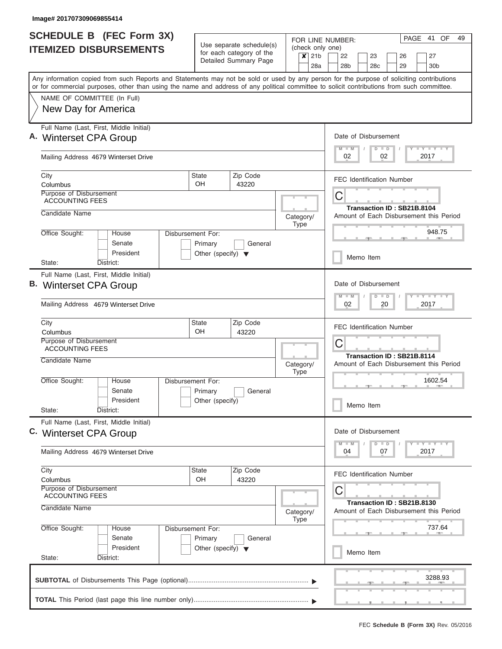| <b>SCHEDULE B (FEC Form 3X)</b>                                                                                                                                                                                                                                                         |                                      |                                                                                                       |  |                          |                 | FOR LINE NUMBER:                |  |                 |    |                                                                       | PAGE | 41 OF              | 49 |
|-----------------------------------------------------------------------------------------------------------------------------------------------------------------------------------------------------------------------------------------------------------------------------------------|--------------------------------------|-------------------------------------------------------------------------------------------------------|--|--------------------------|-----------------|---------------------------------|--|-----------------|----|-----------------------------------------------------------------------|------|--------------------|----|
| <b>ITEMIZED DISBURSEMENTS</b>                                                                                                                                                                                                                                                           |                                      | Use separate schedule(s)<br>(check only one)<br>for each category of the<br>$\boldsymbol{\mathsf{x}}$ |  |                          | 21 <sub>b</sub> | 22<br>23<br>26<br>27            |  |                 |    |                                                                       |      |                    |    |
|                                                                                                                                                                                                                                                                                         |                                      | Detailed Summary Page                                                                                 |  |                          | 28a             | 28b                             |  | 28 <sub>c</sub> |    | 29                                                                    |      | 30 <sub>b</sub>    |    |
| Any information copied from such Reports and Statements may not be sold or used by any person for the purpose of soliciting contributions<br>or for commercial purposes, other than using the name and address of any political committee to solicit contributions from such committee. |                                      |                                                                                                       |  |                          |                 |                                 |  |                 |    |                                                                       |      |                    |    |
| NAME OF COMMITTEE (In Full)                                                                                                                                                                                                                                                             |                                      |                                                                                                       |  |                          |                 |                                 |  |                 |    |                                                                       |      |                    |    |
| New Day for America                                                                                                                                                                                                                                                                     |                                      |                                                                                                       |  |                          |                 |                                 |  |                 |    |                                                                       |      |                    |    |
| Full Name (Last, First, Middle Initial)<br>A. Winterset CPA Group                                                                                                                                                                                                                       |                                      |                                                                                                       |  |                          |                 | Date of Disbursement<br>$M$ $M$ |  | $D$ $D$         |    |                                                                       |      | Y L Y L Y L Y      |    |
| Mailing Address 4679 Winterset Drive                                                                                                                                                                                                                                                    |                                      |                                                                                                       |  |                          |                 | 02                              |  |                 | 02 |                                                                       |      | 2017               |    |
| City<br>Columbus                                                                                                                                                                                                                                                                        | <b>State</b><br><b>OH</b>            | Zip Code<br>43220                                                                                     |  |                          |                 |                                 |  |                 |    | <b>FEC Identification Number</b>                                      |      |                    |    |
| Purpose of Disbursement<br><b>ACCOUNTING FEES</b>                                                                                                                                                                                                                                       |                                      |                                                                                                       |  |                          |                 | C                               |  |                 |    |                                                                       |      |                    |    |
| Candidate Name                                                                                                                                                                                                                                                                          |                                      |                                                                                                       |  | Category/<br><b>Type</b> |                 |                                 |  |                 |    | Transaction ID: SB21B.8104<br>Amount of Each Disbursement this Period |      |                    |    |
| Office Sought:<br>House<br>Senate                                                                                                                                                                                                                                                       | Disbursement For:<br>Primary         | General                                                                                               |  |                          |                 |                                 |  |                 |    |                                                                       |      | 948.75             |    |
| President<br>District:<br>State:                                                                                                                                                                                                                                                        | Other (specify) $\blacktriangledown$ |                                                                                                       |  |                          |                 |                                 |  | Memo Item       |    |                                                                       |      |                    |    |
| Full Name (Last, First, Middle Initial)                                                                                                                                                                                                                                                 |                                      |                                                                                                       |  |                          |                 |                                 |  |                 |    |                                                                       |      |                    |    |
| B. Winterset CPA Group                                                                                                                                                                                                                                                                  |                                      |                                                                                                       |  |                          |                 | Date of Disbursement            |  |                 |    |                                                                       |      | Y FY FY FY         |    |
| Mailing Address 4679 Winterset Drive                                                                                                                                                                                                                                                    |                                      |                                                                                                       |  |                          |                 | $M - M$<br>02                   |  | $D$ $D$         | 20 |                                                                       |      | 2017               |    |
| City<br>Columbus                                                                                                                                                                                                                                                                        | <b>State</b><br>OH.                  | Zip Code<br>43220                                                                                     |  |                          |                 |                                 |  |                 |    | <b>FEC Identification Number</b>                                      |      |                    |    |
| Purpose of Disbursement<br><b>ACCOUNTING FEES</b>                                                                                                                                                                                                                                       |                                      |                                                                                                       |  |                          |                 | C                               |  |                 |    |                                                                       |      |                    |    |
| Candidate Name                                                                                                                                                                                                                                                                          |                                      |                                                                                                       |  | Category/<br><b>Type</b> |                 |                                 |  |                 |    | Transaction ID: SB21B.8114<br>Amount of Each Disbursement this Period |      |                    |    |
| Office Sought:<br>House<br>Senate                                                                                                                                                                                                                                                       | Disbursement For:<br>Primary         | General                                                                                               |  |                          |                 |                                 |  |                 |    |                                                                       |      | 1602.54            |    |
| President<br>State:<br>District:                                                                                                                                                                                                                                                        | Other (specify)                      |                                                                                                       |  |                          |                 |                                 |  | Memo Item       |    |                                                                       |      |                    |    |
| Full Name (Last, First, Middle Initial)<br>C. Winterset CPA Group                                                                                                                                                                                                                       |                                      |                                                                                                       |  |                          |                 | Date of Disbursement            |  |                 |    |                                                                       |      |                    |    |
| Mailing Address 4679 Winterset Drive                                                                                                                                                                                                                                                    |                                      |                                                                                                       |  |                          |                 | $M$ $M$<br>04                   |  | $D$ $D$         | 07 |                                                                       |      | Y TY TY TY<br>2017 |    |
| City<br>Columbus                                                                                                                                                                                                                                                                        | State<br>OH                          | Zip Code<br>43220                                                                                     |  |                          |                 |                                 |  |                 |    | <b>FEC Identification Number</b>                                      |      |                    |    |
| Purpose of Disbursement<br><b>ACCOUNTING FEES</b>                                                                                                                                                                                                                                       |                                      |                                                                                                       |  |                          |                 | С                               |  |                 |    |                                                                       |      |                    |    |
| Candidate Name                                                                                                                                                                                                                                                                          |                                      |                                                                                                       |  | Category/<br><b>Type</b> |                 |                                 |  |                 |    | Transaction ID: SB21B.8130<br>Amount of Each Disbursement this Period |      |                    |    |
| Office Sought:<br>House<br>Senate                                                                                                                                                                                                                                                       | Disbursement For:<br>Primary         | General                                                                                               |  |                          |                 |                                 |  |                 |    |                                                                       |      | 737.64             |    |
| President<br>State:<br>District:                                                                                                                                                                                                                                                        | Other (specify) $\blacktriangledown$ |                                                                                                       |  |                          |                 |                                 |  | Memo Item       |    |                                                                       |      |                    |    |
|                                                                                                                                                                                                                                                                                         |                                      |                                                                                                       |  |                          |                 |                                 |  |                 |    |                                                                       |      |                    |    |
|                                                                                                                                                                                                                                                                                         |                                      |                                                                                                       |  |                          |                 |                                 |  |                 |    |                                                                       |      | 3288.93            |    |
|                                                                                                                                                                                                                                                                                         |                                      |                                                                                                       |  |                          |                 |                                 |  |                 |    |                                                                       |      |                    |    |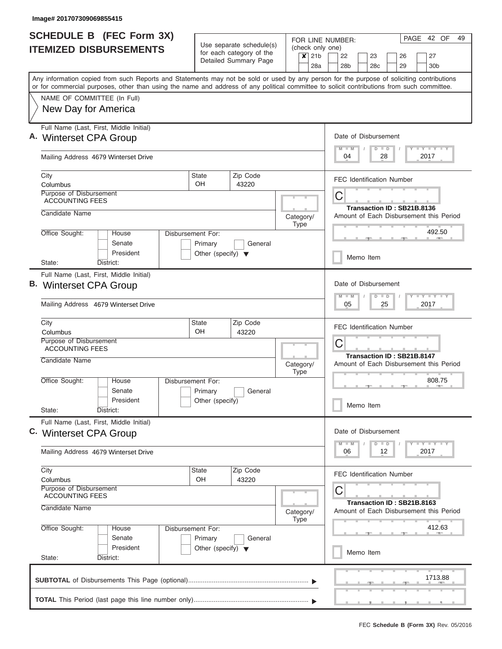| <b>SCHEDULE B (FEC Form 3X)</b>                                                                                                                                                                                                                                                         |                                                                      |                                                                                   |  |                          |                                                             | FOR LINE NUMBER:                             |  |                            |    |    | PAGE | 42 OF              | 49 |
|-----------------------------------------------------------------------------------------------------------------------------------------------------------------------------------------------------------------------------------------------------------------------------------------|----------------------------------------------------------------------|-----------------------------------------------------------------------------------|--|--------------------------|-------------------------------------------------------------|----------------------------------------------|--|----------------------------|----|----|------|--------------------|----|
| <b>ITEMIZED DISBURSEMENTS</b>                                                                                                                                                                                                                                                           |                                                                      | Use separate schedule(s)<br>for each category of the<br>$\boldsymbol{\mathsf{x}}$ |  |                          | (check only one)<br>21 <sub>b</sub><br>22<br>23<br>26<br>27 |                                              |  |                            |    |    |      |                    |    |
|                                                                                                                                                                                                                                                                                         |                                                                      | Detailed Summary Page                                                             |  |                          | 28a                                                         | 28b                                          |  | 28 <sub>c</sub>            |    | 29 |      | 30 <sub>b</sub>    |    |
| Any information copied from such Reports and Statements may not be sold or used by any person for the purpose of soliciting contributions<br>or for commercial purposes, other than using the name and address of any political committee to solicit contributions from such committee. |                                                                      |                                                                                   |  |                          |                                                             |                                              |  |                            |    |    |      |                    |    |
| NAME OF COMMITTEE (In Full)                                                                                                                                                                                                                                                             |                                                                      |                                                                                   |  |                          |                                                             |                                              |  |                            |    |    |      |                    |    |
| New Day for America                                                                                                                                                                                                                                                                     |                                                                      |                                                                                   |  |                          |                                                             |                                              |  |                            |    |    |      |                    |    |
| Full Name (Last, First, Middle Initial)<br>A. Winterset CPA Group                                                                                                                                                                                                                       |                                                                      |                                                                                   |  |                          |                                                             | Date of Disbursement<br>$M$ $M$              |  | $D$ $D$                    |    |    |      | Y L Y L Y L Y      |    |
| Mailing Address 4679 Winterset Drive                                                                                                                                                                                                                                                    |                                                                      |                                                                                   |  |                          |                                                             | 04                                           |  |                            | 28 |    |      | 2017               |    |
| City<br>Columbus                                                                                                                                                                                                                                                                        | <b>State</b><br><b>OH</b>                                            | Zip Code<br>43220                                                                 |  |                          |                                                             | <b>FEC Identification Number</b>             |  |                            |    |    |      |                    |    |
| Purpose of Disbursement<br><b>ACCOUNTING FEES</b>                                                                                                                                                                                                                                       |                                                                      |                                                                                   |  |                          |                                                             | C                                            |  | Transaction ID: SB21B.8136 |    |    |      |                    |    |
| Candidate Name                                                                                                                                                                                                                                                                          |                                                                      |                                                                                   |  | Category/<br><b>Type</b> |                                                             | Amount of Each Disbursement this Period      |  |                            |    |    |      |                    |    |
| Office Sought:<br>House<br>Senate<br>President                                                                                                                                                                                                                                          | Disbursement For:<br>Primary<br>Other (specify) $\blacktriangledown$ | General                                                                           |  |                          |                                                             |                                              |  |                            |    |    |      | 492.50             |    |
| District:<br>State:                                                                                                                                                                                                                                                                     |                                                                      |                                                                                   |  |                          |                                                             |                                              |  | Memo Item                  |    |    |      |                    |    |
| Full Name (Last, First, Middle Initial)<br>B. Winterset CPA Group<br>Mailing Address 4679 Winterset Drive                                                                                                                                                                               |                                                                      |                                                                                   |  |                          |                                                             | Date of Disbursement<br>$M - M$<br>05        |  | $D$ $D$                    | 25 |    |      | Y FY FY FY<br>2017 |    |
| City<br>Columbus                                                                                                                                                                                                                                                                        | <b>State</b><br>OH.                                                  | Zip Code<br>43220                                                                 |  |                          |                                                             | <b>FEC Identification Number</b>             |  |                            |    |    |      |                    |    |
| Purpose of Disbursement<br><b>ACCOUNTING FEES</b>                                                                                                                                                                                                                                       |                                                                      |                                                                                   |  |                          |                                                             | C                                            |  | Transaction ID: SB21B.8147 |    |    |      |                    |    |
| Candidate Name                                                                                                                                                                                                                                                                          |                                                                      |                                                                                   |  | Category/<br><b>Type</b> |                                                             | Amount of Each Disbursement this Period      |  |                            |    |    |      |                    |    |
| Office Sought:<br>House<br>Senate                                                                                                                                                                                                                                                       | Disbursement For:<br>Primary                                         | General                                                                           |  |                          |                                                             |                                              |  |                            |    |    |      | 808.75             |    |
| President<br>State:<br>District:                                                                                                                                                                                                                                                        | Other (specify)                                                      |                                                                                   |  |                          |                                                             |                                              |  | Memo Item                  |    |    |      |                    |    |
| Full Name (Last, First, Middle Initial)<br>C. Winterset CPA Group                                                                                                                                                                                                                       |                                                                      |                                                                                   |  |                          |                                                             | Date of Disbursement<br>$M$ $M$              |  | $D$ $D$                    |    |    |      | Y TY TY TY         |    |
| Mailing Address 4679 Winterset Drive                                                                                                                                                                                                                                                    |                                                                      |                                                                                   |  |                          |                                                             | 06                                           |  |                            | 12 |    |      | 2017               |    |
| City<br>Columbus                                                                                                                                                                                                                                                                        | State<br>OH                                                          | Zip Code<br>43220                                                                 |  |                          |                                                             | <b>FEC Identification Number</b>             |  |                            |    |    |      |                    |    |
| Purpose of Disbursement<br><b>ACCOUNTING FEES</b><br>Candidate Name                                                                                                                                                                                                                     |                                                                      |                                                                                   |  | Category/<br><b>Type</b> |                                                             | С<br>Amount of Each Disbursement this Period |  | Transaction ID: SB21B.8163 |    |    |      |                    |    |
| Office Sought:<br>House<br>Senate                                                                                                                                                                                                                                                       | Disbursement For:<br>Primary                                         | General                                                                           |  |                          |                                                             |                                              |  |                            |    |    |      | 412.63             |    |
| President<br>State:<br>District:                                                                                                                                                                                                                                                        | Other (specify) $\blacktriangledown$                                 |                                                                                   |  |                          |                                                             |                                              |  | Memo Item                  |    |    |      |                    |    |
|                                                                                                                                                                                                                                                                                         |                                                                      |                                                                                   |  |                          |                                                             |                                              |  |                            |    |    |      | 1713.88            |    |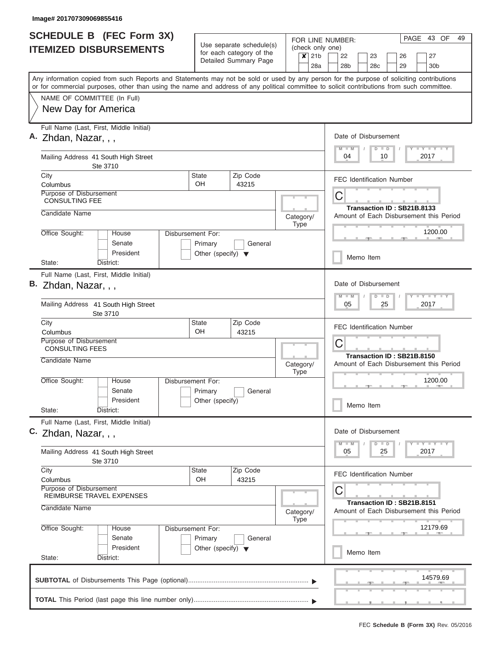| <b>SCHEDULE B (FEC Form 3X)</b>                                                                                                                                                                                                                                                         |                                      | Use separate schedule(s)                          |                          | (check only one) | FOR LINE NUMBER:                                                      | PAGE<br>43 OF<br>49   |
|-----------------------------------------------------------------------------------------------------------------------------------------------------------------------------------------------------------------------------------------------------------------------------------------|--------------------------------------|---------------------------------------------------|--------------------------|------------------|-----------------------------------------------------------------------|-----------------------|
| <b>ITEMIZED DISBURSEMENTS</b>                                                                                                                                                                                                                                                           |                                      | for each category of the<br>Detailed Summary Page |                          |                  | 22<br>23<br>26<br>28 <sub>b</sub><br>29<br>28 <sub>c</sub>            | 27<br>30 <sub>b</sub> |
| Any information copied from such Reports and Statements may not be sold or used by any person for the purpose of soliciting contributions<br>or for commercial purposes, other than using the name and address of any political committee to solicit contributions from such committee. |                                      |                                                   |                          |                  |                                                                       |                       |
| NAME OF COMMITTEE (In Full)                                                                                                                                                                                                                                                             |                                      |                                                   |                          |                  |                                                                       |                       |
| New Day for America                                                                                                                                                                                                                                                                     |                                      |                                                   |                          |                  |                                                                       |                       |
| Full Name (Last, First, Middle Initial)<br>A. Zhdan, Nazar, , ,                                                                                                                                                                                                                         |                                      |                                                   |                          |                  | Date of Disbursement<br>$M$ $M$<br>$D$ $D$                            | Y FY FY FY            |
| Mailing Address 41 South High Street<br>Ste 3710                                                                                                                                                                                                                                        |                                      |                                                   |                          |                  | 04<br>10                                                              | 2017                  |
| City<br>Columbus                                                                                                                                                                                                                                                                        | <b>State</b><br>OH.                  | Zip Code<br>43215                                 |                          |                  | FEC Identification Number                                             |                       |
| Purpose of Disbursement<br><b>CONSULTING FEE</b>                                                                                                                                                                                                                                        |                                      |                                                   |                          |                  | C                                                                     |                       |
| Candidate Name                                                                                                                                                                                                                                                                          |                                      |                                                   | Category/                |                  | Transaction ID: SB21B.8133<br>Amount of Each Disbursement this Period |                       |
| Office Sought:<br>House<br>Senate                                                                                                                                                                                                                                                       | Disbursement For:<br>Primary         | General                                           | Type                     |                  |                                                                       | 1200.00               |
| President<br>District:<br>State:                                                                                                                                                                                                                                                        | Other (specify) $\blacktriangledown$ |                                                   |                          |                  | Memo Item                                                             |                       |
| Full Name (Last, First, Middle Initial)                                                                                                                                                                                                                                                 |                                      |                                                   |                          |                  |                                                                       |                       |
| B. Zhdan, Nazar, , ,                                                                                                                                                                                                                                                                    |                                      |                                                   |                          |                  | Date of Disbursement<br>$M - M$<br>$D$ $D$                            | Y FY FY FY            |
| Mailing Address 41 South High Street<br>Ste 3710                                                                                                                                                                                                                                        |                                      |                                                   |                          |                  | 05<br>25                                                              | 2017                  |
| City<br>Columbus                                                                                                                                                                                                                                                                        | <b>State</b><br>OH                   | Zip Code<br>43215                                 |                          |                  | <b>FEC Identification Number</b>                                      |                       |
| Purpose of Disbursement<br><b>CONSULTING FEES</b>                                                                                                                                                                                                                                       |                                      |                                                   |                          |                  | C                                                                     |                       |
| Candidate Name                                                                                                                                                                                                                                                                          |                                      |                                                   | Category/<br><b>Type</b> |                  | Transaction ID: SB21B.8150<br>Amount of Each Disbursement this Period |                       |
| Office Sought:<br>House<br>Senate                                                                                                                                                                                                                                                       | Disbursement For:<br>Primary         | General                                           |                          |                  |                                                                       | 1200.00               |
| President<br>State:<br>District:                                                                                                                                                                                                                                                        | Other (specify)                      |                                                   |                          |                  | Memo Item                                                             |                       |
| Full Name (Last, First, Middle Initial)<br>C. Zhdan, Nazar, , ,                                                                                                                                                                                                                         |                                      |                                                   |                          |                  | Date of Disbursement                                                  |                       |
| Mailing Address 41 South High Street<br>Ste 3710                                                                                                                                                                                                                                        |                                      |                                                   |                          |                  | $M - M$<br>$D$ $D$<br>05<br>25                                        | Y FY FY FY<br>2017    |
| City<br>Columbus                                                                                                                                                                                                                                                                        | <b>State</b><br>OН                   | Zip Code<br>43215                                 |                          |                  | <b>FEC Identification Number</b>                                      |                       |
| Purpose of Disbursement<br>REIMBURSE TRAVEL EXPENSES                                                                                                                                                                                                                                    |                                      |                                                   |                          |                  | C                                                                     |                       |
| Candidate Name                                                                                                                                                                                                                                                                          |                                      |                                                   | Category/<br>Type        |                  | Transaction ID: SB21B.8151<br>Amount of Each Disbursement this Period |                       |
| Office Sought:<br>House<br>Senate                                                                                                                                                                                                                                                       | Disbursement For:<br>Primary         | General                                           |                          |                  |                                                                       | 12179.69              |
| President<br>State:<br>District:                                                                                                                                                                                                                                                        | Other (specify) $\blacktriangledown$ |                                                   |                          |                  | Memo Item                                                             |                       |
|                                                                                                                                                                                                                                                                                         |                                      |                                                   |                          |                  |                                                                       | 14579.69              |
|                                                                                                                                                                                                                                                                                         |                                      |                                                   |                          |                  |                                                                       |                       |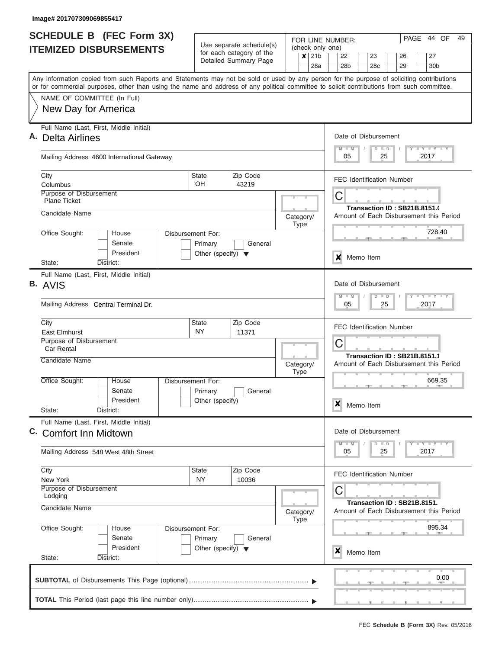| <b>SCHEDULE B</b> (FEC Form 3X)                                                                                                                                                                                                                                                         |                                                                      | Use separate schedule(s)                          |                                                                       | 44 OF<br>49<br>PAGE<br>FOR LINE NUMBER:                                 |  |  |  |  |  |  |
|-----------------------------------------------------------------------------------------------------------------------------------------------------------------------------------------------------------------------------------------------------------------------------------------|----------------------------------------------------------------------|---------------------------------------------------|-----------------------------------------------------------------------|-------------------------------------------------------------------------|--|--|--|--|--|--|
| <b>ITEMIZED DISBURSEMENTS</b>                                                                                                                                                                                                                                                           |                                                                      | for each category of the<br>Detailed Summary Page | (check only one)<br>$\overline{\mathbf{x}}$<br>21 <sub>b</sub><br>28a | 22<br>27<br>23<br>26<br>28 <sub>b</sub><br>30 <sub>b</sub><br>28c<br>29 |  |  |  |  |  |  |
| Any information copied from such Reports and Statements may not be sold or used by any person for the purpose of soliciting contributions<br>or for commercial purposes, other than using the name and address of any political committee to solicit contributions from such committee. |                                                                      |                                                   |                                                                       |                                                                         |  |  |  |  |  |  |
| NAME OF COMMITTEE (In Full)                                                                                                                                                                                                                                                             |                                                                      |                                                   |                                                                       |                                                                         |  |  |  |  |  |  |
| New Day for America                                                                                                                                                                                                                                                                     |                                                                      |                                                   |                                                                       |                                                                         |  |  |  |  |  |  |
| Full Name (Last, First, Middle Initial)<br><b>Delta Airlines</b>                                                                                                                                                                                                                        |                                                                      |                                                   |                                                                       | Date of Disbursement                                                    |  |  |  |  |  |  |
| Mailing Address 4600 International Gateway                                                                                                                                                                                                                                              |                                                                      |                                                   |                                                                       | Y FY FY FY<br>$M - M$<br>$D$ $D$<br>2017<br>05<br>25                    |  |  |  |  |  |  |
| City<br>Columbus                                                                                                                                                                                                                                                                        | <b>State</b><br>OH                                                   | Zip Code<br>43219                                 |                                                                       | <b>FEC Identification Number</b>                                        |  |  |  |  |  |  |
| Purpose of Disbursement<br><b>Plane Ticket</b>                                                                                                                                                                                                                                          |                                                                      |                                                   |                                                                       | C                                                                       |  |  |  |  |  |  |
| Candidate Name                                                                                                                                                                                                                                                                          |                                                                      |                                                   | Category/<br><b>Type</b>                                              | Transaction ID: SB21B.8151.<br>Amount of Each Disbursement this Period  |  |  |  |  |  |  |
| Office Sought:<br>House<br>Senate<br>President                                                                                                                                                                                                                                          | Disbursement For:<br>Primary<br>Other (specify) $\blacktriangledown$ | General                                           |                                                                       | 728.40                                                                  |  |  |  |  |  |  |
| State:<br>District:                                                                                                                                                                                                                                                                     |                                                                      |                                                   |                                                                       | ×<br>Memo Item                                                          |  |  |  |  |  |  |
| Full Name (Last, First, Middle Initial)<br>B. AVIS                                                                                                                                                                                                                                      |                                                                      |                                                   |                                                                       | Date of Disbursement<br>Y FY FY FY                                      |  |  |  |  |  |  |
| Mailing Address Central Terminal Dr.                                                                                                                                                                                                                                                    |                                                                      |                                                   |                                                                       | $M - M$<br>$D$ $D$<br>2017<br>05<br>25                                  |  |  |  |  |  |  |
| City<br>East Elmhurst                                                                                                                                                                                                                                                                   | State<br><b>NY</b>                                                   | Zip Code<br>11371                                 |                                                                       | <b>FEC Identification Number</b>                                        |  |  |  |  |  |  |
| Purpose of Disbursement<br><b>Car Rental</b>                                                                                                                                                                                                                                            |                                                                      |                                                   |                                                                       | C                                                                       |  |  |  |  |  |  |
| Candidate Name                                                                                                                                                                                                                                                                          |                                                                      |                                                   | Category/<br><b>Type</b>                                              | Transaction ID: SB21B.8151.1<br>Amount of Each Disbursement this Period |  |  |  |  |  |  |
| Office Sought:<br>House<br>Senate<br>President                                                                                                                                                                                                                                          | Disbursement For:<br>Primary<br>Other (specify)                      | General                                           |                                                                       | 669.35<br>$\boldsymbol{x}$<br>Memo Item                                 |  |  |  |  |  |  |
| State:<br>District:                                                                                                                                                                                                                                                                     |                                                                      |                                                   |                                                                       |                                                                         |  |  |  |  |  |  |
| Full Name (Last, First, Middle Initial)<br>C. Comfort Inn Midtown                                                                                                                                                                                                                       |                                                                      |                                                   |                                                                       | Date of Disbursement                                                    |  |  |  |  |  |  |
| Mailing Address 548 West 48th Street                                                                                                                                                                                                                                                    |                                                                      |                                                   |                                                                       | Y LY LY LY<br>$M - M$<br>$D$ $D$<br>2017<br>05<br>25                    |  |  |  |  |  |  |
| City<br>New York                                                                                                                                                                                                                                                                        | State<br>NY.                                                         | Zip Code<br>10036                                 |                                                                       | <b>FEC Identification Number</b>                                        |  |  |  |  |  |  |
| Purpose of Disbursement<br>Lodging                                                                                                                                                                                                                                                      |                                                                      |                                                   |                                                                       | C                                                                       |  |  |  |  |  |  |
| Candidate Name                                                                                                                                                                                                                                                                          |                                                                      |                                                   | Category/<br><b>Type</b>                                              | Transaction ID: SB21B.8151.<br>Amount of Each Disbursement this Period  |  |  |  |  |  |  |
| Office Sought:<br>House<br>Senate                                                                                                                                                                                                                                                       | Disbursement For:<br>Primary                                         | General                                           |                                                                       | 895.34                                                                  |  |  |  |  |  |  |
| President<br>State:<br>District:                                                                                                                                                                                                                                                        | Other (specify) $\blacktriangledown$                                 |                                                   |                                                                       | X<br>Memo Item                                                          |  |  |  |  |  |  |
|                                                                                                                                                                                                                                                                                         |                                                                      |                                                   |                                                                       | 0.00                                                                    |  |  |  |  |  |  |
|                                                                                                                                                                                                                                                                                         |                                                                      |                                                   |                                                                       |                                                                         |  |  |  |  |  |  |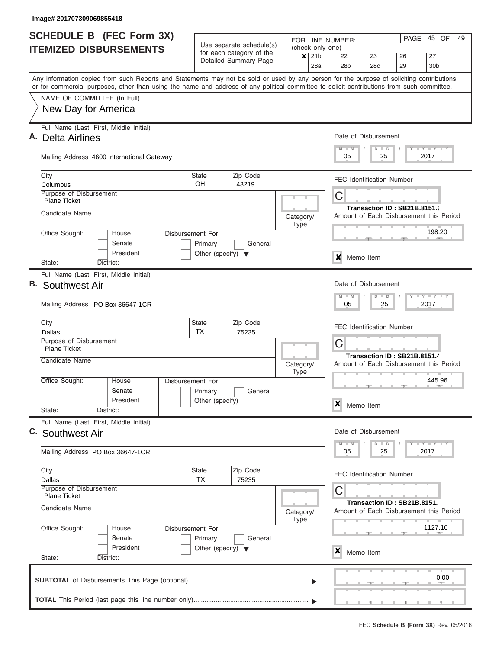| <b>SCHEDULE B (FEC Form 3X)</b><br>Use separate schedule(s)                                                                                |                                      |                                                   |                          |                                                                  | PAGE 45 OF<br>49<br>FOR LINE NUMBER: |           |               |                                         |      |                             |  |
|--------------------------------------------------------------------------------------------------------------------------------------------|--------------------------------------|---------------------------------------------------|--------------------------|------------------------------------------------------------------|--------------------------------------|-----------|---------------|-----------------------------------------|------|-----------------------------|--|
| <b>ITEMIZED DISBURSEMENTS</b>                                                                                                              |                                      | for each category of the<br>Detailed Summary Page |                          | (check only one)<br>21 <sub>b</sub><br>$\boldsymbol{\mathsf{x}}$ | 22<br>27<br>23<br>26<br>28c          |           |               |                                         |      |                             |  |
| Any information copied from such Reports and Statements may not be sold or used by any person for the purpose of soliciting contributions  |                                      |                                                   |                          | 28a                                                              | 28b                                  |           |               | 29                                      |      | 30b                         |  |
| or for commercial purposes, other than using the name and address of any political committee to solicit contributions from such committee. |                                      |                                                   |                          |                                                                  |                                      |           |               |                                         |      |                             |  |
| NAME OF COMMITTEE (In Full)<br>New Day for America                                                                                         |                                      |                                                   |                          |                                                                  |                                      |           |               |                                         |      |                             |  |
|                                                                                                                                            |                                      |                                                   |                          |                                                                  |                                      |           |               |                                         |      |                             |  |
| Full Name (Last, First, Middle Initial)<br>Α.                                                                                              |                                      |                                                   |                          |                                                                  | Date of Disbursement                 |           |               |                                         |      |                             |  |
| Delta Airlines                                                                                                                             |                                      |                                                   |                          |                                                                  | $M$ $M$                              |           | $D$ $D$       |                                         |      | Y FY FY FY                  |  |
| Mailing Address 4600 International Gateway                                                                                                 |                                      |                                                   |                          |                                                                  | 05                                   |           | 25            |                                         | 2017 |                             |  |
| City                                                                                                                                       | <b>State</b><br><b>OH</b>            | Zip Code                                          |                          |                                                                  |                                      |           |               | <b>FEC Identification Number</b>        |      |                             |  |
| Columbus<br>Purpose of Disbursement                                                                                                        |                                      | 43219                                             |                          |                                                                  | С                                    |           |               |                                         |      |                             |  |
| <b>Plane Ticket</b>                                                                                                                        |                                      |                                                   |                          |                                                                  |                                      |           |               | Transaction ID: SB21B.8151.             |      |                             |  |
| Candidate Name                                                                                                                             |                                      |                                                   | Category/                |                                                                  |                                      |           |               | Amount of Each Disbursement this Period |      |                             |  |
| Office Sought:<br>House                                                                                                                    | Disbursement For:                    |                                                   | <b>Type</b>              |                                                                  |                                      |           |               |                                         |      | 198.20                      |  |
| Senate                                                                                                                                     | Primary                              | General                                           |                          |                                                                  |                                      |           |               |                                         |      |                             |  |
| President<br>District:<br>State:                                                                                                           | Other (specify) $\blacktriangledown$ |                                                   |                          |                                                                  | x                                    | Memo Item |               |                                         |      |                             |  |
| Full Name (Last, First, Middle Initial)                                                                                                    |                                      |                                                   |                          |                                                                  |                                      |           |               |                                         |      |                             |  |
| В.<br>Southwest Air                                                                                                                        |                                      |                                                   |                          |                                                                  | Date of Disbursement                 |           |               |                                         |      |                             |  |
| Mailing Address PO Box 36647-1CR                                                                                                           |                                      |                                                   |                          |                                                                  | $M - M$<br>05                        |           | $D$ $D$<br>25 |                                         |      | $T$ $Y$ $T$ $Y$ $T$<br>2017 |  |
|                                                                                                                                            |                                      |                                                   |                          |                                                                  |                                      |           |               |                                         |      |                             |  |
| City                                                                                                                                       | State<br><b>TX</b>                   | Zip Code                                          |                          |                                                                  |                                      |           |               | <b>FEC Identification Number</b>        |      |                             |  |
| Dallas<br>Purpose of Disbursement                                                                                                          |                                      | 75235                                             |                          |                                                                  | С                                    |           |               |                                         |      |                             |  |
| <b>Plane Ticket</b>                                                                                                                        |                                      |                                                   |                          |                                                                  |                                      |           |               | Transaction ID: SB21B.8151.4            |      |                             |  |
| Candidate Name                                                                                                                             |                                      |                                                   | Category/<br><b>Type</b> |                                                                  |                                      |           |               | Amount of Each Disbursement this Period |      |                             |  |
| Office Sought:<br>House                                                                                                                    | Disbursement For:                    |                                                   |                          |                                                                  |                                      |           |               |                                         |      | 445.96<br><b>AND</b>        |  |
| Senate                                                                                                                                     | Primary                              | General                                           |                          |                                                                  |                                      |           |               | $-1$                                    |      |                             |  |
| President<br>District:<br>State:                                                                                                           | Other (specify)                      |                                                   |                          |                                                                  | ×                                    | Memo Item |               |                                         |      |                             |  |
| Full Name (Last, First, Middle Initial)                                                                                                    |                                      |                                                   |                          |                                                                  |                                      |           |               |                                         |      |                             |  |
| C. Southwest Air                                                                                                                           |                                      |                                                   |                          |                                                                  | Date of Disbursement                 |           |               |                                         |      |                             |  |
| Mailing Address PO Box 36647-1CR                                                                                                           |                                      |                                                   |                          |                                                                  | $M - M$<br>05                        |           | $D$ $D$<br>25 |                                         | 2017 | <b>LY LY LY</b>             |  |
| City                                                                                                                                       | State                                | Zip Code                                          |                          |                                                                  |                                      |           |               | <b>FEC Identification Number</b>        |      |                             |  |
| Dallas<br>Purpose of Disbursement                                                                                                          | <b>TX</b>                            | 75235                                             |                          |                                                                  | С                                    |           |               |                                         |      |                             |  |
| <b>Plane Ticket</b>                                                                                                                        |                                      |                                                   |                          |                                                                  |                                      |           |               | Transaction ID: SB21B.8151.             |      |                             |  |
| Candidate Name                                                                                                                             |                                      |                                                   | Category/<br><b>Type</b> |                                                                  |                                      |           |               | Amount of Each Disbursement this Period |      |                             |  |
| Office Sought:<br>House                                                                                                                    | Disbursement For:                    |                                                   |                          |                                                                  |                                      |           |               |                                         |      | 1127.16                     |  |
| Senate                                                                                                                                     | Primary                              | General                                           |                          |                                                                  |                                      |           |               |                                         |      |                             |  |
| President<br>State:<br>District:                                                                                                           | Other (specify) $\blacktriangledown$ |                                                   |                          |                                                                  | x                                    | Memo Item |               |                                         |      |                             |  |
|                                                                                                                                            |                                      |                                                   |                          |                                                                  |                                      |           |               |                                         |      |                             |  |
|                                                                                                                                            |                                      |                                                   |                          |                                                                  |                                      |           |               |                                         |      | 0.00                        |  |
|                                                                                                                                            |                                      |                                                   |                          |                                                                  |                                      |           |               |                                         |      |                             |  |
|                                                                                                                                            |                                      |                                                   |                          |                                                                  |                                      |           |               | والمستقصد المستقصد المستقصد             |      |                             |  |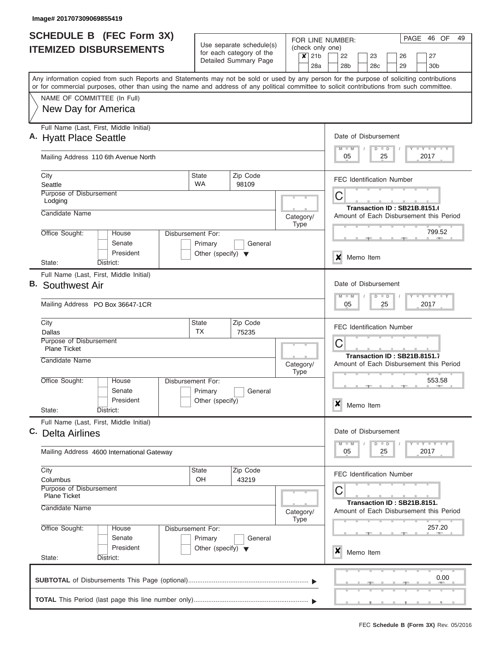|      | <b>SCHEDULE B</b> (FEC Form 3X)                                                                                                                                                                                                                                                         |                                                 |                                                      |                             |             |     |  | FOR LINE NUMBER:     |           |    |               |    |                                  | PAGE | 46 OF                                                                         |      | 49 |  |  |  |  |  |
|------|-----------------------------------------------------------------------------------------------------------------------------------------------------------------------------------------------------------------------------------------------------------------------------------------|-------------------------------------------------|------------------------------------------------------|-----------------------------|-------------|-----|--|----------------------|-----------|----|---------------|----|----------------------------------|------|-------------------------------------------------------------------------------|------|----|--|--|--|--|--|
|      | <b>ITEMIZED DISBURSEMENTS</b>                                                                                                                                                                                                                                                           |                                                 | Use separate schedule(s)<br>for each category of the | (check only one)            |             |     |  |                      |           |    |               |    |                                  |      |                                                                               |      |    |  |  |  |  |  |
|      |                                                                                                                                                                                                                                                                                         |                                                 | Detailed Summary Page                                | $\overline{\mathsf{x}}$ 21b |             |     |  | 22                   |           | 23 |               |    | 26                               |      | 27                                                                            |      |    |  |  |  |  |  |
|      |                                                                                                                                                                                                                                                                                         |                                                 |                                                      |                             |             | 28a |  | 28 <sub>b</sub>      |           |    | 28c           |    | 29                               |      | 30 <sub>b</sub>                                                               |      |    |  |  |  |  |  |
|      | Any information copied from such Reports and Statements may not be sold or used by any person for the purpose of soliciting contributions<br>or for commercial purposes, other than using the name and address of any political committee to solicit contributions from such committee. |                                                 |                                                      |                             |             |     |  |                      |           |    |               |    |                                  |      |                                                                               |      |    |  |  |  |  |  |
|      | NAME OF COMMITTEE (In Full)                                                                                                                                                                                                                                                             |                                                 |                                                      |                             |             |     |  |                      |           |    |               |    |                                  |      |                                                                               |      |    |  |  |  |  |  |
|      | New Day for America                                                                                                                                                                                                                                                                     |                                                 |                                                      |                             |             |     |  |                      |           |    |               |    |                                  |      |                                                                               |      |    |  |  |  |  |  |
|      |                                                                                                                                                                                                                                                                                         |                                                 |                                                      |                             |             |     |  |                      |           |    |               |    |                                  |      |                                                                               |      |    |  |  |  |  |  |
|      | Full Name (Last, First, Middle Initial)                                                                                                                                                                                                                                                 |                                                 |                                                      |                             |             |     |  |                      |           |    |               |    |                                  |      |                                                                               |      |    |  |  |  |  |  |
|      | A. Hyatt Place Seattle                                                                                                                                                                                                                                                                  |                                                 |                                                      |                             |             |     |  | Date of Disbursement |           |    |               |    |                                  |      |                                                                               |      |    |  |  |  |  |  |
|      | Mailing Address 110 6th Avenue North                                                                                                                                                                                                                                                    |                                                 |                                                      |                             |             |     |  | $M$ $M$<br>05        |           |    | $D$ $D$<br>25 |    |                                  |      | Y L Y L Y L Y<br>2017                                                         |      |    |  |  |  |  |  |
|      |                                                                                                                                                                                                                                                                                         |                                                 |                                                      |                             |             |     |  |                      |           |    |               |    |                                  |      |                                                                               |      |    |  |  |  |  |  |
| City | Seattle                                                                                                                                                                                                                                                                                 | <b>State</b><br><b>WA</b>                       | Zip Code<br>98109                                    |                             |             |     |  |                      |           |    |               |    | <b>FEC Identification Number</b> |      |                                                                               |      |    |  |  |  |  |  |
|      | Purpose of Disbursement                                                                                                                                                                                                                                                                 |                                                 |                                                      |                             |             |     |  | С                    |           |    |               |    |                                  |      |                                                                               |      |    |  |  |  |  |  |
|      | Lodging                                                                                                                                                                                                                                                                                 |                                                 |                                                      |                             |             |     |  |                      |           |    |               |    | Transaction ID: SB21B.8151.6     |      |                                                                               |      |    |  |  |  |  |  |
|      | Candidate Name                                                                                                                                                                                                                                                                          |                                                 |                                                      | Category/                   |             |     |  |                      |           |    |               |    |                                  |      | Amount of Each Disbursement this Period                                       |      |    |  |  |  |  |  |
|      |                                                                                                                                                                                                                                                                                         |                                                 |                                                      |                             | Type        |     |  |                      |           |    |               |    |                                  |      |                                                                               |      |    |  |  |  |  |  |
|      | Office Sought:<br><b>House</b><br>Disbursement For:<br>Senate                                                                                                                                                                                                                           |                                                 |                                                      |                             |             |     |  |                      |           |    |               |    |                                  |      | 799.52                                                                        |      |    |  |  |  |  |  |
|      | President                                                                                                                                                                                                                                                                               | Primary<br>Other (specify) $\blacktriangledown$ | General                                              |                             |             |     |  |                      |           |    |               |    |                                  |      |                                                                               |      |    |  |  |  |  |  |
|      | District:<br>State:                                                                                                                                                                                                                                                                     |                                                 |                                                      |                             |             |     |  | x                    | Memo Item |    |               |    |                                  |      |                                                                               |      |    |  |  |  |  |  |
|      | Full Name (Last, First, Middle Initial)                                                                                                                                                                                                                                                 |                                                 |                                                      |                             |             |     |  |                      |           |    |               |    |                                  |      |                                                                               |      |    |  |  |  |  |  |
| В.   | Southwest Air                                                                                                                                                                                                                                                                           |                                                 |                                                      |                             |             |     |  | Date of Disbursement |           |    |               |    |                                  |      |                                                                               |      |    |  |  |  |  |  |
|      |                                                                                                                                                                                                                                                                                         |                                                 |                                                      |                             |             |     |  | $M - M$              |           |    | $D$ $D$       |    |                                  |      | $T$ $Y$ $T$ $Y$ $T$                                                           |      |    |  |  |  |  |  |
|      | Mailing Address PO Box 36647-1CR                                                                                                                                                                                                                                                        |                                                 |                                                      |                             |             |     |  | 05                   |           |    |               | 25 |                                  |      | 2017                                                                          |      |    |  |  |  |  |  |
| City |                                                                                                                                                                                                                                                                                         | <b>State</b>                                    | Zip Code                                             |                             |             |     |  |                      |           |    |               |    | <b>FEC Identification Number</b> |      |                                                                               |      |    |  |  |  |  |  |
|      | Dallas<br>Purpose of Disbursement                                                                                                                                                                                                                                                       | <b>TX</b>                                       | 75235                                                |                             |             |     |  |                      |           |    |               |    |                                  |      |                                                                               |      |    |  |  |  |  |  |
|      | <b>Plane Ticket</b>                                                                                                                                                                                                                                                                     |                                                 |                                                      |                             |             |     |  | С                    |           |    |               |    |                                  |      |                                                                               |      |    |  |  |  |  |  |
|      | Candidate Name                                                                                                                                                                                                                                                                          |                                                 |                                                      | Category/                   |             |     |  |                      |           |    |               |    | Transaction ID: SB21B.8151.7     |      | Amount of Each Disbursement this Period                                       |      |    |  |  |  |  |  |
|      |                                                                                                                                                                                                                                                                                         |                                                 |                                                      |                             | <b>Type</b> |     |  |                      |           |    |               |    |                                  |      |                                                                               |      |    |  |  |  |  |  |
|      | Office Sought:<br>House<br>Disbursement For:                                                                                                                                                                                                                                            |                                                 |                                                      |                             |             |     |  |                      |           |    |               |    | $\rightarrow$                    |      | 553.58                                                                        |      |    |  |  |  |  |  |
|      | Senate<br>President                                                                                                                                                                                                                                                                     | Primary<br>Other (specify)                      | General                                              |                             |             |     |  |                      |           |    |               |    |                                  |      |                                                                               |      |    |  |  |  |  |  |
|      | State:<br>District:                                                                                                                                                                                                                                                                     |                                                 |                                                      |                             |             |     |  | ×                    | Memo Item |    |               |    |                                  |      |                                                                               |      |    |  |  |  |  |  |
|      | Full Name (Last, First, Middle Initial)                                                                                                                                                                                                                                                 |                                                 |                                                      |                             |             |     |  |                      |           |    |               |    |                                  |      |                                                                               |      |    |  |  |  |  |  |
|      | C. Delta Airlines                                                                                                                                                                                                                                                                       |                                                 |                                                      |                             |             |     |  | Date of Disbursement |           |    |               |    |                                  |      |                                                                               |      |    |  |  |  |  |  |
|      |                                                                                                                                                                                                                                                                                         |                                                 |                                                      |                             |             |     |  | $M - M$              |           |    | $D$ $D$       |    |                                  |      | $\mathbf{I}$ $\mathbf{Y}$ $\mathbf{I}$ $\mathbf{Y}$ $\mathbf{I}$ $\mathbf{Y}$ |      |    |  |  |  |  |  |
|      | Mailing Address 4600 International Gateway                                                                                                                                                                                                                                              |                                                 |                                                      |                             |             |     |  | 05                   |           |    | 25            |    |                                  |      | 2017                                                                          |      |    |  |  |  |  |  |
| City |                                                                                                                                                                                                                                                                                         | <b>State</b>                                    | Zip Code                                             |                             |             |     |  |                      |           |    |               |    | FEC Identification Number        |      |                                                                               |      |    |  |  |  |  |  |
|      | Columbus<br>Purpose of Disbursement                                                                                                                                                                                                                                                     | OH                                              | 43219                                                |                             |             |     |  |                      |           |    |               |    |                                  |      |                                                                               |      |    |  |  |  |  |  |
|      | <b>Plane Ticket</b>                                                                                                                                                                                                                                                                     |                                                 |                                                      |                             |             |     |  | С                    |           |    |               |    |                                  |      |                                                                               |      |    |  |  |  |  |  |
|      | Candidate Name                                                                                                                                                                                                                                                                          |                                                 |                                                      | Category/                   |             |     |  |                      |           |    |               |    | Transaction ID: SB21B.8151.      |      | Amount of Each Disbursement this Period                                       |      |    |  |  |  |  |  |
|      |                                                                                                                                                                                                                                                                                         |                                                 |                                                      |                             | Type        |     |  |                      |           |    |               |    |                                  |      |                                                                               |      |    |  |  |  |  |  |
|      | Office Sought:<br>House<br>Disbursement For:                                                                                                                                                                                                                                            |                                                 |                                                      |                             |             |     |  |                      |           |    |               |    |                                  |      | 257.20                                                                        |      |    |  |  |  |  |  |
|      | Senate<br>President                                                                                                                                                                                                                                                                     | Primary                                         | General                                              |                             |             |     |  |                      |           |    |               |    |                                  |      |                                                                               |      |    |  |  |  |  |  |
|      | State:<br>District:                                                                                                                                                                                                                                                                     | Other (specify) $\blacktriangledown$            |                                                      |                             |             |     |  | x                    | Memo Item |    |               |    |                                  |      |                                                                               |      |    |  |  |  |  |  |
|      |                                                                                                                                                                                                                                                                                         |                                                 |                                                      |                             |             |     |  |                      |           |    |               |    |                                  |      |                                                                               |      |    |  |  |  |  |  |
|      |                                                                                                                                                                                                                                                                                         |                                                 |                                                      |                             |             |     |  |                      |           |    |               |    |                                  |      |                                                                               | 0.00 |    |  |  |  |  |  |
|      |                                                                                                                                                                                                                                                                                         |                                                 |                                                      |                             |             |     |  |                      |           |    |               |    |                                  |      |                                                                               |      |    |  |  |  |  |  |
|      |                                                                                                                                                                                                                                                                                         |                                                 |                                                      |                             |             |     |  |                      |           |    |               |    |                                  |      |                                                                               |      |    |  |  |  |  |  |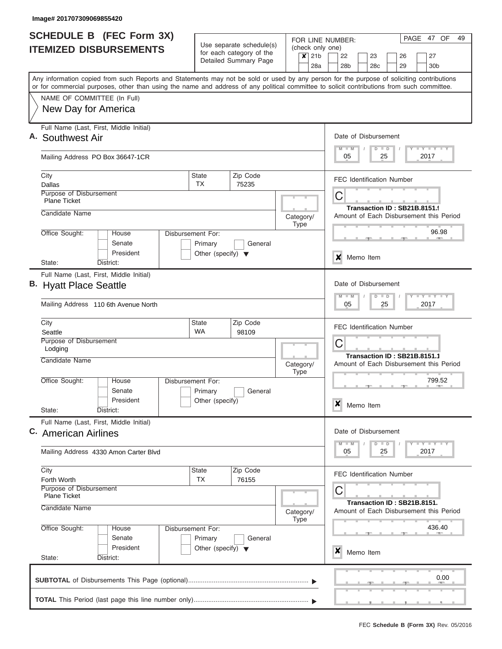| <b>SCHEDULE B (FEC Form 3X)</b>                                                                                                                                                                                                                                                         |                                      |                                                      |                                                     | PAGE 47 OF<br>49<br>FOR LINE NUMBER:                                         |
|-----------------------------------------------------------------------------------------------------------------------------------------------------------------------------------------------------------------------------------------------------------------------------------------|--------------------------------------|------------------------------------------------------|-----------------------------------------------------|------------------------------------------------------------------------------|
| <b>ITEMIZED DISBURSEMENTS</b>                                                                                                                                                                                                                                                           |                                      | Use separate schedule(s)<br>for each category of the | (check only one)                                    |                                                                              |
|                                                                                                                                                                                                                                                                                         |                                      | Detailed Summary Page                                | 21 <sub>b</sub><br>$\boldsymbol{\mathsf{x}}$<br>28a | 22<br>27<br>23<br>26<br>29<br>28b<br>28c<br>30 <sub>b</sub>                  |
| Any information copied from such Reports and Statements may not be sold or used by any person for the purpose of soliciting contributions<br>or for commercial purposes, other than using the name and address of any political committee to solicit contributions from such committee. |                                      |                                                      |                                                     |                                                                              |
| NAME OF COMMITTEE (In Full)                                                                                                                                                                                                                                                             |                                      |                                                      |                                                     |                                                                              |
| New Day for America                                                                                                                                                                                                                                                                     |                                      |                                                      |                                                     |                                                                              |
| Full Name (Last, First, Middle Initial)<br>A. Southwest Air                                                                                                                                                                                                                             |                                      |                                                      |                                                     | Date of Disbursement<br>Y LY LY LY<br>$M$ $M$<br>$D$ $D$                     |
| Mailing Address PO Box 36647-1CR                                                                                                                                                                                                                                                        |                                      |                                                      |                                                     | 05<br>25<br>2017                                                             |
| City<br>Dallas                                                                                                                                                                                                                                                                          | <b>State</b><br>TX                   | Zip Code<br>75235                                    |                                                     | <b>FEC Identification Number</b>                                             |
| Purpose of Disbursement<br><b>Plane Ticket</b>                                                                                                                                                                                                                                          |                                      |                                                      |                                                     | С<br>Transaction ID: SB21B.8151.9                                            |
| Candidate Name                                                                                                                                                                                                                                                                          |                                      |                                                      | Category/<br><b>Type</b>                            | Amount of Each Disbursement this Period                                      |
| Office Sought:<br>House<br>Senate<br>President                                                                                                                                                                                                                                          | Disbursement For:<br>Primary         | General                                              |                                                     | 96.98                                                                        |
| State:<br>District:                                                                                                                                                                                                                                                                     | Other (specify) $\blacktriangledown$ |                                                      |                                                     | ×<br>Memo Item                                                               |
| Full Name (Last, First, Middle Initial)<br>B. Hyatt Place Seattle<br>Mailing Address 110 6th Avenue North                                                                                                                                                                               |                                      |                                                      |                                                     | Date of Disbursement<br>Y FY FY FY<br>$M - M$<br>$D$ $D$<br>05<br>25<br>2017 |
| City<br>Seattle                                                                                                                                                                                                                                                                         | <b>State</b><br><b>WA</b>            | Zip Code<br>98109                                    |                                                     | <b>FEC Identification Number</b>                                             |
| Purpose of Disbursement<br>Lodging                                                                                                                                                                                                                                                      |                                      |                                                      |                                                     | C                                                                            |
| Candidate Name                                                                                                                                                                                                                                                                          |                                      |                                                      | Category/<br><b>Type</b>                            | Transaction ID: SB21B.8151.1<br>Amount of Each Disbursement this Period      |
| Office Sought:<br>House<br>Senate                                                                                                                                                                                                                                                       | Disbursement For:<br>Primary         | General                                              |                                                     | 799.52                                                                       |
| President<br>State:<br>District:                                                                                                                                                                                                                                                        | Other (specify)                      |                                                      |                                                     | $\boldsymbol{x}$<br>Memo Item                                                |
| Full Name (Last, First, Middle Initial)<br>C. American Airlines                                                                                                                                                                                                                         |                                      |                                                      |                                                     | Date of Disbursement                                                         |
| Mailing Address 4330 Amon Carter Blvd                                                                                                                                                                                                                                                   |                                      |                                                      |                                                     | Y FY FY FY<br>$M - M$<br>$D$ $D$<br>2017<br>05<br>25                         |
| City<br>Forth Worth                                                                                                                                                                                                                                                                     | <b>State</b><br>TX                   | Zip Code<br>76155                                    |                                                     | <b>FEC Identification Number</b>                                             |
| Purpose of Disbursement<br><b>Plane Ticket</b><br>Candidate Name                                                                                                                                                                                                                        |                                      |                                                      | Category/<br><b>Type</b>                            | С<br>Transaction ID: SB21B.8151.<br>Amount of Each Disbursement this Period  |
| Office Sought:<br>House<br>Senate                                                                                                                                                                                                                                                       | Disbursement For:<br>Primary         | General                                              |                                                     | 436.40                                                                       |
| President<br>State:<br>District:                                                                                                                                                                                                                                                        | Other (specify) $\blacktriangledown$ |                                                      |                                                     | X<br>Memo Item                                                               |
|                                                                                                                                                                                                                                                                                         |                                      |                                                      |                                                     | 0.00                                                                         |
|                                                                                                                                                                                                                                                                                         |                                      |                                                      |                                                     |                                                                              |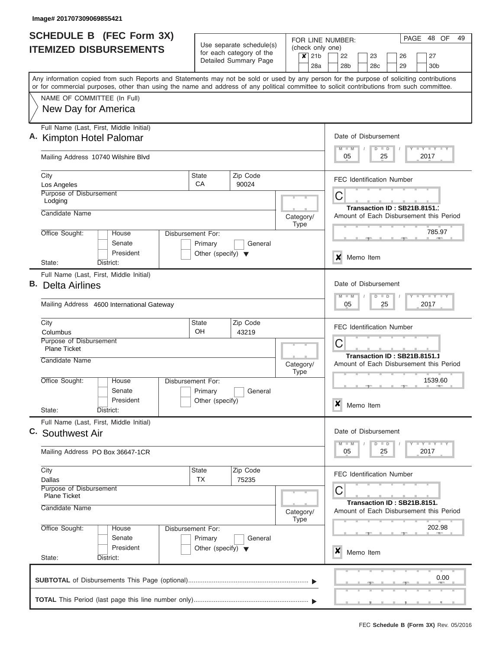| Disbursement For:<br>Primary<br>Other (specify) $\blacktriangledown$ | Use separate schedule(s)<br>for each category of the<br>Detailed Summary Page<br>Zip Code<br>90024<br>General<br>Zip Code |                                                           | (check only one)<br>$\boldsymbol{x}$<br>21 <sub>b</sub><br>28a<br>Category/<br><b>Type</b> | 22<br>28 <sub>b</sub><br>$M - M$<br>05<br>С<br>x<br>$M - M$<br>05      | 23<br>28 <sub>c</sub><br>Date of Disbursement<br>$D$ $D$<br>25<br><b>FEC Identification Number</b><br>Memo Item<br>Date of Disbursement<br>$D$ $D$ | 26<br>29<br>25         | 27<br>30 <sub>b</sub><br>Any information copied from such Reports and Statements may not be sold or used by any person for the purpose of soliciting contributions<br>or for commercial purposes, other than using the name and address of any political committee to solicit contributions from such committee.<br>Y I Y I Y I Y<br>2017<br>Transaction ID: SB21B.8151.<br>Amount of Each Disbursement this Period<br>785.97<br><b>TEY TEY TEY</b><br>2017 |  |  |  |  |  |
|----------------------------------------------------------------------|---------------------------------------------------------------------------------------------------------------------------|-----------------------------------------------------------|--------------------------------------------------------------------------------------------|------------------------------------------------------------------------|----------------------------------------------------------------------------------------------------------------------------------------------------|------------------------|-------------------------------------------------------------------------------------------------------------------------------------------------------------------------------------------------------------------------------------------------------------------------------------------------------------------------------------------------------------------------------------------------------------------------------------------------------------|--|--|--|--|--|
|                                                                      |                                                                                                                           |                                                           |                                                                                            |                                                                        |                                                                                                                                                    |                        |                                                                                                                                                                                                                                                                                                                                                                                                                                                             |  |  |  |  |  |
|                                                                      |                                                                                                                           |                                                           |                                                                                            |                                                                        |                                                                                                                                                    |                        |                                                                                                                                                                                                                                                                                                                                                                                                                                                             |  |  |  |  |  |
|                                                                      |                                                                                                                           |                                                           |                                                                                            |                                                                        |                                                                                                                                                    |                        |                                                                                                                                                                                                                                                                                                                                                                                                                                                             |  |  |  |  |  |
|                                                                      |                                                                                                                           |                                                           |                                                                                            |                                                                        |                                                                                                                                                    |                        |                                                                                                                                                                                                                                                                                                                                                                                                                                                             |  |  |  |  |  |
|                                                                      |                                                                                                                           |                                                           |                                                                                            |                                                                        |                                                                                                                                                    |                        |                                                                                                                                                                                                                                                                                                                                                                                                                                                             |  |  |  |  |  |
|                                                                      |                                                                                                                           |                                                           |                                                                                            |                                                                        |                                                                                                                                                    |                        |                                                                                                                                                                                                                                                                                                                                                                                                                                                             |  |  |  |  |  |
|                                                                      |                                                                                                                           |                                                           |                                                                                            |                                                                        |                                                                                                                                                    |                        |                                                                                                                                                                                                                                                                                                                                                                                                                                                             |  |  |  |  |  |
|                                                                      |                                                                                                                           |                                                           |                                                                                            |                                                                        |                                                                                                                                                    |                        |                                                                                                                                                                                                                                                                                                                                                                                                                                                             |  |  |  |  |  |
|                                                                      |                                                                                                                           |                                                           |                                                                                            |                                                                        |                                                                                                                                                    |                        |                                                                                                                                                                                                                                                                                                                                                                                                                                                             |  |  |  |  |  |
|                                                                      |                                                                                                                           |                                                           |                                                                                            |                                                                        |                                                                                                                                                    |                        |                                                                                                                                                                                                                                                                                                                                                                                                                                                             |  |  |  |  |  |
|                                                                      |                                                                                                                           |                                                           |                                                                                            |                                                                        |                                                                                                                                                    |                        |                                                                                                                                                                                                                                                                                                                                                                                                                                                             |  |  |  |  |  |
|                                                                      |                                                                                                                           | State<br>OH<br>43219                                      |                                                                                            |                                                                        |                                                                                                                                                    |                        | <b>FEC Identification Number</b><br>C<br>Transaction ID: SB21B.8151.1                                                                                                                                                                                                                                                                                                                                                                                       |  |  |  |  |  |
|                                                                      |                                                                                                                           |                                                           | Category/<br><b>Type</b>                                                                   |                                                                        |                                                                                                                                                    |                        | Amount of Each Disbursement this Period                                                                                                                                                                                                                                                                                                                                                                                                                     |  |  |  |  |  |
| Disbursement For:<br>Primary                                         | General                                                                                                                   |                                                           |                                                                                            | $\boldsymbol{x}$                                                       |                                                                                                                                                    |                        | 1539.60                                                                                                                                                                                                                                                                                                                                                                                                                                                     |  |  |  |  |  |
|                                                                      |                                                                                                                           |                                                           |                                                                                            |                                                                        |                                                                                                                                                    |                        | $T - Y$ $T - Y$                                                                                                                                                                                                                                                                                                                                                                                                                                             |  |  |  |  |  |
|                                                                      |                                                                                                                           |                                                           |                                                                                            | 05                                                                     |                                                                                                                                                    |                        | 2017                                                                                                                                                                                                                                                                                                                                                                                                                                                        |  |  |  |  |  |
|                                                                      |                                                                                                                           |                                                           |                                                                                            |                                                                        |                                                                                                                                                    |                        |                                                                                                                                                                                                                                                                                                                                                                                                                                                             |  |  |  |  |  |
|                                                                      |                                                                                                                           |                                                           |                                                                                            | Transaction ID: SB21B.8151.<br>Amount of Each Disbursement this Period |                                                                                                                                                    |                        |                                                                                                                                                                                                                                                                                                                                                                                                                                                             |  |  |  |  |  |
|                                                                      | General                                                                                                                   |                                                           |                                                                                            |                                                                        |                                                                                                                                                    |                        | 202.98                                                                                                                                                                                                                                                                                                                                                                                                                                                      |  |  |  |  |  |
|                                                                      |                                                                                                                           |                                                           |                                                                                            | ×                                                                      |                                                                                                                                                    |                        |                                                                                                                                                                                                                                                                                                                                                                                                                                                             |  |  |  |  |  |
|                                                                      | Other (specify)<br>Disbursement For:<br>Primary                                                                           | Zip Code<br>75235<br>Other (specify) $\blacktriangledown$ |                                                                                            | Category/<br><b>Type</b>                                               | $M$ $M$<br>C                                                                                                                                       | Memo Item<br>Memo Item | Date of Disbursement<br>$D$ $D$<br>25<br><b>FEC Identification Number</b>                                                                                                                                                                                                                                                                                                                                                                                   |  |  |  |  |  |